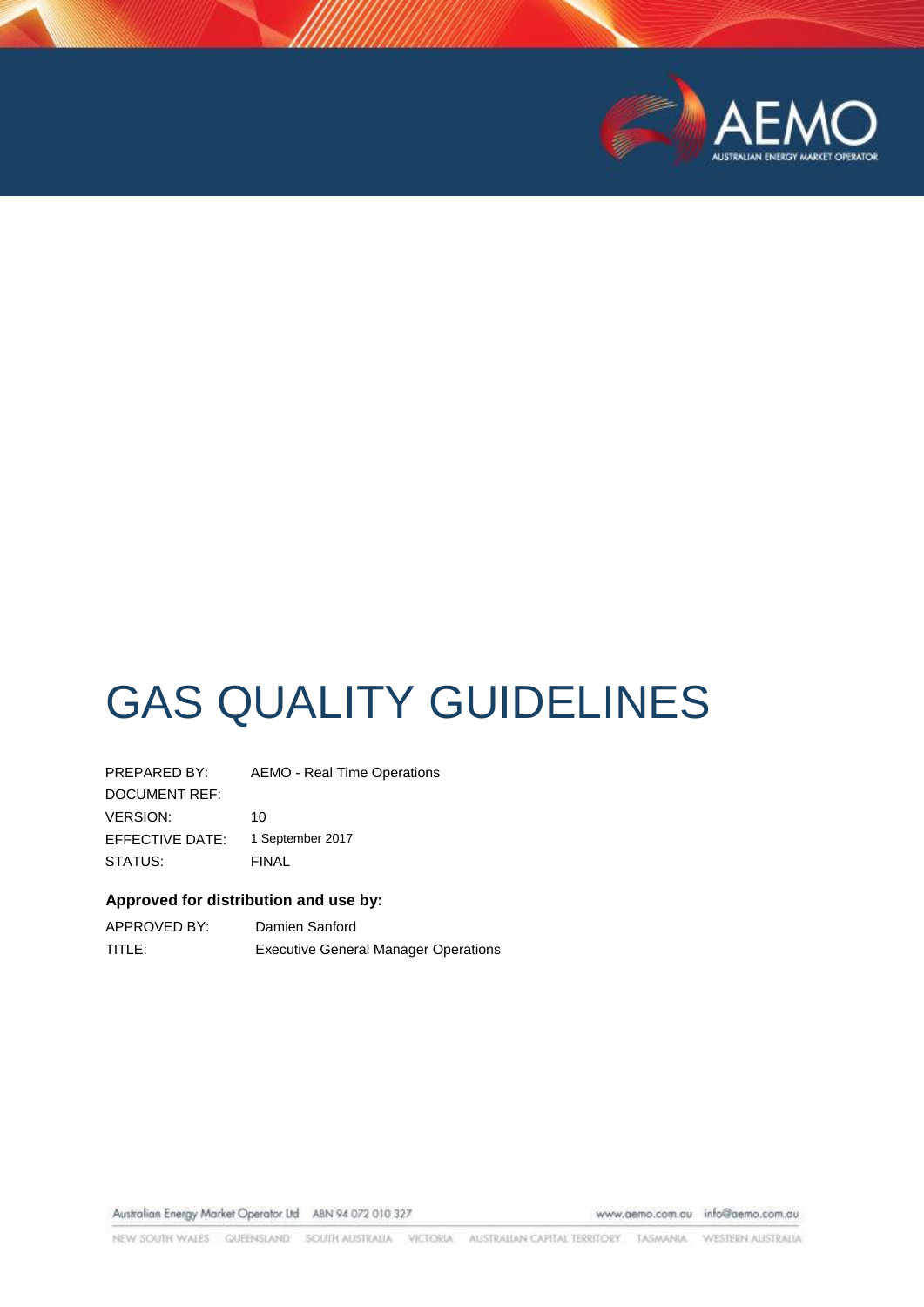

# GAS QUALITY GUIDELINES

PREPARED BY: AEMO - Real Time Operations DOCUMENT REF: VERSION: 10 EFFECTIVE DATE: 1 September 2017 STATUS: FINAL

## **Approved for distribution and use by:**

| APPROVED BY: | Damien Sanford                              |
|--------------|---------------------------------------------|
| TITLE:       | <b>Executive General Manager Operations</b> |

Australian Energy Market Operator Ltd ABN 94 072 010 327

www.aemo.com.au info@aemo.com.au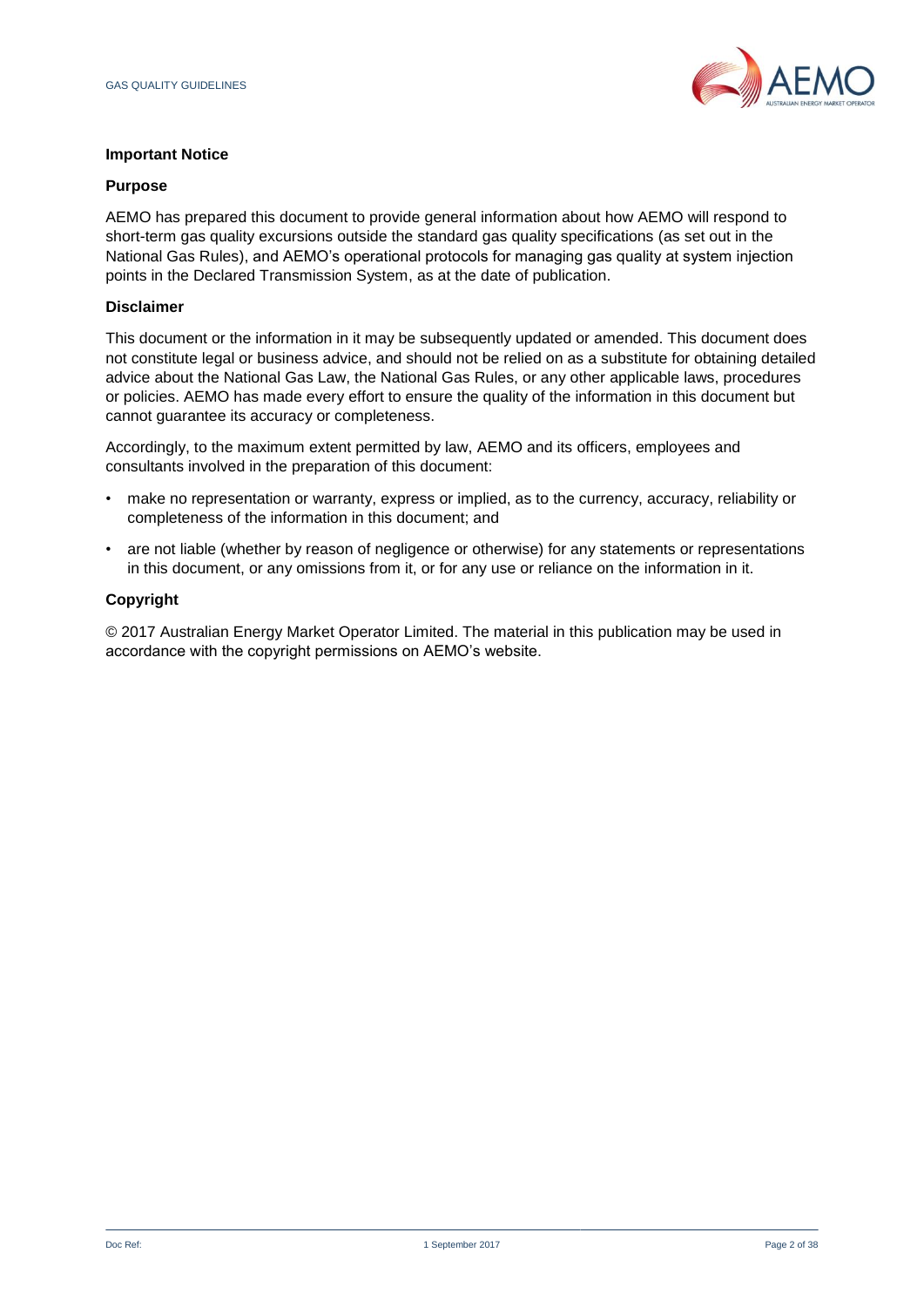

## **Important Notice**

#### **Purpose**

AEMO has prepared this document to provide general information about how AEMO will respond to short-term gas quality excursions outside the standard gas quality specifications (as set out in the National Gas Rules), and AEMO's operational protocols for managing gas quality at system injection points in the Declared Transmission System, as at the date of publication.

## **Disclaimer**

This document or the information in it may be subsequently updated or amended. This document does not constitute legal or business advice, and should not be relied on as a substitute for obtaining detailed advice about the National Gas Law, the National Gas Rules, or any other applicable laws, procedures or policies. AEMO has made every effort to ensure the quality of the information in this document but cannot guarantee its accuracy or completeness.

Accordingly, to the maximum extent permitted by law, AEMO and its officers, employees and consultants involved in the preparation of this document:

- make no representation or warranty, express or implied, as to the currency, accuracy, reliability or completeness of the information in this document; and
- are not liable (whether by reason of negligence or otherwise) for any statements or representations in this document, or any omissions from it, or for any use or reliance on the information in it.

## **Copyright**

© 2017 Australian Energy Market Operator Limited. The material in this publication may be used in accordance with the copyright permissions on AEMO's website.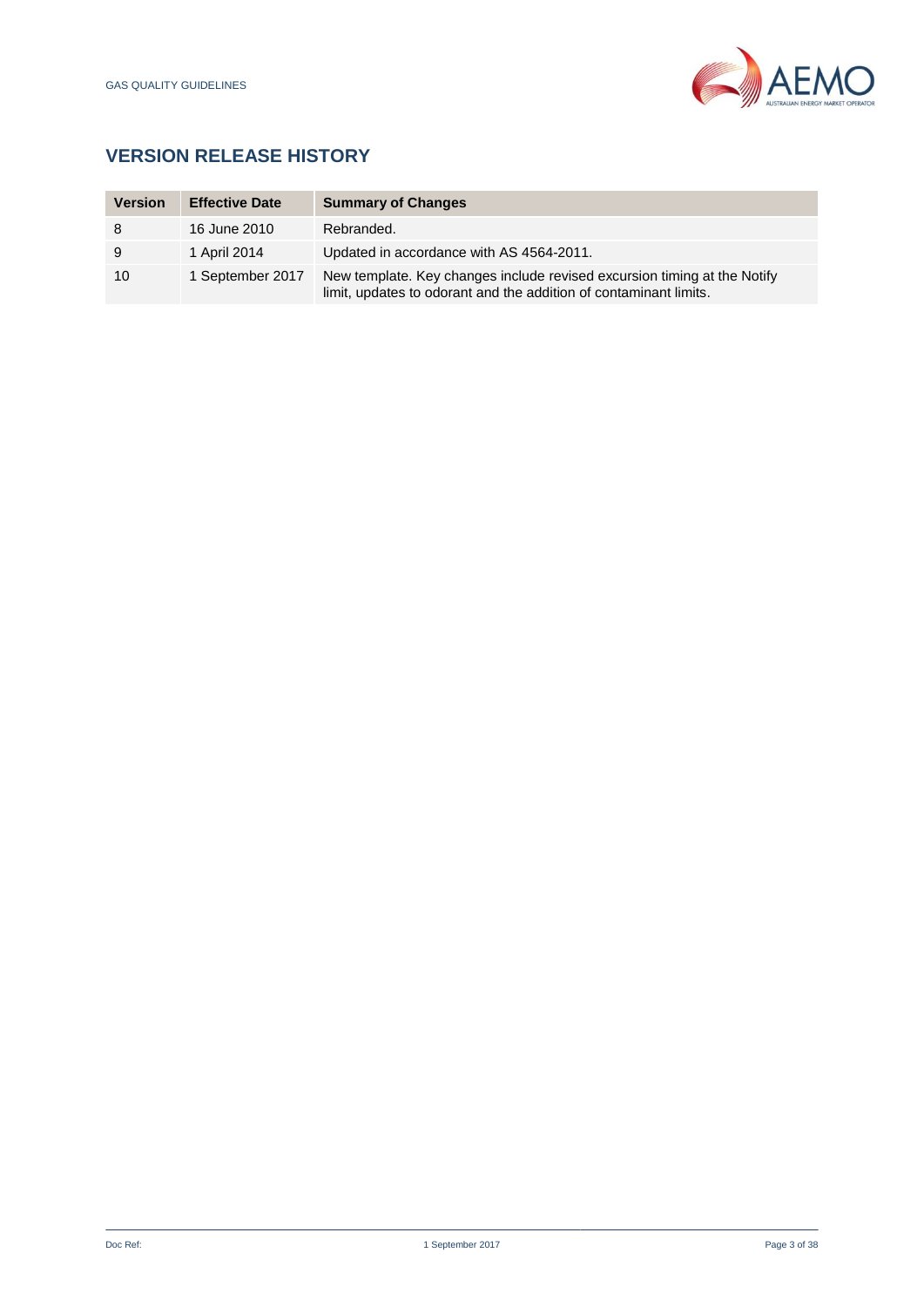

# **VERSION RELEASE HISTORY**

| <b>Version</b> | <b>Effective Date</b> | <b>Summary of Changes</b>                                                                                                                     |
|----------------|-----------------------|-----------------------------------------------------------------------------------------------------------------------------------------------|
| 8              | 16 June 2010          | Rebranded.                                                                                                                                    |
| 9              | 1 April 2014          | Updated in accordance with AS 4564-2011.                                                                                                      |
| 10             | 1 September 2017      | New template. Key changes include revised excursion timing at the Notify<br>limit, updates to odorant and the addition of contaminant limits. |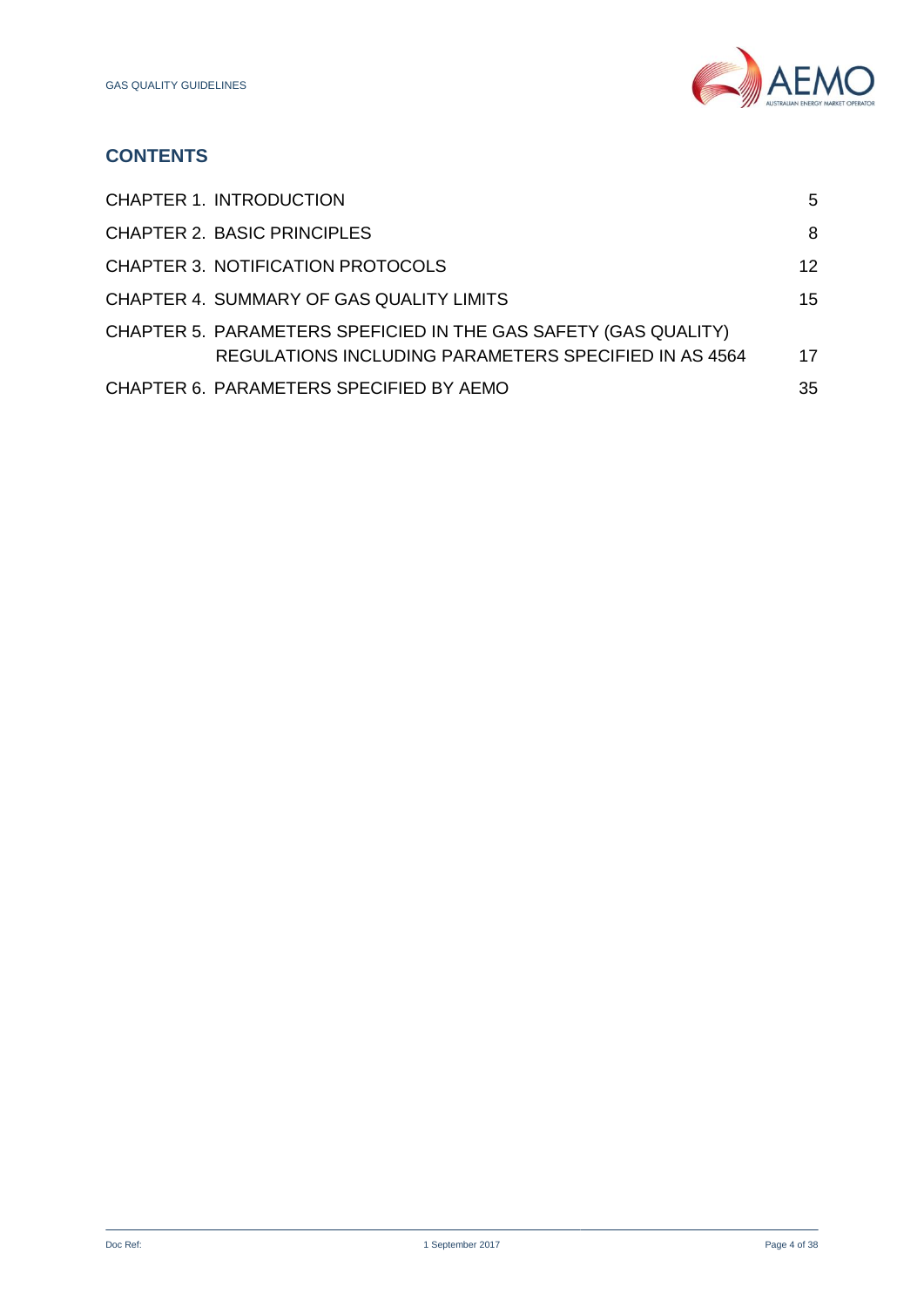

# **CONTENTS**

| <b>CHAPTER 1. INTRODUCTION</b>                                                                                                  | 5               |
|---------------------------------------------------------------------------------------------------------------------------------|-----------------|
| <b>CHAPTER 2. BASIC PRINCIPLES</b>                                                                                              | 8               |
| <b>CHAPTER 3. NOTIFICATION PROTOCOLS</b>                                                                                        | 12 <sub>1</sub> |
| CHAPTER 4. SUMMARY OF GAS QUALITY LIMITS                                                                                        | 15              |
| CHAPTER 5. PARAMETERS SPEFICIED IN THE GAS SAFETY (GAS QUALITY)<br><b>REGULATIONS INCLUDING PARAMETERS SPECIFIED IN AS 4564</b> | 17 <sup>2</sup> |
| CHAPTER 6. PARAMETERS SPECIFIED BY AEMO                                                                                         | 35              |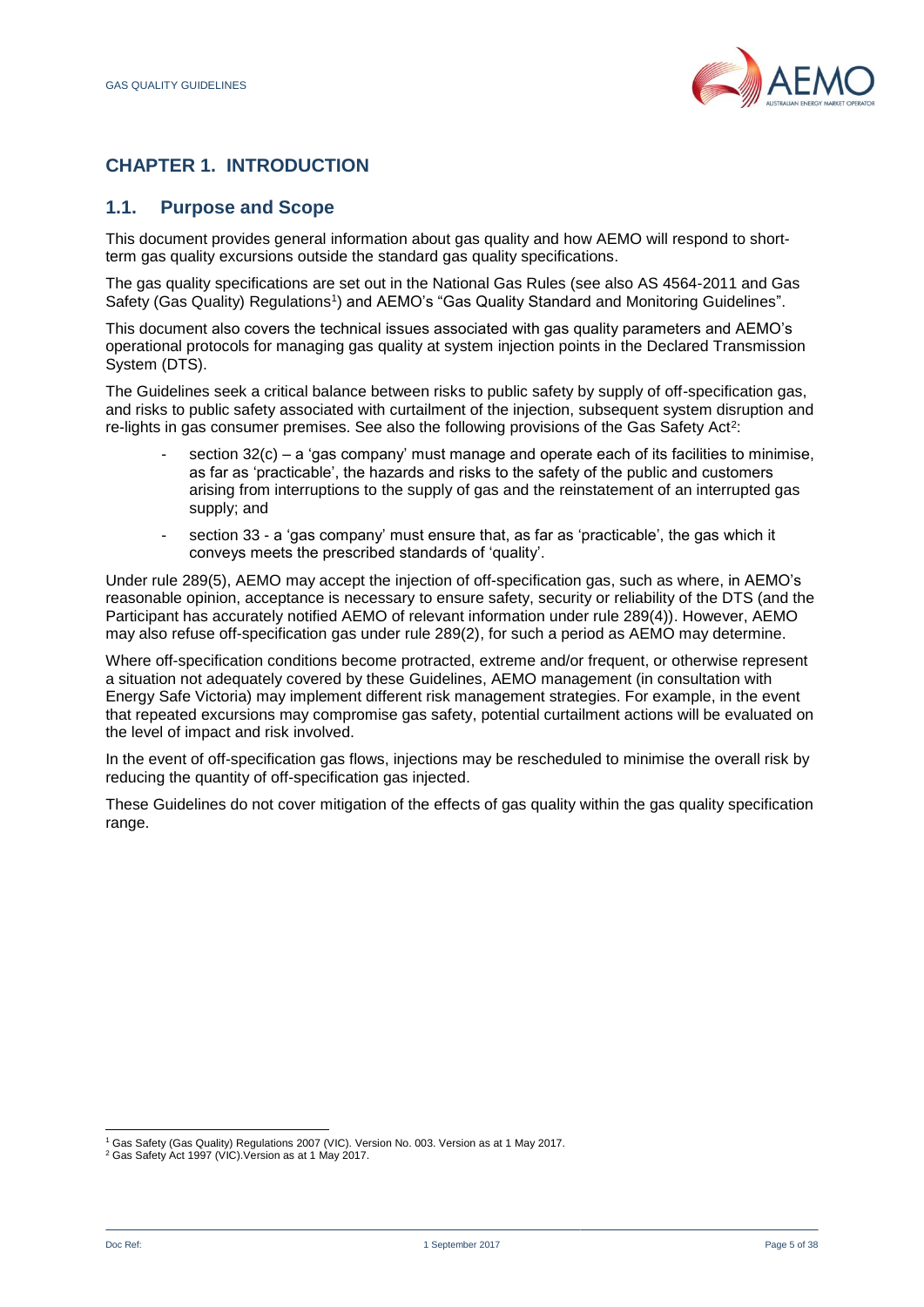

# <span id="page-4-0"></span>**CHAPTER 1. INTRODUCTION**

## **1.1. Purpose and Scope**

This document provides general information about gas quality and how AEMO will respond to shortterm gas quality excursions outside the standard gas quality specifications.

The gas quality specifications are set out in the National Gas Rules (see also AS 4564-2011 and Gas Safety (Gas Quality) Regulations<sup>1</sup>) and AEMO's "Gas Quality Standard and Monitoring Guidelines".

This document also covers the technical issues associated with gas quality parameters and AEMO's operational protocols for managing gas quality at system injection points in the Declared Transmission System (DTS).

The Guidelines seek a critical balance between risks to public safety by supply of off-specification gas, and risks to public safety associated with curtailment of the injection, subsequent system disruption and re-lights in gas consumer premises. See also the following provisions of the Gas Safety Act<sup>2</sup>:

- section  $32(c)$  a 'gas company' must manage and operate each of its facilities to minimise, as far as 'practicable', the hazards and risks to the safety of the public and customers arising from interruptions to the supply of gas and the reinstatement of an interrupted gas supply; and
- section 33 a 'gas company' must ensure that, as far as 'practicable', the gas which it conveys meets the prescribed standards of 'quality'.

Under rule 289(5), AEMO may accept the injection of off-specification gas, such as where, in AEMO's reasonable opinion, acceptance is necessary to ensure safety, security or reliability of the DTS (and the Participant has accurately notified AEMO of relevant information under rule 289(4)). However, AEMO may also refuse off-specification gas under rule 289(2), for such a period as AEMO may determine.

Where off-specification conditions become protracted, extreme and/or frequent, or otherwise represent a situation not adequately covered by these Guidelines, AEMO management (in consultation with Energy Safe Victoria) may implement different risk management strategies. For example, in the event that repeated excursions may compromise gas safety, potential curtailment actions will be evaluated on the level of impact and risk involved.

In the event of off-specification gas flows, injections may be rescheduled to minimise the overall risk by reducing the quantity of off-specification gas injected.

These Guidelines do not cover mitigation of the effects of gas quality within the gas quality specification range.

l

<sup>1</sup> Gas Safety (Gas Quality) Regulations 2007 (VIC). Version No. 003. Version as at 1 May 2017.

<sup>2</sup> Gas Safety Act 1997 (VIC).Version as at 1 May 2017.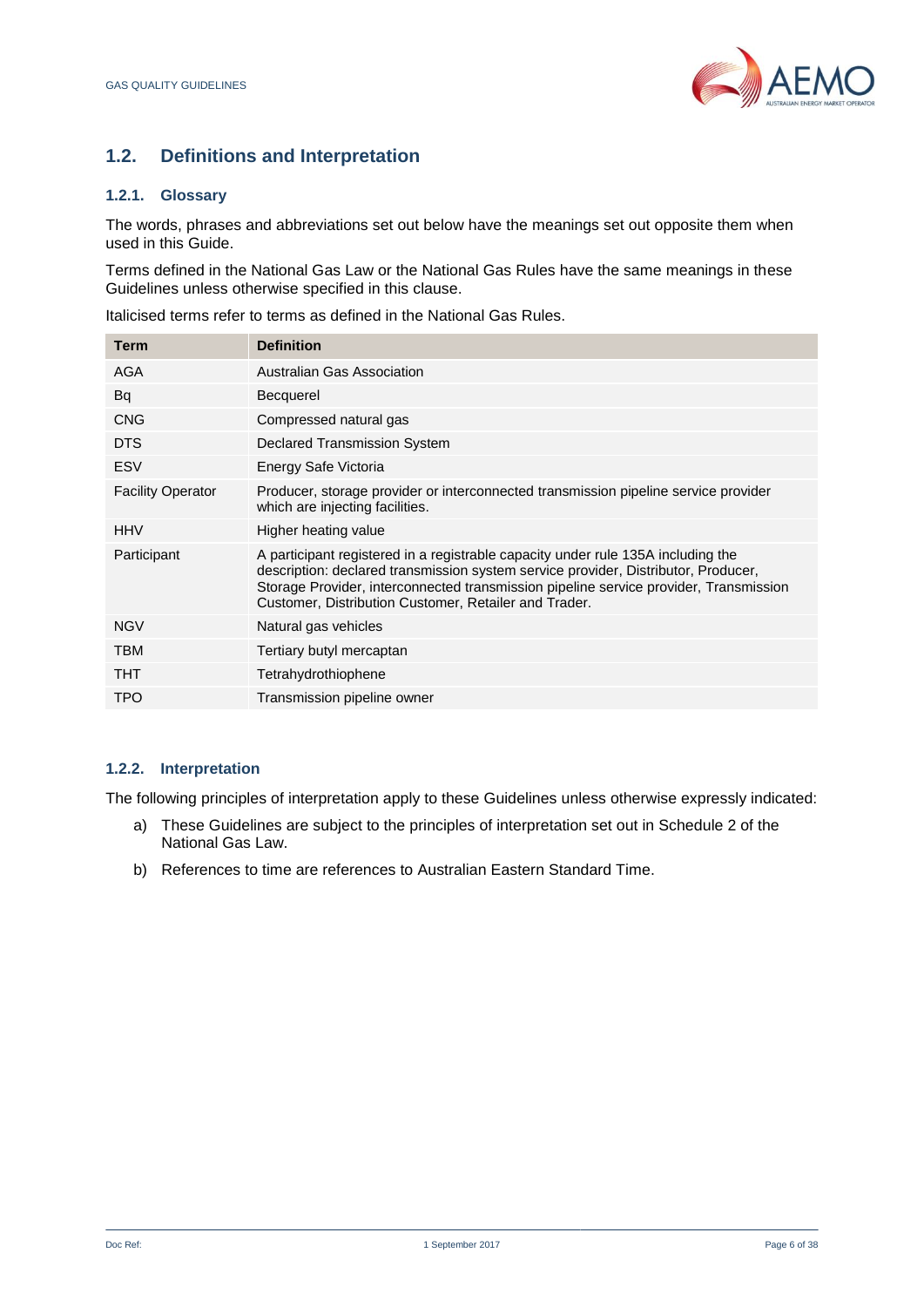

# **1.2. Definitions and Interpretation**

## **1.2.1. Glossary**

The words, phrases and abbreviations set out below have the meanings set out opposite them when used in this Guide.

Terms defined in the National Gas Law or the National Gas Rules have the same meanings in these Guidelines unless otherwise specified in this clause.

Italicised terms refer to terms as defined in the National Gas Rules.

| <b>Definition</b>                                                                                                                                                                                                                                                                                                        |
|--------------------------------------------------------------------------------------------------------------------------------------------------------------------------------------------------------------------------------------------------------------------------------------------------------------------------|
| <b>Australian Gas Association</b>                                                                                                                                                                                                                                                                                        |
| <b>Becquerel</b>                                                                                                                                                                                                                                                                                                         |
| Compressed natural gas                                                                                                                                                                                                                                                                                                   |
| Declared Transmission System                                                                                                                                                                                                                                                                                             |
| Energy Safe Victoria                                                                                                                                                                                                                                                                                                     |
| Producer, storage provider or interconnected transmission pipeline service provider<br>which are injecting facilities.                                                                                                                                                                                                   |
| Higher heating value                                                                                                                                                                                                                                                                                                     |
| A participant registered in a registrable capacity under rule 135A including the<br>description: declared transmission system service provider, Distributor, Producer,<br>Storage Provider, interconnected transmission pipeline service provider, Transmission<br>Customer, Distribution Customer, Retailer and Trader. |
| Natural gas vehicles                                                                                                                                                                                                                                                                                                     |
| Tertiary butyl mercaptan                                                                                                                                                                                                                                                                                                 |
| Tetrahydrothiophene                                                                                                                                                                                                                                                                                                      |
| Transmission pipeline owner                                                                                                                                                                                                                                                                                              |
|                                                                                                                                                                                                                                                                                                                          |

## **1.2.2. Interpretation**

The following principles of interpretation apply to these Guidelines unless otherwise expressly indicated:

- a) These Guidelines are subject to the principles of interpretation set out in Schedule 2 of the National Gas Law.
- b) References to time are references to Australian Eastern Standard Time.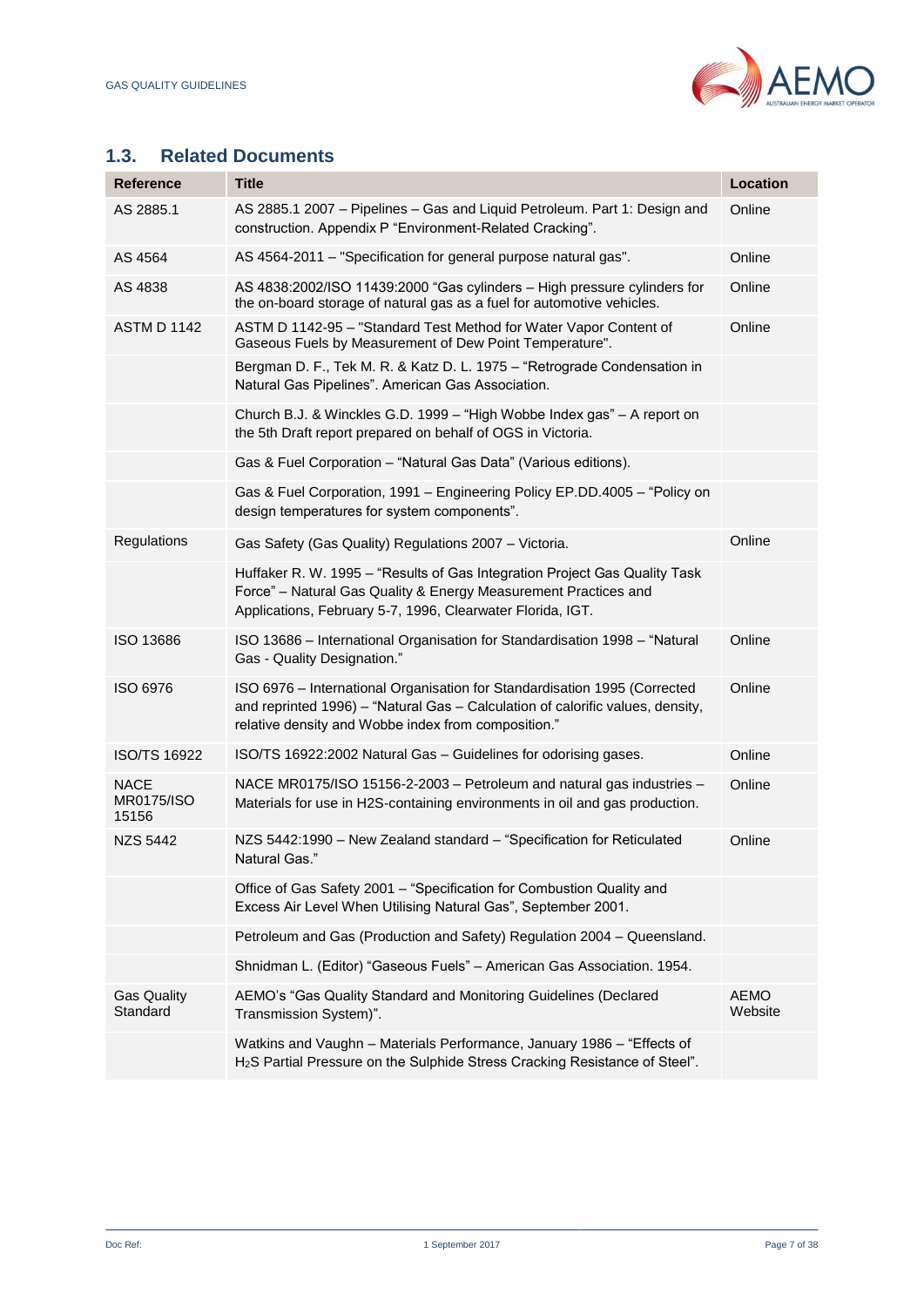

## **1.3. Related Documents**

| <b>Reference</b>                   | <b>Title</b>                                                                                                                                                                                                       | <b>Location</b>        |
|------------------------------------|--------------------------------------------------------------------------------------------------------------------------------------------------------------------------------------------------------------------|------------------------|
| AS 2885.1                          | AS 2885.1 2007 - Pipelines - Gas and Liquid Petroleum. Part 1: Design and<br>construction. Appendix P "Environment-Related Cracking".                                                                              | Online                 |
| AS 4564                            | AS 4564-2011 - "Specification for general purpose natural gas".                                                                                                                                                    | Online                 |
| AS 4838                            | AS 4838:2002/ISO 11439:2000 "Gas cylinders - High pressure cylinders for<br>the on-board storage of natural gas as a fuel for automotive vehicles.                                                                 | Online                 |
| <b>ASTM D 1142</b>                 | ASTM D 1142-95 - "Standard Test Method for Water Vapor Content of<br>Gaseous Fuels by Measurement of Dew Point Temperature".                                                                                       | Online                 |
|                                    | Bergman D. F., Tek M. R. & Katz D. L. 1975 - "Retrograde Condensation in<br>Natural Gas Pipelines". American Gas Association.                                                                                      |                        |
|                                    | Church B.J. & Winckles G.D. 1999 - "High Wobbe Index gas" - A report on<br>the 5th Draft report prepared on behalf of OGS in Victoria.                                                                             |                        |
|                                    | Gas & Fuel Corporation - "Natural Gas Data" (Various editions).                                                                                                                                                    |                        |
|                                    | Gas & Fuel Corporation, 1991 - Engineering Policy EP.DD.4005 - "Policy on<br>design temperatures for system components".                                                                                           |                        |
| Regulations                        | Gas Safety (Gas Quality) Regulations 2007 - Victoria.                                                                                                                                                              | Online                 |
|                                    | Huffaker R. W. 1995 - "Results of Gas Integration Project Gas Quality Task<br>Force" - Natural Gas Quality & Energy Measurement Practices and<br>Applications, February 5-7, 1996, Clearwater Florida, IGT.        |                        |
| ISO 13686                          | ISO 13686 - International Organisation for Standardisation 1998 - "Natural<br>Gas - Quality Designation."                                                                                                          | Online                 |
| ISO 6976                           | ISO 6976 – International Organisation for Standardisation 1995 (Corrected<br>and reprinted 1996) - "Natural Gas - Calculation of calorific values, density,<br>relative density and Wobbe index from composition." | Online                 |
| <b>ISO/TS 16922</b>                | ISO/TS 16922:2002 Natural Gas - Guidelines for odorising gases.                                                                                                                                                    | Online                 |
| <b>NACE</b><br>MR0175/ISO<br>15156 | NACE MR0175/ISO 15156-2-2003 - Petroleum and natural gas industries -<br>Materials for use in H2S-containing environments in oil and gas production.                                                               | Online                 |
| <b>NZS 5442</b>                    | NZS 5442:1990 - New Zealand standard - "Specification for Reticulated<br>Natural Gas."                                                                                                                             | Online                 |
|                                    | Office of Gas Safety 2001 - "Specification for Combustion Quality and<br>Excess Air Level When Utilising Natural Gas", September 2001.                                                                             |                        |
|                                    | Petroleum and Gas (Production and Safety) Regulation 2004 - Queensland.                                                                                                                                            |                        |
|                                    | Shnidman L. (Editor) "Gaseous Fuels" - American Gas Association. 1954.                                                                                                                                             |                        |
| <b>Gas Quality</b><br>Standard     | AEMO's "Gas Quality Standard and Monitoring Guidelines (Declared<br>Transmission System)".                                                                                                                         | <b>AEMO</b><br>Website |
|                                    | Watkins and Vaughn - Materials Performance, January 1986 - "Effects of<br>H <sub>2</sub> S Partial Pressure on the Sulphide Stress Cracking Resistance of Steel".                                                  |                        |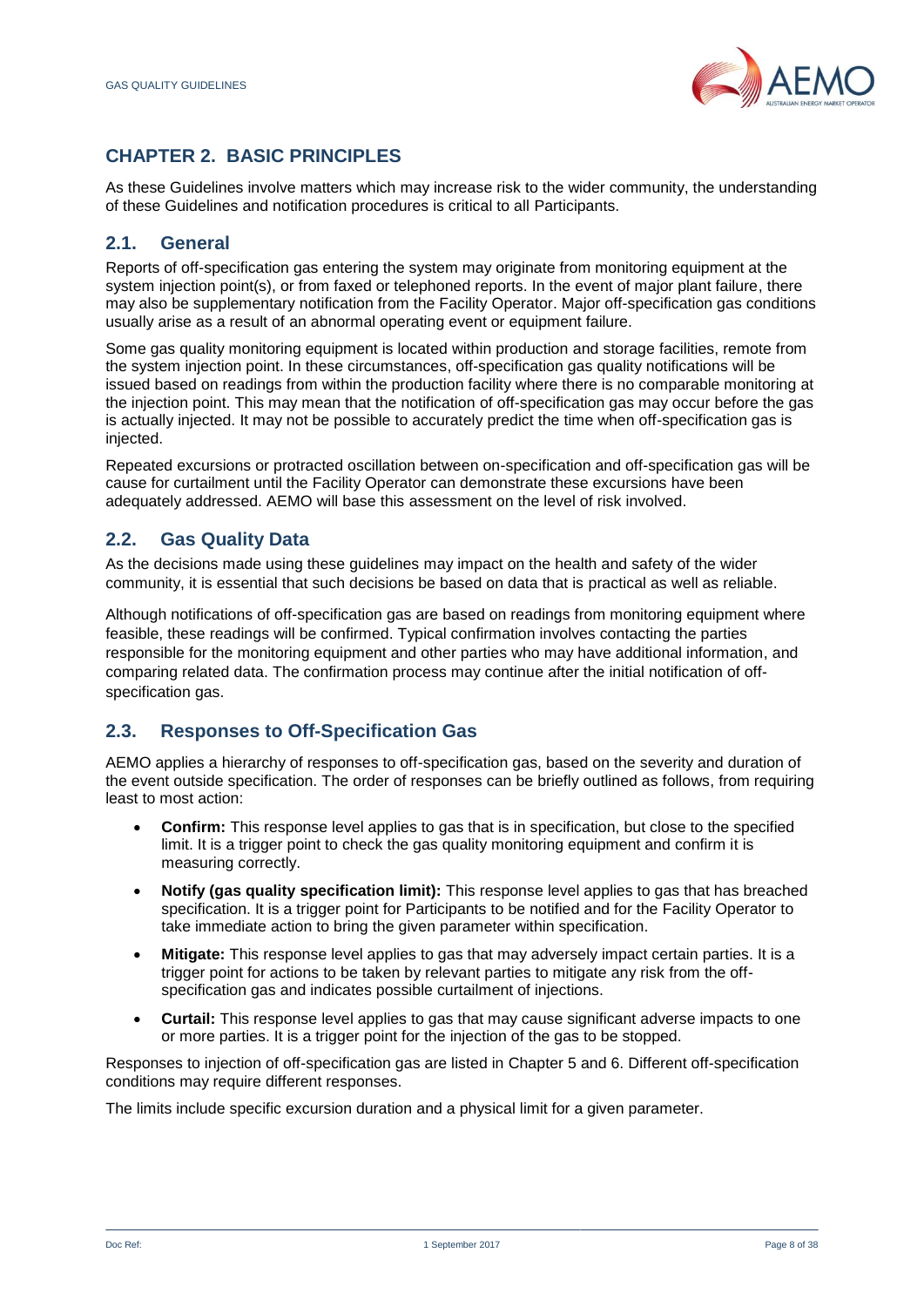

# <span id="page-7-0"></span>**CHAPTER 2. BASIC PRINCIPLES**

As these Guidelines involve matters which may increase risk to the wider community, the understanding of these Guidelines and notification procedures is critical to all Participants.

## **2.1. General**

Reports of off-specification gas entering the system may originate from monitoring equipment at the system injection point(s), or from faxed or telephoned reports. In the event of major plant failure, there may also be supplementary notification from the Facility Operator. Major off-specification gas conditions usually arise as a result of an abnormal operating event or equipment failure.

Some gas quality monitoring equipment is located within production and storage facilities, remote from the system injection point. In these circumstances, off-specification gas quality notifications will be issued based on readings from within the production facility where there is no comparable monitoring at the injection point. This may mean that the notification of off-specification gas may occur before the gas is actually injected. It may not be possible to accurately predict the time when off-specification gas is injected.

Repeated excursions or protracted oscillation between on-specification and off-specification gas will be cause for curtailment until the Facility Operator can demonstrate these excursions have been adequately addressed. AEMO will base this assessment on the level of risk involved.

## **2.2. Gas Quality Data**

As the decisions made using these guidelines may impact on the health and safety of the wider community, it is essential that such decisions be based on data that is practical as well as reliable.

Although notifications of off-specification gas are based on readings from monitoring equipment where feasible, these readings will be confirmed. Typical confirmation involves contacting the parties responsible for the monitoring equipment and other parties who may have additional information, and comparing related data. The confirmation process may continue after the initial notification of offspecification gas.

## **2.3. Responses to Off-Specification Gas**

AEMO applies a hierarchy of responses to off-specification gas, based on the severity and duration of the event outside specification. The order of responses can be briefly outlined as follows, from requiring least to most action:

- **Confirm:** This response level applies to gas that is in specification, but close to the specified limit. It is a trigger point to check the gas quality monitoring equipment and confirm it is measuring correctly.
- **Notify (gas quality specification limit):** This response level applies to gas that has breached specification. It is a trigger point for Participants to be notified and for the Facility Operator to take immediate action to bring the given parameter within specification.
- **Mitigate:** This response level applies to gas that may adversely impact certain parties. It is a trigger point for actions to be taken by relevant parties to mitigate any risk from the offspecification gas and indicates possible curtailment of injections.
- **Curtail:** This response level applies to gas that may cause significant adverse impacts to one or more parties. It is a trigger point for the injection of the gas to be stopped.

Responses to injection of off-specification gas are listed in Chapter 5 and 6. Different off-specification conditions may require different responses.

The limits include specific excursion duration and a physical limit for a given parameter.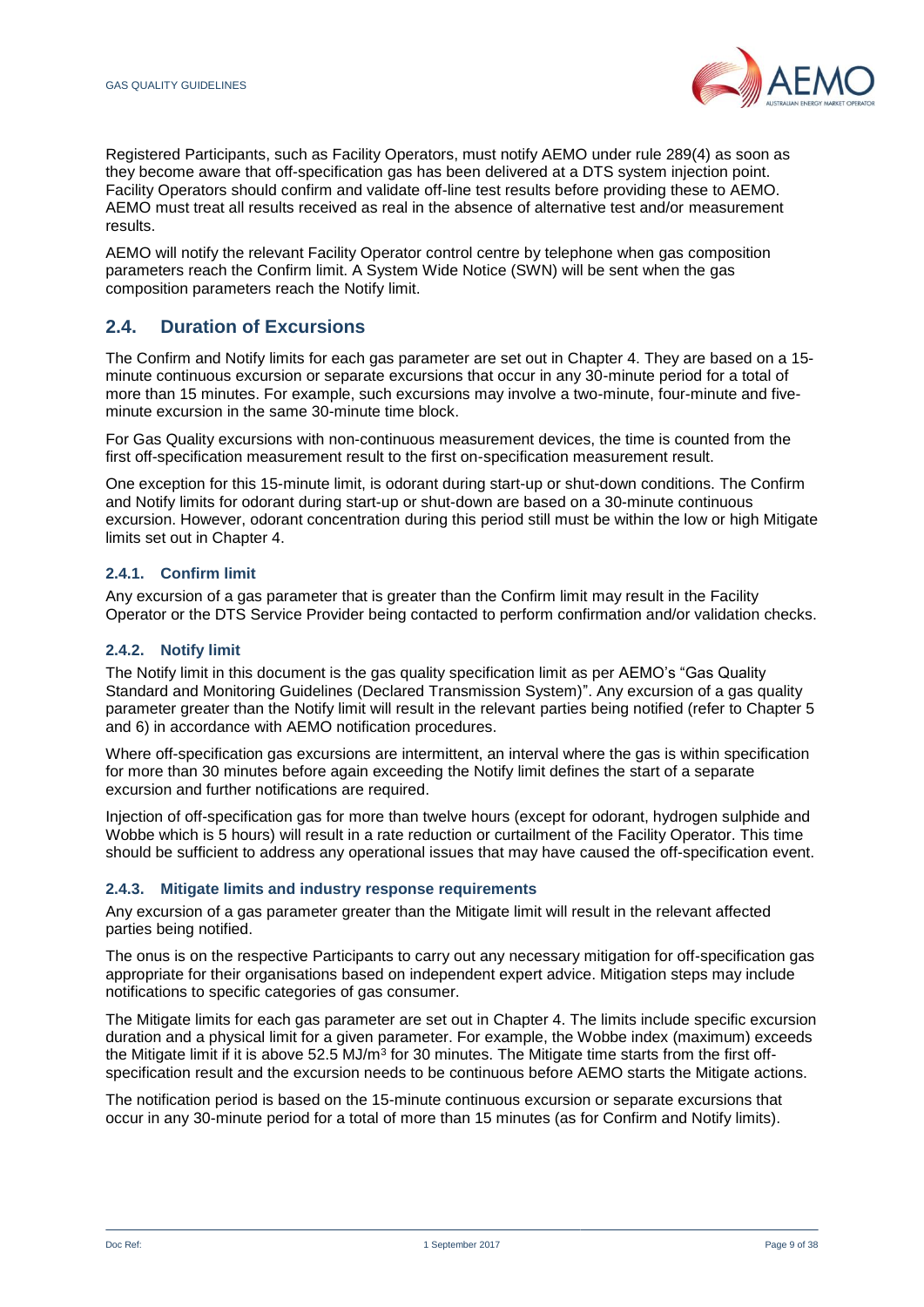

Registered Participants, such as Facility Operators, must notify AEMO under rule 289(4) as soon as they become aware that off-specification gas has been delivered at a DTS system injection point. Facility Operators should confirm and validate off-line test results before providing these to AEMO. AEMO must treat all results received as real in the absence of alternative test and/or measurement results.

AEMO will notify the relevant Facility Operator control centre by telephone when gas composition parameters reach the Confirm limit. A System Wide Notice (SWN) will be sent when the gas composition parameters reach the Notify limit.

## **2.4. Duration of Excursions**

The Confirm and Notify limits for each gas parameter are set out in Chapter 4. They are based on a 15 minute continuous excursion or separate excursions that occur in any 30-minute period for a total of more than 15 minutes. For example, such excursions may involve a two-minute, four-minute and fiveminute excursion in the same 30-minute time block.

For Gas Quality excursions with non-continuous measurement devices, the time is counted from the first off-specification measurement result to the first on-specification measurement result.

One exception for this 15-minute limit, is odorant during start-up or shut-down conditions. The Confirm and Notify limits for odorant during start-up or shut-down are based on a 30-minute continuous excursion. However, odorant concentration during this period still must be within the low or high Mitigate limits set out in Chapter 4.

## **2.4.1. Confirm limit**

Any excursion of a gas parameter that is greater than the Confirm limit may result in the Facility Operator or the DTS Service Provider being contacted to perform confirmation and/or validation checks.

## **2.4.2. Notify limit**

The Notify limit in this document is the gas quality specification limit as per AEMO's "Gas Quality Standard and Monitoring Guidelines (Declared Transmission System)". Any excursion of a gas quality parameter greater than the Notify limit will result in the relevant parties being notified (refer to Chapter 5 and 6) in accordance with AEMO notification procedures.

Where off-specification gas excursions are intermittent, an interval where the gas is within specification for more than 30 minutes before again exceeding the Notify limit defines the start of a separate excursion and further notifications are required.

Injection of off-specification gas for more than twelve hours (except for odorant, hydrogen sulphide and Wobbe which is 5 hours) will result in a rate reduction or curtailment of the Facility Operator. This time should be sufficient to address any operational issues that may have caused the off-specification event.

## **2.4.3. Mitigate limits and industry response requirements**

Any excursion of a gas parameter greater than the Mitigate limit will result in the relevant affected parties being notified.

The onus is on the respective Participants to carry out any necessary mitigation for off-specification gas appropriate for their organisations based on independent expert advice. Mitigation steps may include notifications to specific categories of gas consumer.

The Mitigate limits for each gas parameter are set out in Chapter 4. The limits include specific excursion duration and a physical limit for a given parameter. For example, the Wobbe index (maximum) exceeds the Mitigate limit if it is above 52.5 MJ/m<sup>3</sup> for 30 minutes. The Mitigate time starts from the first offspecification result and the excursion needs to be continuous before AEMO starts the Mitigate actions.

The notification period is based on the 15-minute continuous excursion or separate excursions that occur in any 30-minute period for a total of more than 15 minutes (as for Confirm and Notify limits).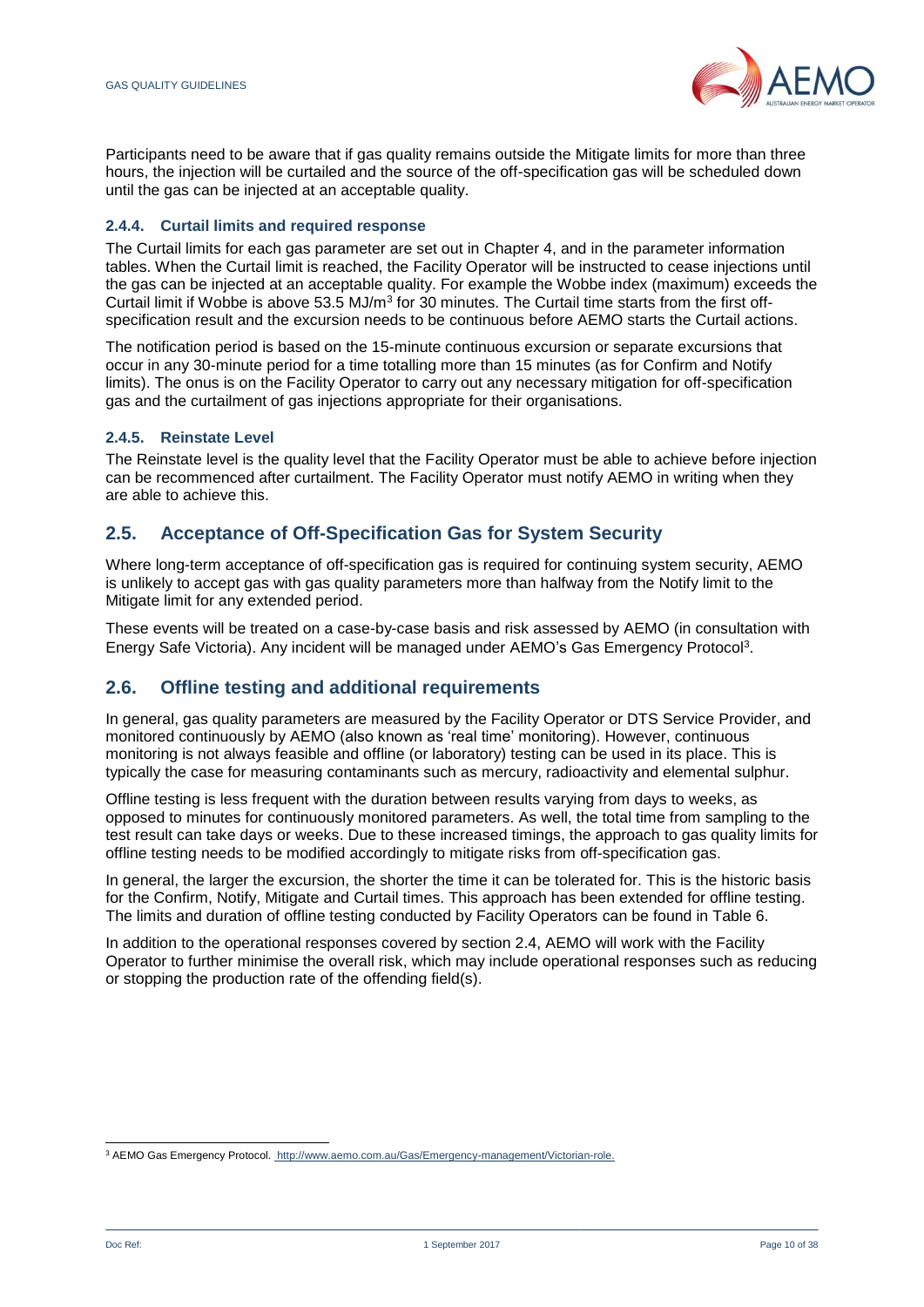

Participants need to be aware that if gas quality remains outside the Mitigate limits for more than three hours, the injection will be curtailed and the source of the off-specification gas will be scheduled down until the gas can be injected at an acceptable quality.

## **2.4.4. Curtail limits and required response**

The Curtail limits for each gas parameter are set out in Chapter 4, and in the parameter information tables. When the Curtail limit is reached, the Facility Operator will be instructed to cease injections until the gas can be injected at an acceptable quality. For example the Wobbe index (maximum) exceeds the Curtail limit if Wobbe is above 53.5 MJ/ $m^3$  for 30 minutes. The Curtail time starts from the first offspecification result and the excursion needs to be continuous before AEMO starts the Curtail actions.

The notification period is based on the 15-minute continuous excursion or separate excursions that occur in any 30-minute period for a time totalling more than 15 minutes (as for Confirm and Notify limits). The onus is on the Facility Operator to carry out any necessary mitigation for off-specification gas and the curtailment of gas injections appropriate for their organisations.

## **2.4.5. Reinstate Level**

The Reinstate level is the quality level that the Facility Operator must be able to achieve before injection can be recommenced after curtailment. The Facility Operator must notify AEMO in writing when they are able to achieve this.

## **2.5. Acceptance of Off-Specification Gas for System Security**

Where long-term acceptance of off-specification gas is required for continuing system security, AEMO is unlikely to accept gas with gas quality parameters more than halfway from the Notify limit to the Mitigate limit for any extended period.

These events will be treated on a case-by-case basis and risk assessed by AEMO (in consultation with Energy Safe Victoria). Any incident will be managed under AEMO's Gas Emergency Protocol<sup>3</sup> .

## **2.6. Offline testing and additional requirements**

In general, gas quality parameters are measured by the Facility Operator or DTS Service Provider, and monitored continuously by AEMO (also known as 'real time' monitoring). However, continuous monitoring is not always feasible and offline (or laboratory) testing can be used in its place. This is typically the case for measuring contaminants such as mercury, radioactivity and elemental sulphur.

Offline testing is less frequent with the duration between results varying from days to weeks, as opposed to minutes for continuously monitored parameters. As well, the total time from sampling to the test result can take days or weeks. Due to these increased timings, the approach to gas quality limits for offline testing needs to be modified accordingly to mitigate risks from off-specification gas.

In general, the larger the excursion, the shorter the time it can be tolerated for. This is the historic basis for the Confirm, Notify, Mitigate and Curtail times. This approach has been extended for offline testing. The limits and duration of offline testing conducted by Facility Operators can be found in Table 6.

In addition to the operational responses covered by section 2.4, AEMO will work with the Facility Operator to further minimise the overall risk, which may include operational responses such as reducing or stopping the production rate of the offending field(s).

l <sup>3</sup> AEMO Gas Emergency Protocol.<http://www.aemo.com.au/Gas/Emergency-management/Victorian-role.>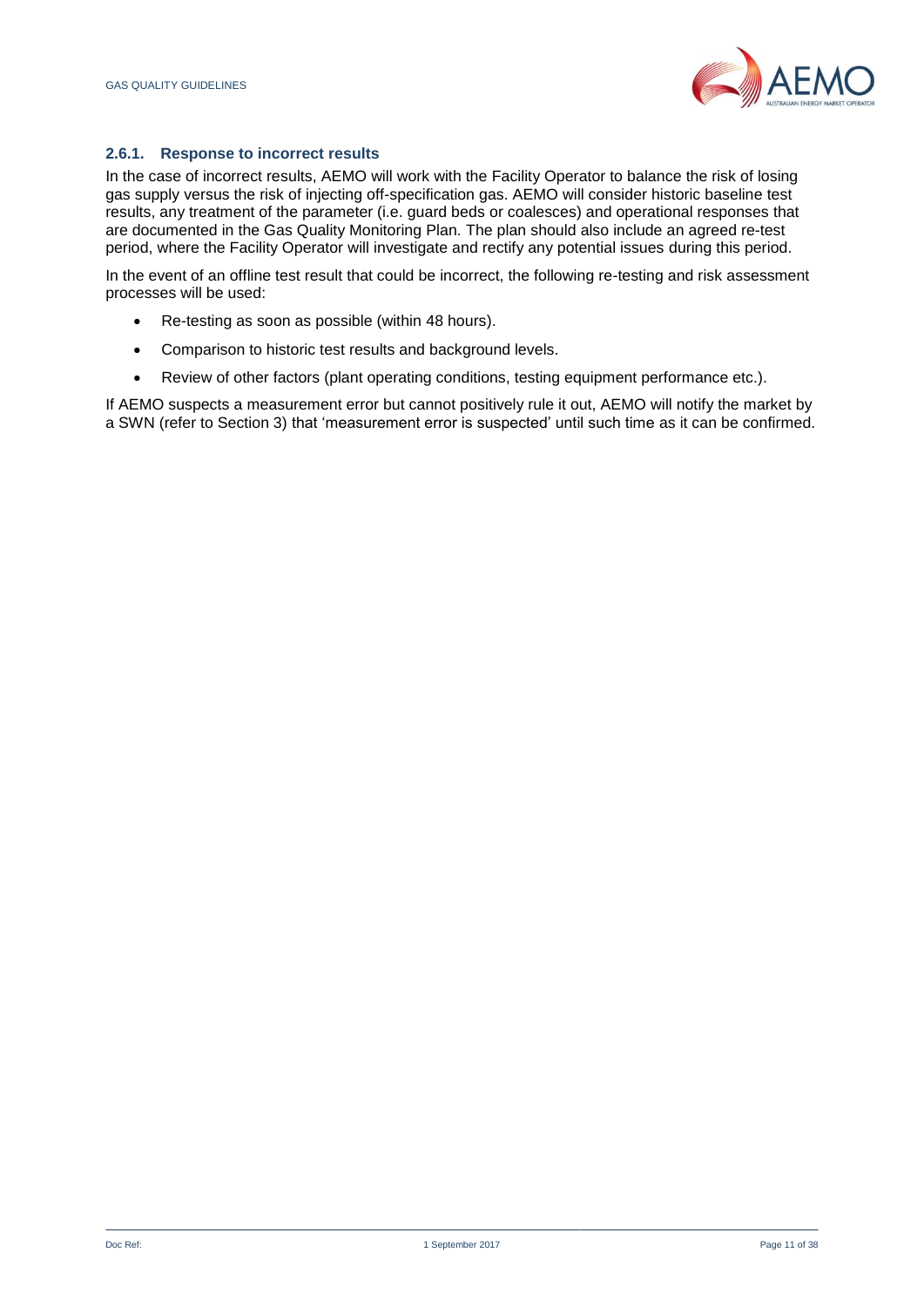

## **2.6.1. Response to incorrect results**

In the case of incorrect results, AEMO will work with the Facility Operator to balance the risk of losing gas supply versus the risk of injecting off-specification gas. AEMO will consider historic baseline test results, any treatment of the parameter (i.e. guard beds or coalesces) and operational responses that are documented in the Gas Quality Monitoring Plan. The plan should also include an agreed re-test period, where the Facility Operator will investigate and rectify any potential issues during this period.

In the event of an offline test result that could be incorrect, the following re-testing and risk assessment processes will be used:

- Re-testing as soon as possible (within 48 hours).
- Comparison to historic test results and background levels.
- Review of other factors (plant operating conditions, testing equipment performance etc.).

If AEMO suspects a measurement error but cannot positively rule it out, AEMO will notify the market by a SWN (refer to Section 3) that 'measurement error is suspected' until such time as it can be confirmed.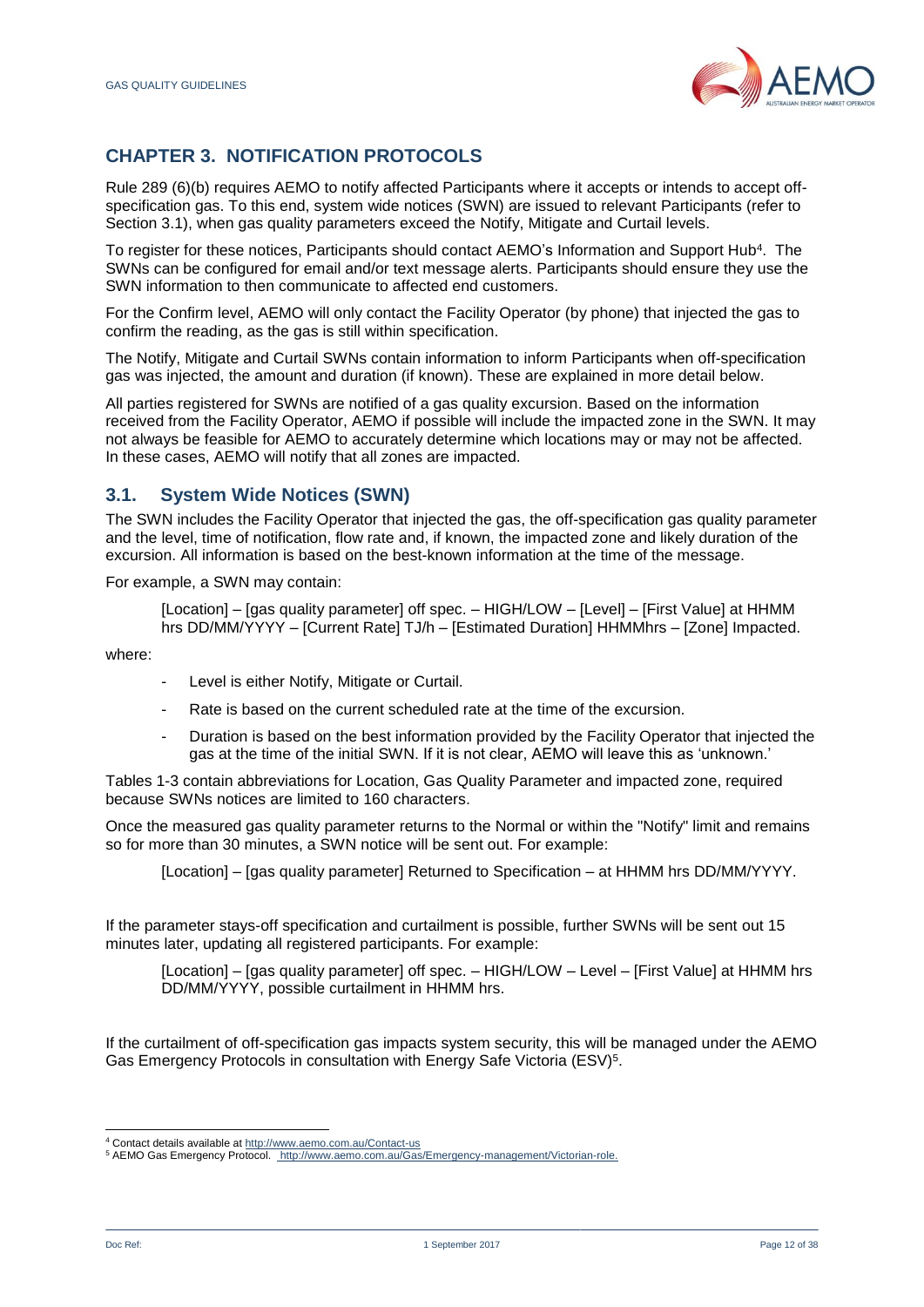

# <span id="page-11-0"></span>**CHAPTER 3. NOTIFICATION PROTOCOLS**

Rule 289 (6)(b) requires AEMO to notify affected Participants where it accepts or intends to accept offspecification gas. To this end, system wide notices (SWN) are issued to relevant Participants (refer to Section 3.1), when gas quality parameters exceed the Notify, Mitigate and Curtail levels.

To register for these notices, Participants should contact AEMO's Information and Support Hub<sup>4</sup>. The SWNs can be configured for email and/or text message alerts. Participants should ensure they use the SWN information to then communicate to affected end customers.

For the Confirm level, AEMO will only contact the Facility Operator (by phone) that injected the gas to confirm the reading, as the gas is still within specification.

The Notify, Mitigate and Curtail SWNs contain information to inform Participants when off-specification gas was injected, the amount and duration (if known). These are explained in more detail below.

All parties registered for SWNs are notified of a gas quality excursion. Based on the information received from the Facility Operator, AEMO if possible will include the impacted zone in the SWN. It may not always be feasible for AEMO to accurately determine which locations may or may not be affected. In these cases, AEMO will notify that all zones are impacted.

## **3.1. System Wide Notices (SWN)**

The SWN includes the Facility Operator that injected the gas, the off-specification gas quality parameter and the level, time of notification, flow rate and, if known, the impacted zone and likely duration of the excursion. All information is based on the best-known information at the time of the message.

For example, a SWN may contain:

[Location] – [gas quality parameter] off spec. – HIGH/LOW – [Level] – [First Value] at HHMM hrs DD/MM/YYYY – [Current Rate] TJ/h – [Estimated Duration] HHMMhrs – [Zone] Impacted.

where:

- Level is either Notify, Mitigate or Curtail.
- Rate is based on the current scheduled rate at the time of the excursion.
- Duration is based on the best information provided by the Facility Operator that injected the gas at the time of the initial SWN. If it is not clear, AEMO will leave this as 'unknown.'

Tables 1-3 contain abbreviations for Location, Gas Quality Parameter and impacted zone, required because SWNs notices are limited to 160 characters.

Once the measured gas quality parameter returns to the Normal or within the "Notify" limit and remains so for more than 30 minutes, a SWN notice will be sent out. For example:

[Location] – [gas quality parameter] Returned to Specification – at HHMM hrs DD/MM/YYYY.

If the parameter stays-off specification and curtailment is possible, further SWNs will be sent out 15 minutes later, updating all registered participants. For example:

[Location] – [gas quality parameter] off spec. – HIGH/LOW – Level – [First Value] at HHMM hrs DD/MM/YYYY, possible curtailment in HHMM hrs.

If the curtailment of off-specification gas impacts system security, this will be managed under the AEMO Gas Emergency Protocols in consultation with Energy Safe Victoria (ESV)<sup>5</sup>.

l

<sup>&</sup>lt;sup>4</sup> Contact details available a[t http://www.aemo.com.au/Contact-us](http://www.aemo.com.au/Contact-us)

<sup>5</sup> AEMO Gas Emergency Protocol.<http://www.aemo.com.au/Gas/Emergency-management/Victorian-role.>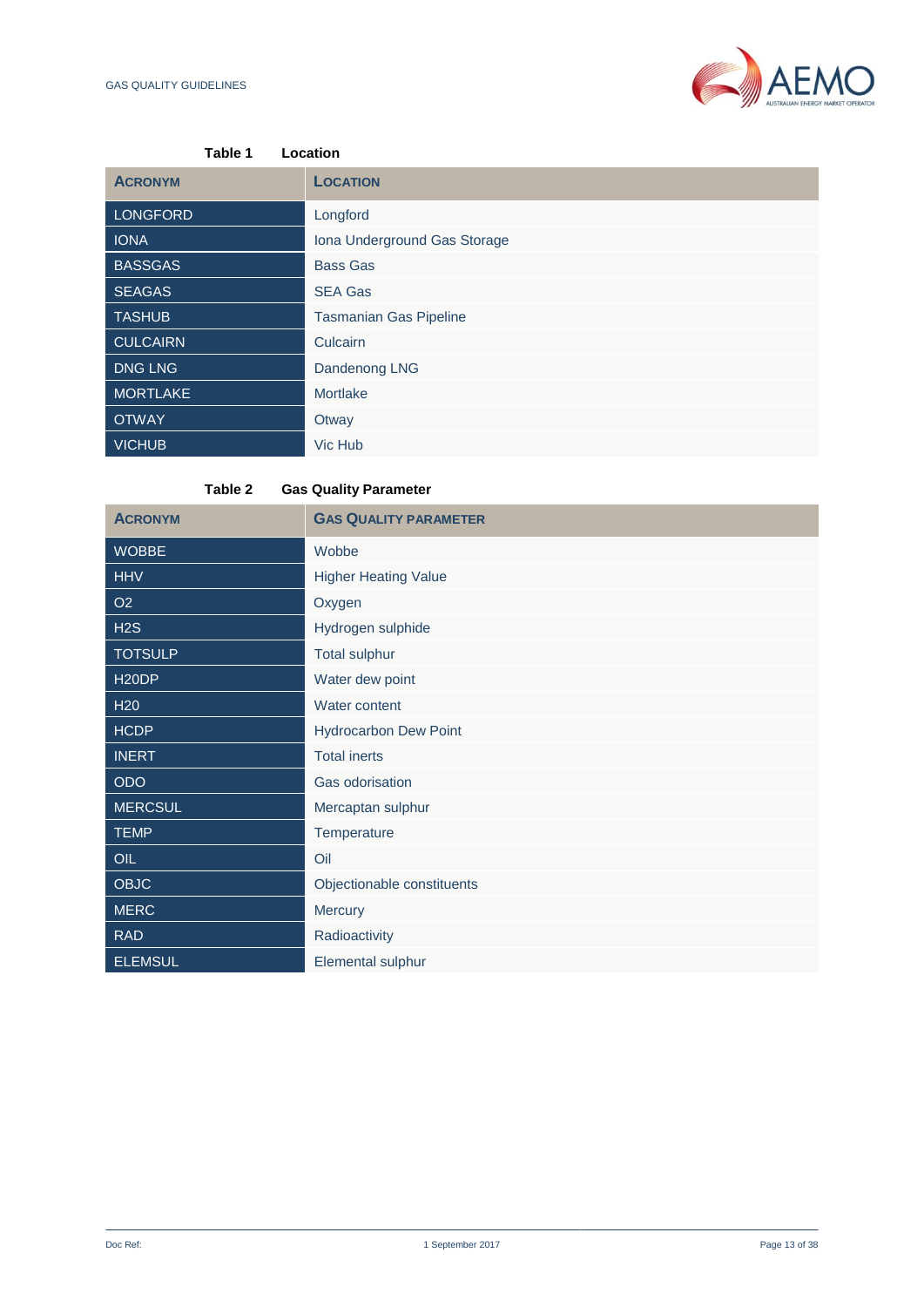

| Table 1         | Location                      |
|-----------------|-------------------------------|
| <b>ACRONYM</b>  | <b>LOCATION</b>               |
| <b>LONGFORD</b> | Longford                      |
| <b>IONA</b>     | Iona Underground Gas Storage  |
| <b>BASSGAS</b>  | <b>Bass Gas</b>               |
| <b>SEAGAS</b>   | <b>SEA Gas</b>                |
| <b>TASHUB</b>   | <b>Tasmanian Gas Pipeline</b> |
| <b>CULCAIRN</b> | Culcairn                      |
| <b>DNG LNG</b>  | Dandenong LNG                 |
| <b>MORTLAKE</b> | Mortlake                      |
| <b>OTWAY</b>    | Otway                         |
| <b>VICHUB</b>   | Vic Hub                       |

**Table 2 Gas Quality Parameter** 

| <b>ACRONYM</b>     | <b>GAS QUALITY PARAMETER</b> |  |  |
|--------------------|------------------------------|--|--|
| <b>WOBBE</b>       | Wobbe                        |  |  |
| <b>HHV</b>         | <b>Higher Heating Value</b>  |  |  |
| O <sub>2</sub>     | Oxygen                       |  |  |
| H2S                | Hydrogen sulphide            |  |  |
| <b>TOTSULP</b>     | <b>Total sulphur</b>         |  |  |
| H <sub>20</sub> DP | Water dew point              |  |  |
| H <sub>20</sub>    | Water content                |  |  |
| <b>HCDP</b>        | <b>Hydrocarbon Dew Point</b> |  |  |
| <b>INERT</b>       | <b>Total inerts</b>          |  |  |
| <b>ODO</b>         | Gas odorisation              |  |  |
| <b>MERCSUL</b>     | Mercaptan sulphur            |  |  |
| <b>TEMP</b>        | Temperature                  |  |  |
| OIL                | Oil                          |  |  |
| <b>OBJC</b>        | Objectionable constituents   |  |  |
| <b>MERC</b>        | Mercury                      |  |  |
| <b>RAD</b>         | Radioactivity                |  |  |
| <b>ELEMSUL</b>     | Elemental sulphur            |  |  |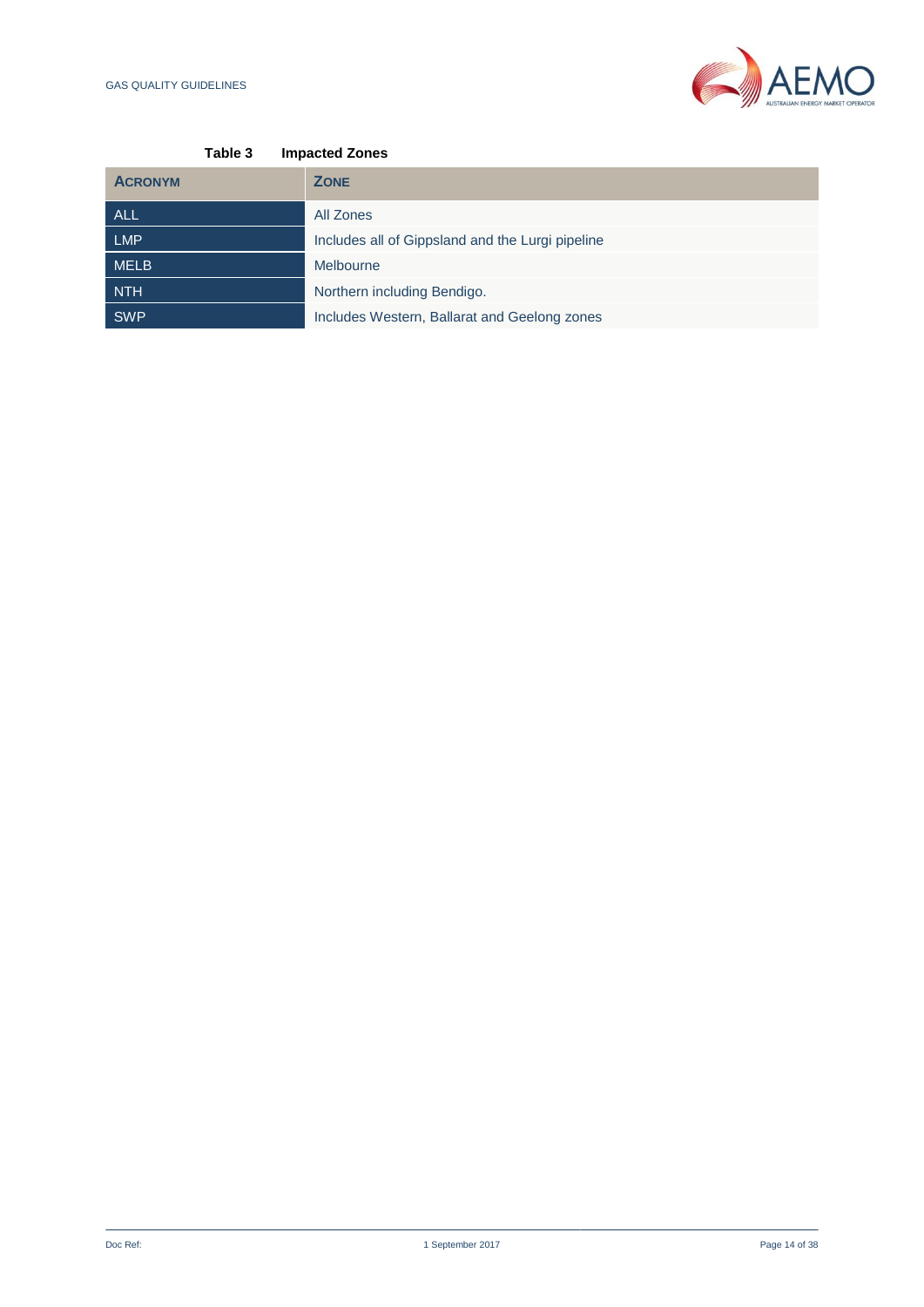

| <b>Impacted Zones</b>                            |
|--------------------------------------------------|
| <b>ZONE</b>                                      |
| All Zones                                        |
| Includes all of Gippsland and the Lurgi pipeline |
| Melbourne                                        |
| Northern including Bendigo.                      |
| Includes Western, Ballarat and Geelong zones     |
|                                                  |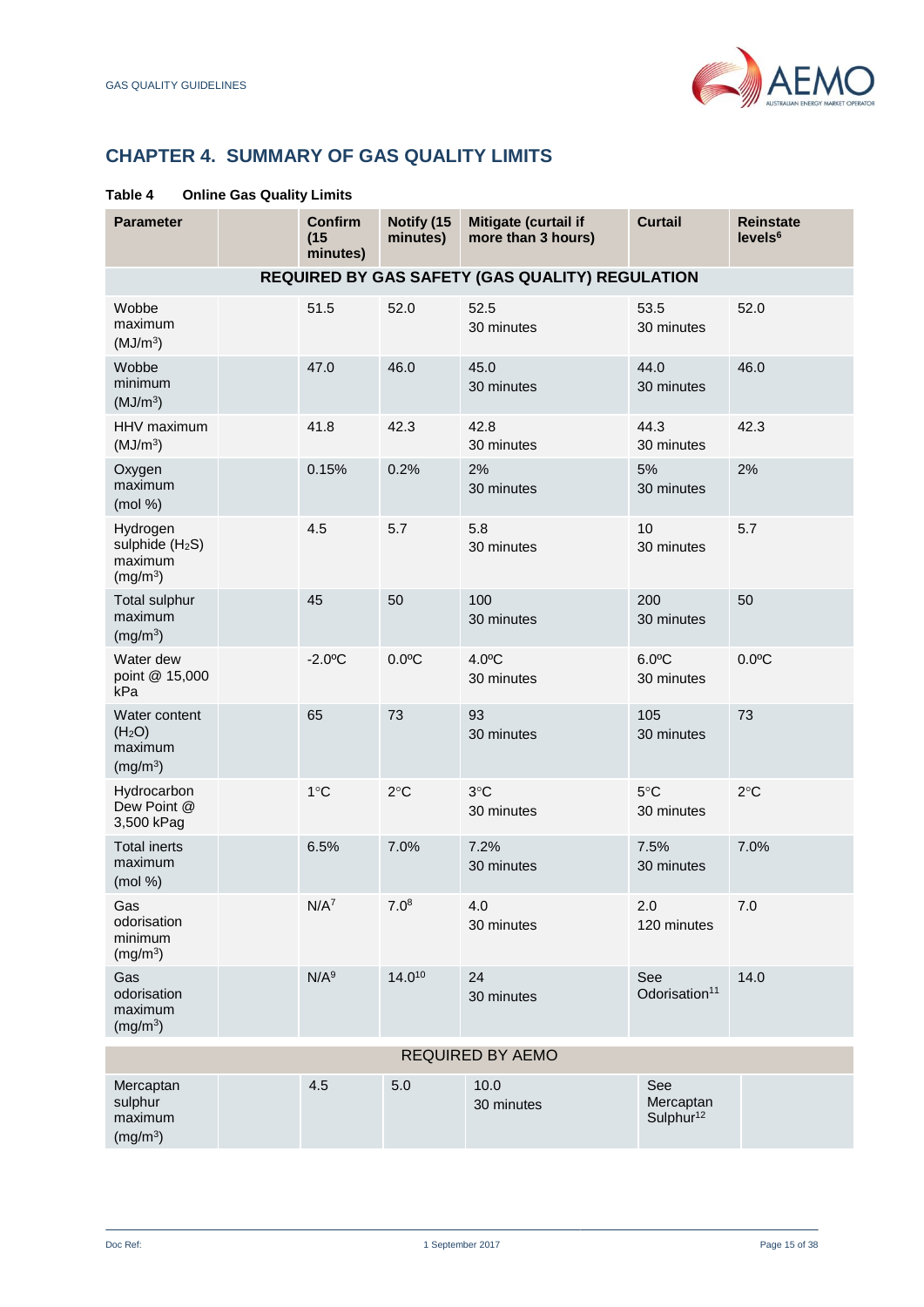

# <span id="page-14-0"></span>**CHAPTER 4. SUMMARY OF GAS QUALITY LIMITS**

| <b>Parameter</b>                                                           | <b>Confirm</b><br>(15)<br>minutes) | Notify (15<br>minutes) | Mitigate (curtail if<br>more than 3 hours)      | <b>Curtail</b>                            | <b>Reinstate</b><br>levels <sup>6</sup> |
|----------------------------------------------------------------------------|------------------------------------|------------------------|-------------------------------------------------|-------------------------------------------|-----------------------------------------|
|                                                                            |                                    |                        | REQUIRED BY GAS SAFETY (GAS QUALITY) REGULATION |                                           |                                         |
| Wobbe<br>maximum<br>(MJ/m <sup>3</sup> )                                   | 51.5                               | 52.0                   | 52.5<br>30 minutes                              | 53.5<br>30 minutes                        | 52.0                                    |
| Wobbe<br>minimum<br>(MJ/m <sup>3</sup> )                                   | 47.0                               | 46.0                   | 45.0<br>30 minutes                              | 44.0<br>30 minutes                        | 46.0                                    |
| HHV maximum<br>(MJ/m <sup>3</sup> )                                        | 41.8                               | 42.3                   | 42.8<br>30 minutes                              | 44.3<br>30 minutes                        | 42.3                                    |
| Oxygen<br>maximum<br>(mod %)                                               | 0.15%                              | 0.2%                   | 2%<br>30 minutes                                | 5%<br>30 minutes                          | 2%                                      |
| Hydrogen<br>sulphide (H <sub>2</sub> S)<br>maximum<br>(mg/m <sup>3</sup> ) | 4.5                                | 5.7                    | 5.8<br>30 minutes                               | 10<br>30 minutes                          | 5.7                                     |
| <b>Total sulphur</b><br>maximum<br>(mg/m <sup>3</sup> )                    | 45                                 | 50                     | 100<br>30 minutes                               | 200<br>30 minutes                         | 50                                      |
| Water dew<br>point @ 15,000<br>kPa                                         | $-2.0$ <sup>o</sup> C              | $0.0$ °C               | $4.0^{\circ}$ C<br>30 minutes                   | $6.0$ °C<br>30 minutes                    | $0.0$ °C                                |
| Water content<br>(H <sub>2</sub> O)<br>maximum<br>(mg/m <sup>3</sup> )     | 65                                 | 73                     | 93<br>30 minutes                                | 105<br>30 minutes                         | 73                                      |
| Hydrocarbon<br>Dew Point @<br>3,500 kPag                                   | $1^{\circ}$ C                      | $2^{\circ}$ C          | $3^{\circ}$ C<br>30 minutes                     | $5^{\circ}$ C<br>30 minutes               | $2^{\circ}$ C                           |
| <b>Total inerts</b><br>maximum<br>(mod %)                                  | 6.5%                               | 7.0%                   | 7.2%<br>30 minutes                              | 7.5%<br>30 minutes                        | 7.0%                                    |
| Gas<br>odorisation<br>minimum<br>(mg/m <sup>3</sup> )                      | N/A <sup>7</sup>                   | 7.0 <sup>8</sup>       | 4.0<br>30 minutes                               | 2.0<br>120 minutes                        | 7.0                                     |
| Gas<br>odorisation<br>maximum<br>(mg/m <sup>3</sup> )                      | N/A <sup>9</sup>                   | 14.010                 | 24<br>30 minutes                                | See<br>Odorisation <sup>11</sup>          | 14.0                                    |
|                                                                            |                                    |                        | <b>REQUIRED BY AEMO</b>                         |                                           |                                         |
| Mercaptan<br>sulphur<br>maximum<br>(mg/m <sup>3</sup> )                    | 4.5                                | 5.0                    | 10.0<br>30 minutes                              | See<br>Mercaptan<br>Sulphur <sup>12</sup> |                                         |

## **Table 4 Online Gas Quality Limits**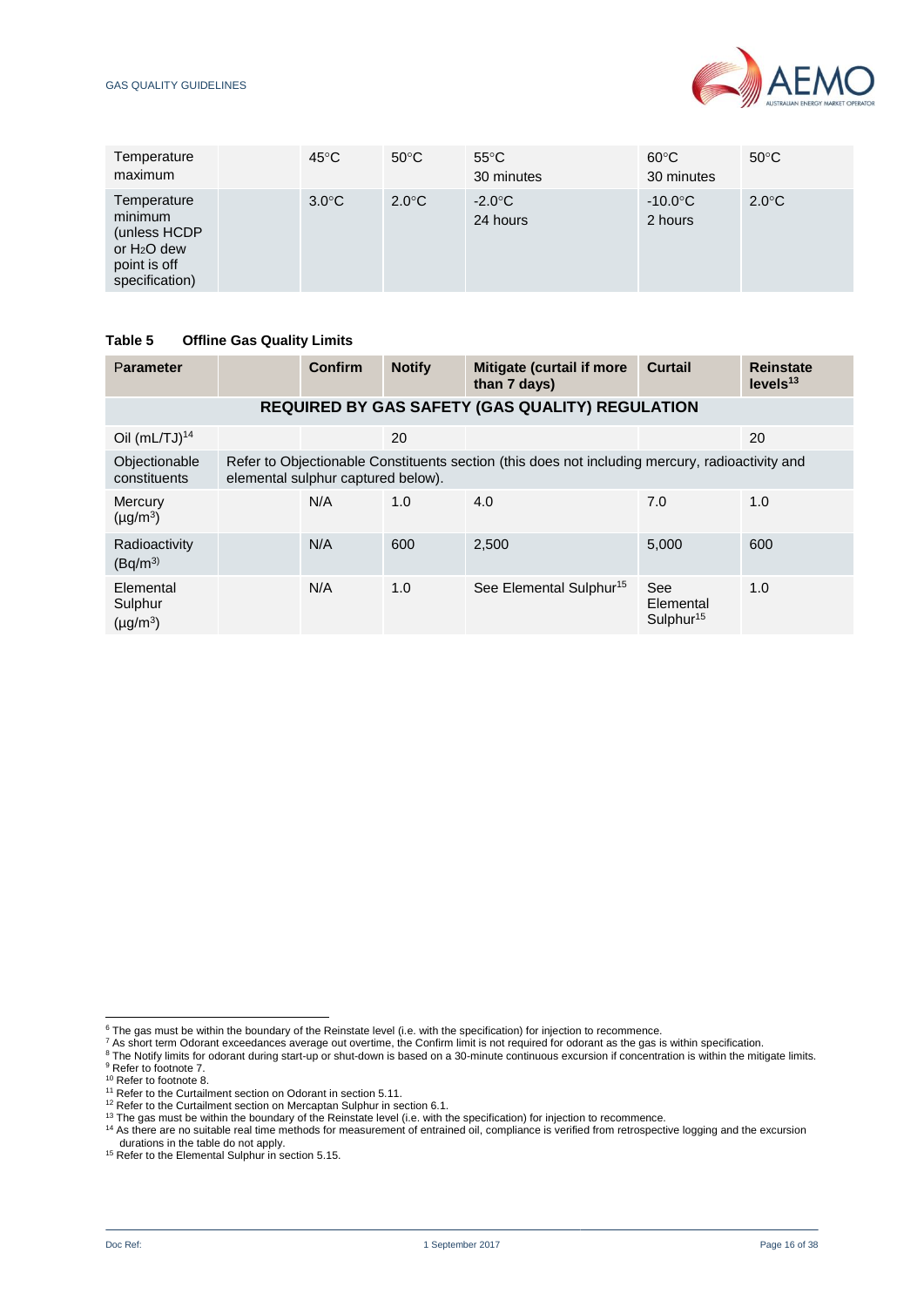#### GAS QUALITY GUIDELINES



| Temperature<br>maximum                                                                   | $45^{\circ}$ C  | $50^{\circ}$ C  | $55^{\circ}$ C<br>30 minutes | $60^{\circ}$ C<br>30 minutes | $50^{\circ}$ C  |
|------------------------------------------------------------------------------------------|-----------------|-----------------|------------------------------|------------------------------|-----------------|
| Temperature<br>minimum<br>(unless HCDP<br>or $H2O$ dew<br>point is off<br>specification) | $3.0^{\circ}$ C | $2.0^{\circ}$ C | $-2.0^{\circ}$ C<br>24 hours | $-10.0^{\circ}$ C<br>2 hours | $2.0^{\circ}$ C |

#### **Table 5 Offline Gas Quality Limits**

| Parameter                             |                                                                                                                                       | Confirm | <b>Notify</b> | Mitigate (curtail if more<br>than 7 days) | <b>Curtail</b>                            | <b>Reinstate</b><br>levels <sup>13</sup> |  |
|---------------------------------------|---------------------------------------------------------------------------------------------------------------------------------------|---------|---------------|-------------------------------------------|-------------------------------------------|------------------------------------------|--|
|                                       | <b>REQUIRED BY GAS SAFETY (GAS QUALITY) REGULATION</b>                                                                                |         |               |                                           |                                           |                                          |  |
| Oil $(mL/TJ)^{14}$                    |                                                                                                                                       |         | 20            |                                           |                                           | 20                                       |  |
| Objectionable<br>constituents         | Refer to Objectionable Constituents section (this does not including mercury, radioactivity and<br>elemental sulphur captured below). |         |               |                                           |                                           |                                          |  |
| Mercury<br>$(\mu g/m^3)$              |                                                                                                                                       | N/A     | 1.0           | 4.0                                       | 7.0                                       | 1.0                                      |  |
| Radioactivity<br>(Bq/m <sup>3</sup> ) |                                                                                                                                       | N/A     | 600           | 2,500                                     | 5,000                                     | 600                                      |  |
| Elemental<br>Sulphur<br>$(\mu g/m^3)$ |                                                                                                                                       | N/A     | 1.0           | See Elemental Sulphur <sup>15</sup>       | See<br>Elemental<br>Sulphur <sup>15</sup> | 1.0                                      |  |

l

 $6$  The gas must be within the boundary of the Reinstate level (i.e. with the specification) for injection to recommence.

 $^7$  As short term Odorant exceedances average out overtime, the Confirm limit is not required for odorant as the gas is within specification.

 $8$  The Notify limits for odorant during start-up or shut-down is based on a 30-minute continuous excursion if concentration is within the mitigate limits. <sup>9</sup> Refer to footnote 7.

<sup>&</sup>lt;sup>10</sup> Refer to footnote 8.

<sup>&</sup>lt;sup>11</sup> Refer to the Curtailment section on Odorant in section 5.11.

<sup>&</sup>lt;sup>12</sup> Refer to the Curtailment section on Mercaptan Sulphur in section 6.1.

<sup>&</sup>lt;sup>13</sup> The gas must be within the boundary of the Reinstate level (i.e. with the specification) for injection to recommence.

<sup>&</sup>lt;sup>14</sup> As there are no suitable real time methods for measurement of entrained oil, compliance is verified from retrospective logging and the excursion durations in the table do not apply. <sup>15</sup> Refer to the Elemental Sulphur in section 5.15.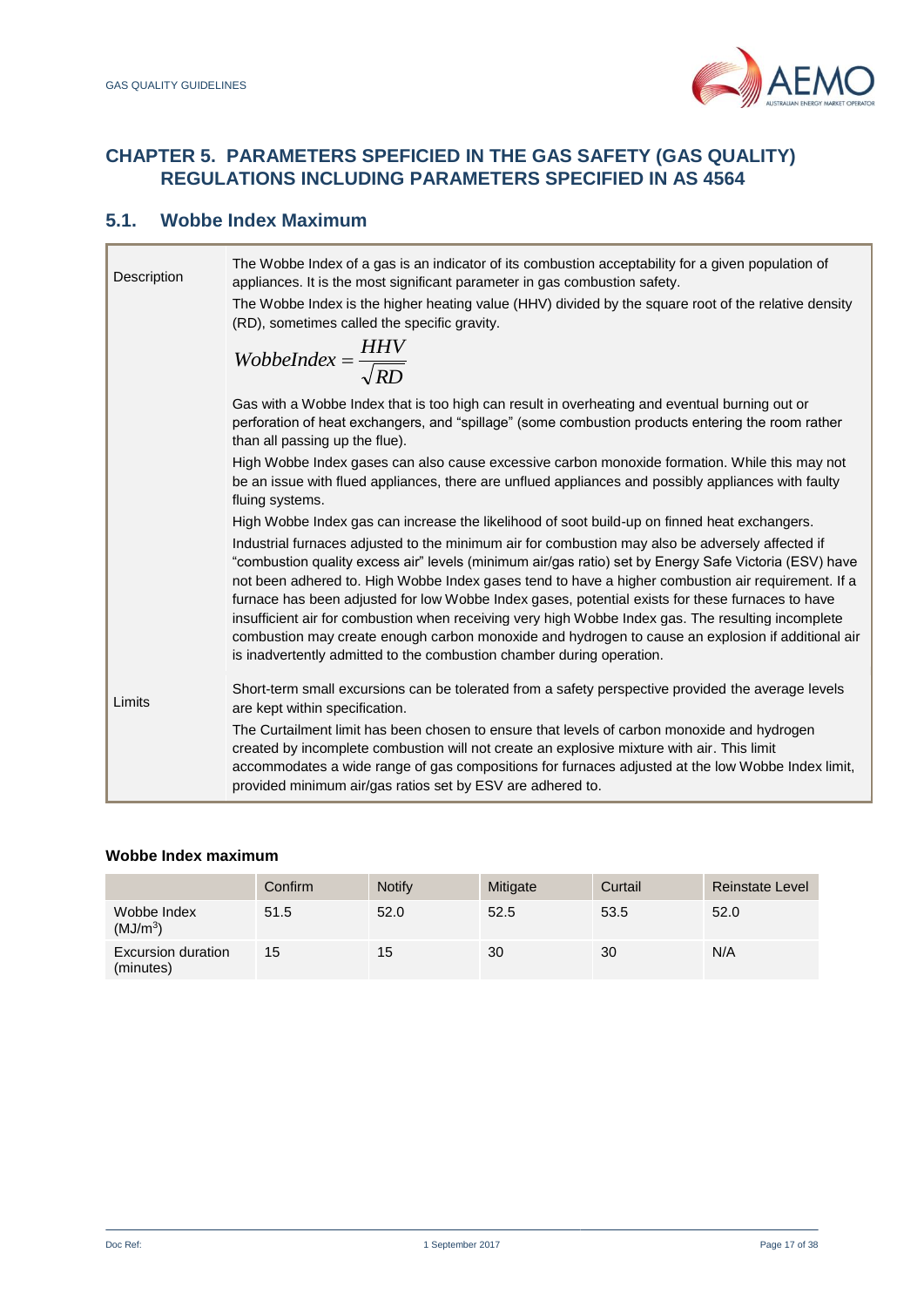

# <span id="page-16-0"></span>**CHAPTER 5. PARAMETERS SPEFICIED IN THE GAS SAFETY (GAS QUALITY) REGULATIONS INCLUDING PARAMETERS SPECIFIED IN AS 4564**

## **5.1. Wobbe Index Maximum**

| Description | The Wobbe Index of a gas is an indicator of its combustion acceptability for a given population of<br>appliances. It is the most significant parameter in gas combustion safety.<br>The Wobbe Index is the higher heating value (HHV) divided by the square root of the relative density<br>(RD), sometimes called the specific gravity.<br>WobbeIndex = $\frac{HHV}{\sqrt{RD}}$                                                                                                                                                                                                                                                                                                                                                                                                                       |
|-------------|--------------------------------------------------------------------------------------------------------------------------------------------------------------------------------------------------------------------------------------------------------------------------------------------------------------------------------------------------------------------------------------------------------------------------------------------------------------------------------------------------------------------------------------------------------------------------------------------------------------------------------------------------------------------------------------------------------------------------------------------------------------------------------------------------------|
|             | Gas with a Wobbe Index that is too high can result in overheating and eventual burning out or<br>perforation of heat exchangers, and "spillage" (some combustion products entering the room rather<br>than all passing up the flue).                                                                                                                                                                                                                                                                                                                                                                                                                                                                                                                                                                   |
|             | High Wobbe Index gases can also cause excessive carbon monoxide formation. While this may not<br>be an issue with flued appliances, there are unflued appliances and possibly appliances with faulty<br>fluing systems.                                                                                                                                                                                                                                                                                                                                                                                                                                                                                                                                                                                |
|             | High Wobbe Index gas can increase the likelihood of soot build-up on finned heat exchangers.<br>Industrial furnaces adjusted to the minimum air for combustion may also be adversely affected if<br>combustion quality excess air" levels (minimum air/qas ratio) set by Energy Safe Victoria (ESV) have<br>not been adhered to. High Wobbe Index gases tend to have a higher combustion air requirement. If a<br>furnace has been adjusted for low Wobbe Index gases, potential exists for these furnaces to have<br>insufficient air for combustion when receiving very high Wobbe Index gas. The resulting incomplete<br>combustion may create enough carbon monoxide and hydrogen to cause an explosion if additional air<br>is inadvertently admitted to the combustion chamber during operation. |
| Limits      | Short-term small excursions can be tolerated from a safety perspective provided the average levels<br>are kept within specification.<br>The Curtailment limit has been chosen to ensure that levels of carbon monoxide and hydrogen<br>created by incomplete combustion will not create an explosive mixture with air. This limit<br>accommodates a wide range of gas compositions for furnaces adjusted at the low Wobbe Index limit,<br>provided minimum air/gas ratios set by ESV are adhered to.                                                                                                                                                                                                                                                                                                   |

## **Wobbe Index maximum**

|                                        | Confirm | <b>Notify</b> | <b>Mitigate</b> | Curtail | <b>Reinstate Level</b> |
|----------------------------------------|---------|---------------|-----------------|---------|------------------------|
| Wobbe Index<br>(MJ/m <sup>3</sup> )    | 51.5    | 52.0          | 52.5            | 53.5    | 52.0                   |
| <b>Excursion duration</b><br>(minutes) | 15      | 15            | 30              | 30      | N/A                    |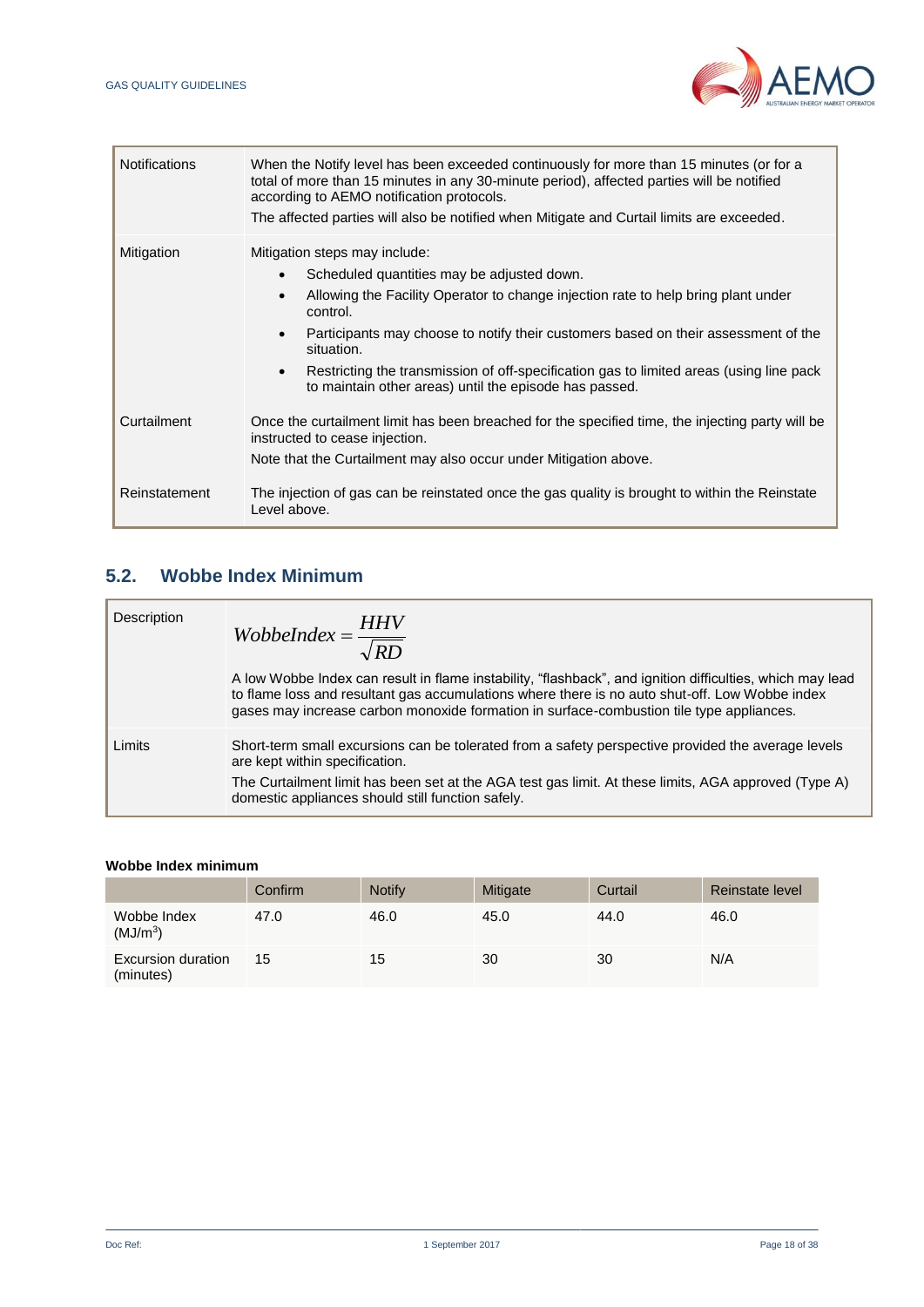

| <b>Notifications</b> | When the Notify level has been exceeded continuously for more than 15 minutes (or for a<br>total of more than 15 minutes in any 30-minute period), affected parties will be notified<br>according to AEMO notification protocols.<br>The affected parties will also be notified when Mitigate and Curtail limits are exceeded.                                                                                                                                                            |
|----------------------|-------------------------------------------------------------------------------------------------------------------------------------------------------------------------------------------------------------------------------------------------------------------------------------------------------------------------------------------------------------------------------------------------------------------------------------------------------------------------------------------|
| Mitigation           | Mitigation steps may include:<br>Scheduled quantities may be adjusted down.<br>$\bullet$<br>Allowing the Facility Operator to change injection rate to help bring plant under<br>$\bullet$<br>control.<br>Participants may choose to notify their customers based on their assessment of the<br>$\bullet$<br>situation.<br>Restricting the transmission of off-specification gas to limited areas (using line pack<br>$\bullet$<br>to maintain other areas) until the episode has passed. |
| Curtailment          | Once the curtailment limit has been breached for the specified time, the injecting party will be<br>instructed to cease injection.<br>Note that the Curtailment may also occur under Mitigation above.                                                                                                                                                                                                                                                                                    |
| Reinstatement        | The injection of gas can be reinstated once the gas quality is brought to within the Reinstate<br>Level above.                                                                                                                                                                                                                                                                                                                                                                            |

# **5.2. Wobbe Index Minimum**

| Description | WobbeIndex = $\frac{HHV}{\sqrt{RD}}$                                                                                                                                                                                                                                                                    |
|-------------|---------------------------------------------------------------------------------------------------------------------------------------------------------------------------------------------------------------------------------------------------------------------------------------------------------|
|             | A low Wobbe Index can result in flame instability, "flashback", and ignition difficulties, which may lead<br>to flame loss and resultant gas accumulations where there is no auto shut-off. Low Wobbe index<br>gases may increase carbon monoxide formation in surface-combustion tile type appliances. |
| Limits      | Short-term small excursions can be tolerated from a safety perspective provided the average levels<br>are kept within specification.                                                                                                                                                                    |
|             | The Curtailment limit has been set at the AGA test gas limit. At these limits, AGA approved (Type A)<br>domestic appliances should still function safely.                                                                                                                                               |

## **Wobbe Index minimum**

|                                     | Confirm | <b>Notify</b> | Mitigate | Curtail | Reinstate level |
|-------------------------------------|---------|---------------|----------|---------|-----------------|
| Wobbe Index<br>(MJ/m <sup>3</sup> ) | 47.0    | 46.0          | 45.0     | 44.0    | 46.0            |
| Excursion duration<br>(minutes)     | 15      | 15            | 30       | 30      | N/A             |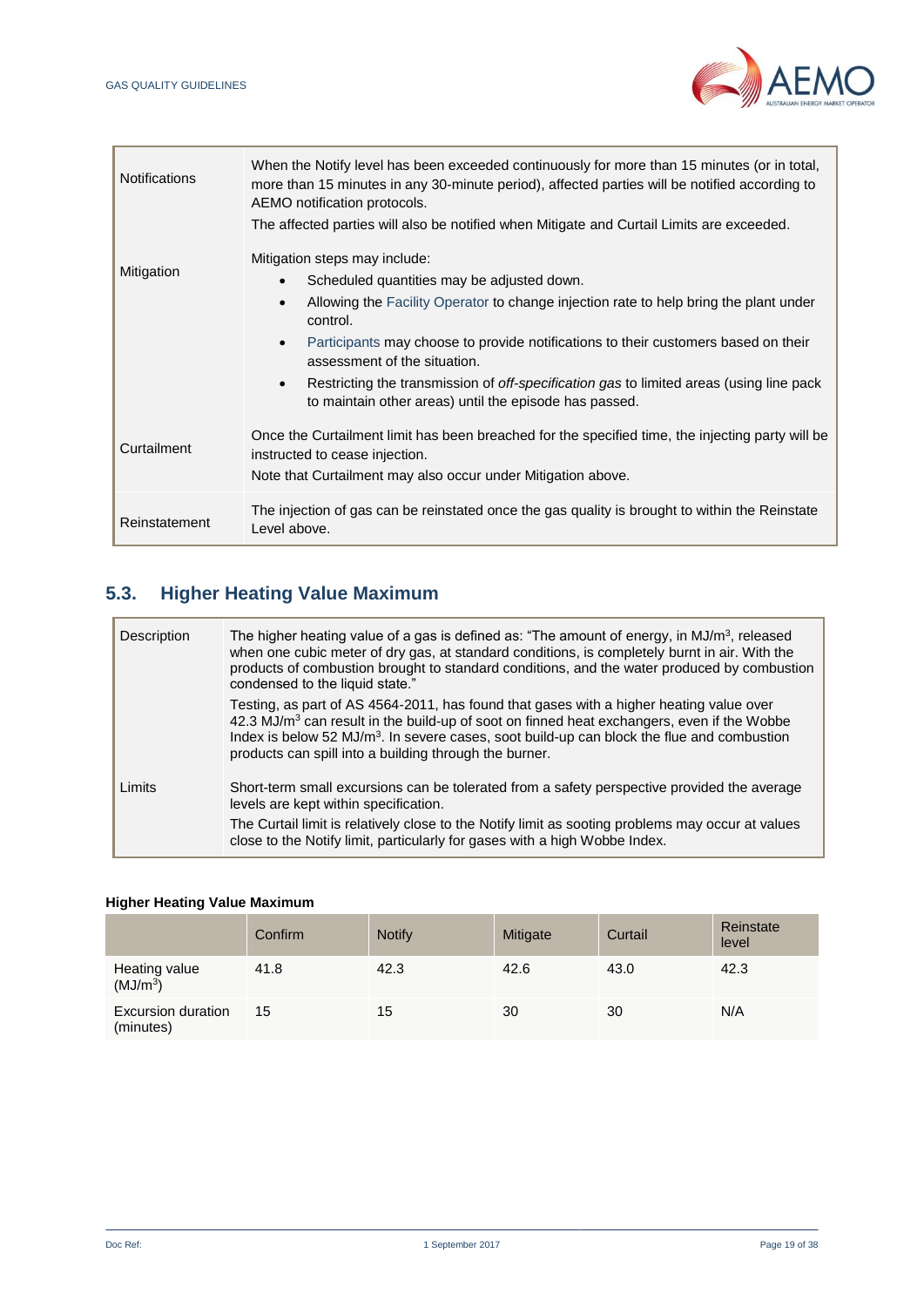

| <b>Notifications</b> | When the Notify level has been exceeded continuously for more than 15 minutes (or in total,<br>more than 15 minutes in any 30-minute period), affected parties will be notified according to<br>AEMO notification protocols. |
|----------------------|------------------------------------------------------------------------------------------------------------------------------------------------------------------------------------------------------------------------------|
|                      | The affected parties will also be notified when Mitigate and Curtail Limits are exceeded.                                                                                                                                    |
| Mitigation           | Mitigation steps may include:                                                                                                                                                                                                |
|                      | Scheduled quantities may be adjusted down.<br>$\bullet$                                                                                                                                                                      |
|                      | Allowing the Facility Operator to change injection rate to help bring the plant under<br>$\bullet$<br>control.                                                                                                               |
|                      | Participants may choose to provide notifications to their customers based on their<br>$\bullet$<br>assessment of the situation.                                                                                              |
|                      | Restricting the transmission of <i>off-specification gas</i> to limited areas (using line pack<br>$\bullet$<br>to maintain other areas) until the episode has passed.                                                        |
| Curtailment          | Once the Curtailment limit has been breached for the specified time, the injecting party will be<br>instructed to cease injection.                                                                                           |
|                      | Note that Curtailment may also occur under Mitigation above.                                                                                                                                                                 |
| Reinstatement        | The injection of gas can be reinstated once the gas quality is brought to within the Reinstate<br>Level above.                                                                                                               |

# **5.3. Higher Heating Value Maximum**

| Description | The higher heating value of a gas is defined as: "The amount of energy, in $MJ/m3$ , released<br>when one cubic meter of dry gas, at standard conditions, is completely burnt in air. With the<br>products of combustion brought to standard conditions, and the water produced by combustion<br>condensed to the liquid state."                                        |
|-------------|-------------------------------------------------------------------------------------------------------------------------------------------------------------------------------------------------------------------------------------------------------------------------------------------------------------------------------------------------------------------------|
|             | Testing, as part of AS 4564-2011, has found that gases with a higher heating value over<br>$42.3$ MJ/m <sup>3</sup> can result in the build-up of soot on finned heat exchangers, even if the Wobbe<br>Index is below 52 MJ/m <sup>3</sup> . In severe cases, soot build-up can block the flue and combustion<br>products can spill into a building through the burner. |
| Limits      | Short-term small excursions can be tolerated from a safety perspective provided the average<br>levels are kept within specification.<br>The Curtail limit is relatively close to the Notify limit as sooting problems may occur at values                                                                                                                               |
|             | close to the Notify limit, particularly for gases with a high Wobbe Index.                                                                                                                                                                                                                                                                                              |

## **Higher Heating Value Maximum**

|                                       | Confirm | <b>Notify</b> | Mitigate | Curtail | Reinstate<br>level |
|---------------------------------------|---------|---------------|----------|---------|--------------------|
| Heating value<br>(MJ/m <sup>3</sup> ) | 41.8    | 42.3          | 42.6     | 43.0    | 42.3               |
| Excursion duration<br>(minutes)       | 15      | 15            | 30       | 30      | N/A                |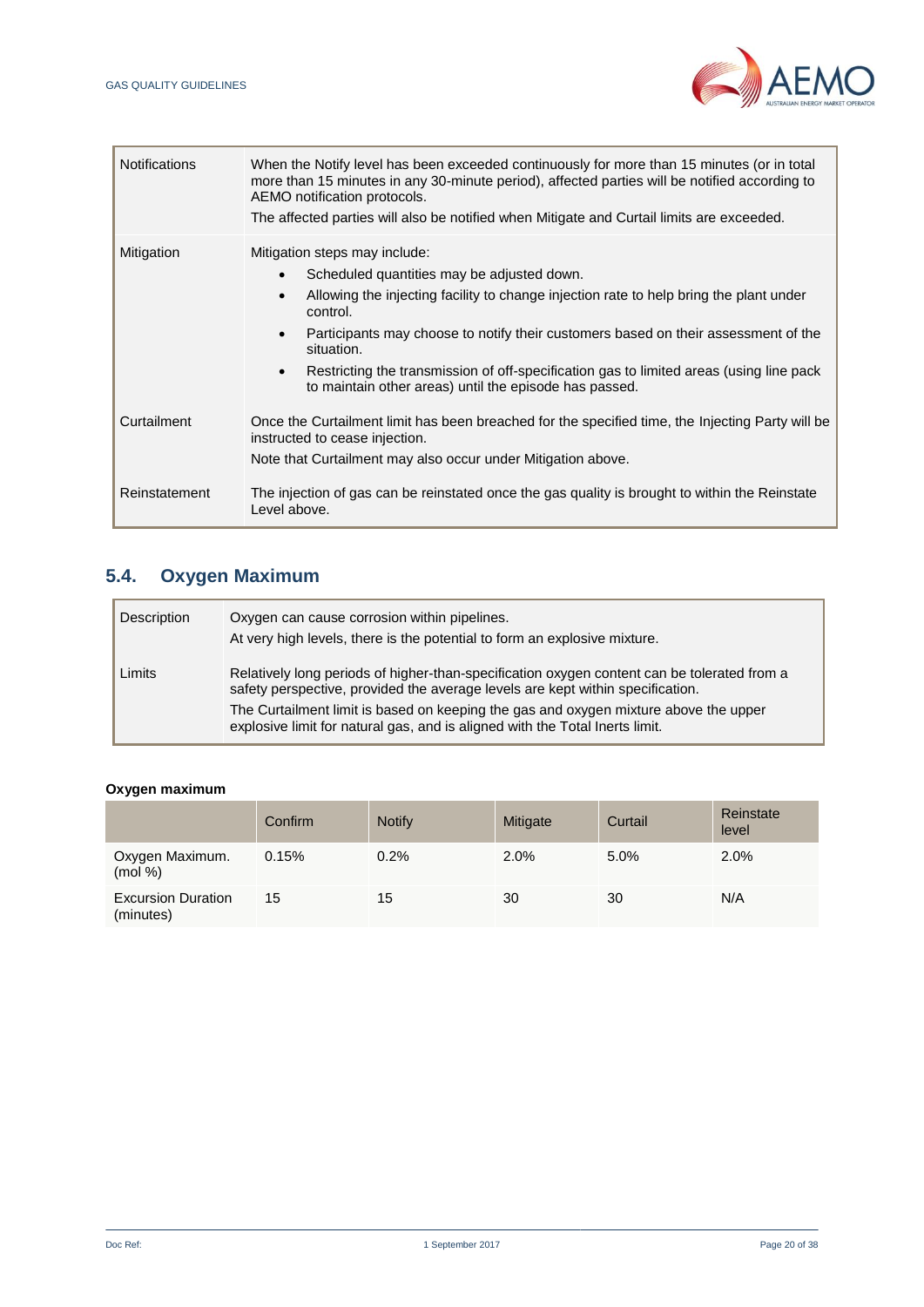

| <b>Notifications</b> | When the Notify level has been exceeded continuously for more than 15 minutes (or in total<br>more than 15 minutes in any 30-minute period), affected parties will be notified according to<br>AEMO notification protocols.<br>The affected parties will also be notified when Mitigate and Curtail limits are exceeded.                                                                                                                                                                       |
|----------------------|------------------------------------------------------------------------------------------------------------------------------------------------------------------------------------------------------------------------------------------------------------------------------------------------------------------------------------------------------------------------------------------------------------------------------------------------------------------------------------------------|
| Mitigation           | Mitigation steps may include:<br>Scheduled quantities may be adjusted down.<br>$\bullet$<br>Allowing the injecting facility to change injection rate to help bring the plant under<br>$\bullet$<br>control.<br>Participants may choose to notify their customers based on their assessment of the<br>$\bullet$<br>situation.<br>Restricting the transmission of off-specification gas to limited areas (using line pack<br>$\bullet$<br>to maintain other areas) until the episode has passed. |
| Curtailment          | Once the Curtailment limit has been breached for the specified time, the Injecting Party will be<br>instructed to cease injection.<br>Note that Curtailment may also occur under Mitigation above.                                                                                                                                                                                                                                                                                             |
| Reinstatement        | The injection of gas can be reinstated once the gas quality is brought to within the Reinstate<br>Level above.                                                                                                                                                                                                                                                                                                                                                                                 |

# **5.4. Oxygen Maximum**

| Description | Oxygen can cause corrosion within pipelines.<br>At very high levels, there is the potential to form an explosive mixture.                                                                                                                                                                                                                             |
|-------------|-------------------------------------------------------------------------------------------------------------------------------------------------------------------------------------------------------------------------------------------------------------------------------------------------------------------------------------------------------|
| Limits      | Relatively long periods of higher-than-specification oxygen content can be tolerated from a<br>safety perspective, provided the average levels are kept within specification.<br>The Curtailment limit is based on keeping the gas and oxygen mixture above the upper<br>explosive limit for natural gas, and is aligned with the Total Inerts limit. |

## **Oxygen maximum**

|                                        | Confirm | <b>Notify</b> | Mitigate | Curtail | Reinstate<br>level |
|----------------------------------------|---------|---------------|----------|---------|--------------------|
| Oxygen Maximum.<br>(mod %)             | 0.15%   | 0.2%          | 2.0%     | 5.0%    | 2.0%               |
| <b>Excursion Duration</b><br>(minutes) | 15      | 15            | 30       | 30      | N/A                |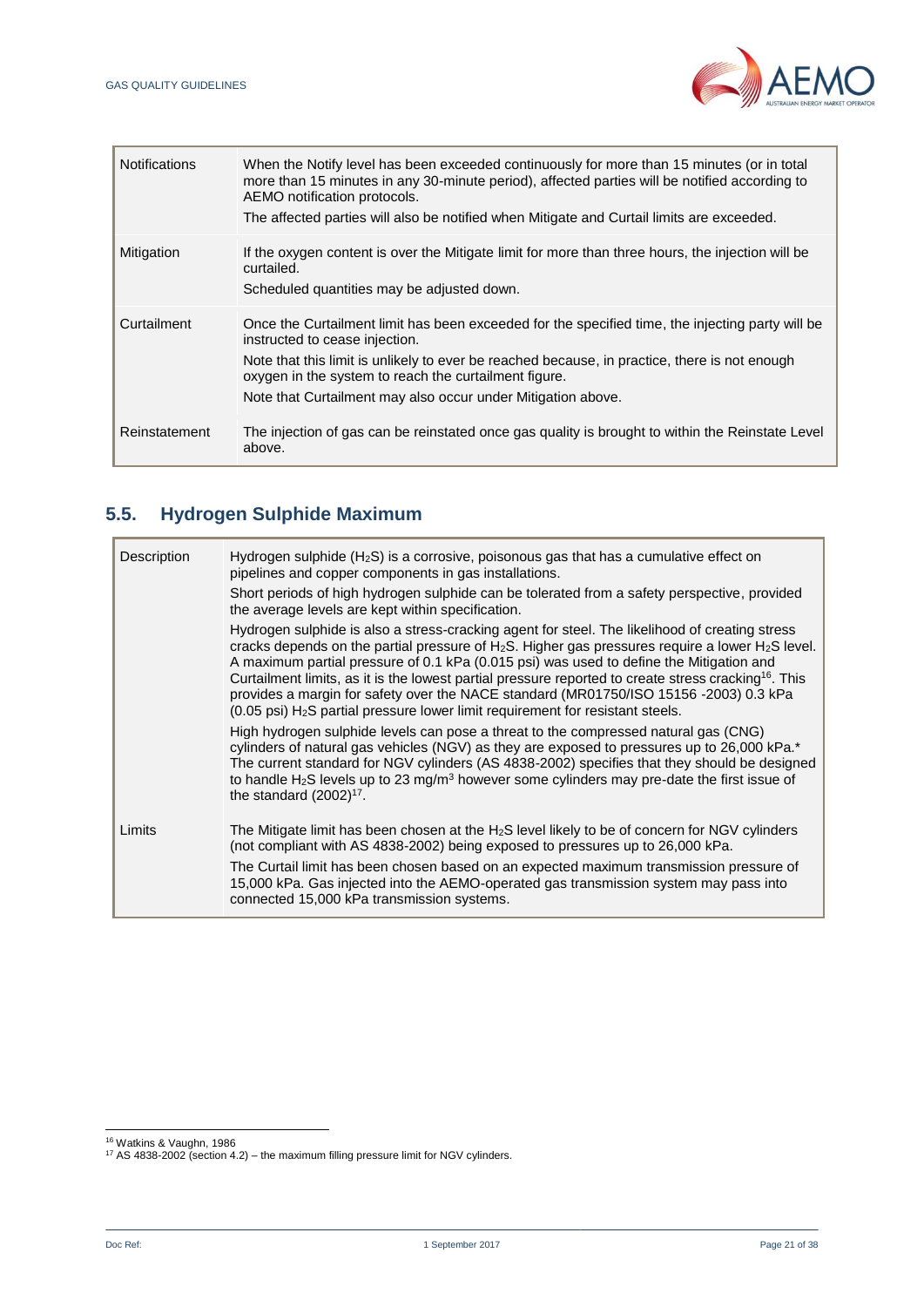

| <b>Notifications</b> | When the Notify level has been exceeded continuously for more than 15 minutes (or in total<br>more than 15 minutes in any 30-minute period), affected parties will be notified according to<br>AEMO notification protocols.<br>The affected parties will also be notified when Mitigate and Curtail limits are exceeded.                                     |
|----------------------|--------------------------------------------------------------------------------------------------------------------------------------------------------------------------------------------------------------------------------------------------------------------------------------------------------------------------------------------------------------|
| Mitigation           | If the oxygen content is over the Mitigate limit for more than three hours, the injection will be<br>curtailed.<br>Scheduled quantities may be adjusted down.                                                                                                                                                                                                |
| Curtailment          | Once the Curtailment limit has been exceeded for the specified time, the injecting party will be<br>instructed to cease injection.<br>Note that this limit is unlikely to ever be reached because, in practice, there is not enough<br>oxygen in the system to reach the curtailment figure.<br>Note that Curtailment may also occur under Mitigation above. |
| Reinstatement        | The injection of gas can be reinstated once gas quality is brought to within the Reinstate Level<br>above.                                                                                                                                                                                                                                                   |

# **5.5. Hydrogen Sulphide Maximum**

| Description | Hydrogen sulphide $(H_2S)$ is a corrosive, poisonous gas that has a cumulative effect on<br>pipelines and copper components in gas installations.<br>Short periods of high hydrogen sulphide can be tolerated from a safety perspective, provided<br>the average levels are kept within specification.<br>Hydrogen sulphide is also a stress-cracking agent for steel. The likelihood of creating stress<br>cracks depends on the partial pressure of $H_2S$ . Higher gas pressures require a lower $H_2S$ level. |
|-------------|-------------------------------------------------------------------------------------------------------------------------------------------------------------------------------------------------------------------------------------------------------------------------------------------------------------------------------------------------------------------------------------------------------------------------------------------------------------------------------------------------------------------|
|             | A maximum partial pressure of 0.1 kPa (0.015 psi) was used to define the Mitigation and<br>Curtailment limits, as it is the lowest partial pressure reported to create stress cracking <sup>16</sup> . This<br>provides a margin for safety over the NACE standard (MR01750/ISO 15156 -2003) 0.3 kPa<br>(0.05 psi) H <sub>2</sub> S partial pressure lower limit requirement for resistant steels.                                                                                                                |
|             | High hydrogen sulphide levels can pose a threat to the compressed natural gas (CNG)<br>cylinders of natural gas vehicles (NGV) as they are exposed to pressures up to 26,000 kPa.*<br>The current standard for NGV cylinders (AS 4838-2002) specifies that they should be designed<br>to handle H <sub>2</sub> S levels up to 23 mg/m <sup>3</sup> however some cylinders may pre-date the first issue of<br>the standard $(2002)^{17}$ .                                                                         |
| Limits      | The Mitigate limit has been chosen at the $H_2S$ level likely to be of concern for NGV cylinders<br>(not compliant with AS 4838-2002) being exposed to pressures up to 26,000 kPa.<br>The Curtail limit has been chosen based on an expected maximum transmission pressure of<br>15,000 kPa. Gas injected into the AEMO-operated gas transmission system may pass into<br>connected 15,000 kPa transmission systems.                                                                                              |

l

<sup>16</sup> Watkins & Vaughn, 1986

<sup>&</sup>lt;sup>17</sup> AS 4838-2002 (section 4.2) – the maximum filling pressure limit for NGV cylinders.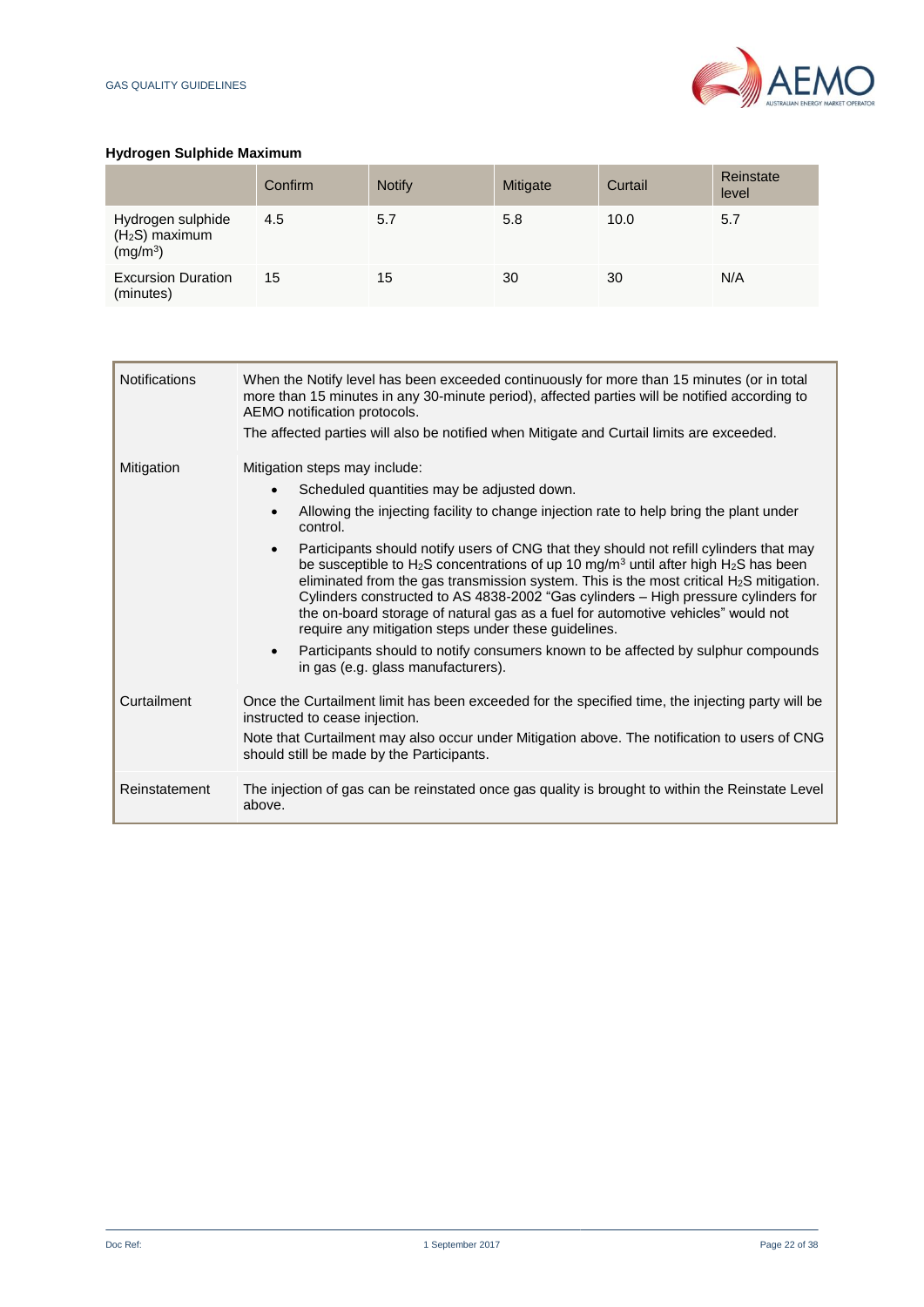

## **Hydrogen Sulphide Maximum**

|                                                                         | Confirm | <b>Notify</b> | Mitigate | Curtail | Reinstate<br>level |
|-------------------------------------------------------------------------|---------|---------------|----------|---------|--------------------|
| Hydrogen sulphide<br>(H <sub>2</sub> S) maximum<br>(mg/m <sup>3</sup> ) | 4.5     | 5.7           | 5.8      | 10.0    | 5.7                |
| <b>Excursion Duration</b><br>(minutes)                                  | 15      | 15            | 30       | 30      | N/A                |

| <b>Notifications</b> | When the Notify level has been exceeded continuously for more than 15 minutes (or in total<br>more than 15 minutes in any 30-minute period), affected parties will be notified according to<br>AEMO notification protocols.<br>The affected parties will also be notified when Mitigate and Curtail limits are exceeded.                                                                                                                                                                                                                                                                                                                                                                                                                                                                                                                                         |
|----------------------|------------------------------------------------------------------------------------------------------------------------------------------------------------------------------------------------------------------------------------------------------------------------------------------------------------------------------------------------------------------------------------------------------------------------------------------------------------------------------------------------------------------------------------------------------------------------------------------------------------------------------------------------------------------------------------------------------------------------------------------------------------------------------------------------------------------------------------------------------------------|
| Mitigation           | Mitigation steps may include:<br>Scheduled quantities may be adjusted down.<br>Allowing the injecting facility to change injection rate to help bring the plant under<br>control.<br>Participants should notify users of CNG that they should not refill cylinders that may<br>be susceptible to H <sub>2</sub> S concentrations of up 10 mg/m <sup>3</sup> until after high H <sub>2</sub> S has been<br>eliminated from the gas transmission system. This is the most critical $H_2S$ mitigation.<br>Cylinders constructed to AS 4838-2002 "Gas cylinders - High pressure cylinders for<br>the on-board storage of natural gas as a fuel for automotive vehicles" would not<br>require any mitigation steps under these guidelines.<br>Participants should to notify consumers known to be affected by sulphur compounds<br>in gas (e.g. glass manufacturers). |
| Curtailment          | Once the Curtailment limit has been exceeded for the specified time, the injecting party will be<br>instructed to cease injection.<br>Note that Curtailment may also occur under Mitigation above. The notification to users of CNG<br>should still be made by the Participants.                                                                                                                                                                                                                                                                                                                                                                                                                                                                                                                                                                                 |
| Reinstatement        | The injection of gas can be reinstated once gas quality is brought to within the Reinstate Level<br>above.                                                                                                                                                                                                                                                                                                                                                                                                                                                                                                                                                                                                                                                                                                                                                       |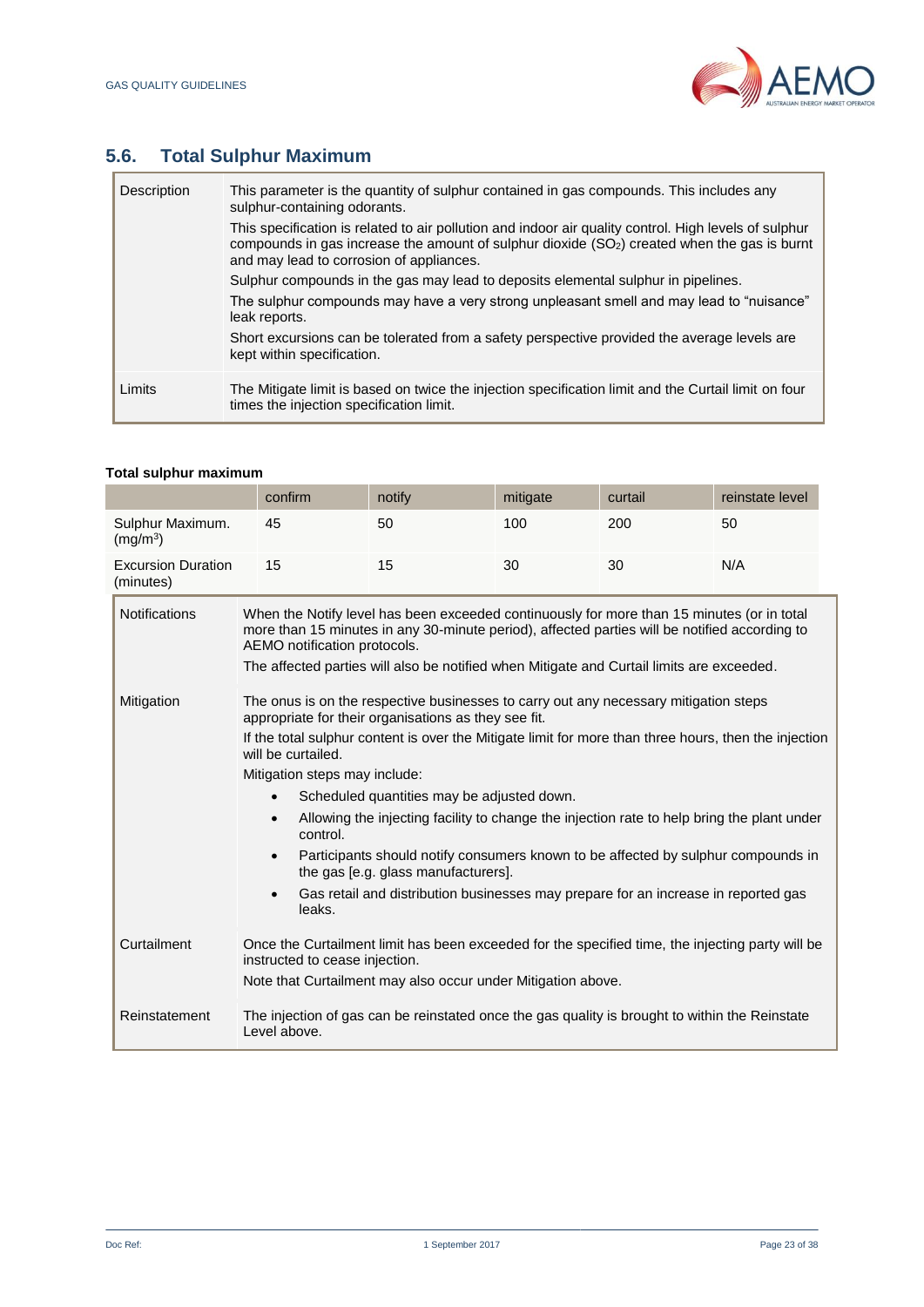

# **5.6. Total Sulphur Maximum**

| Description | This parameter is the quantity of sulphur contained in gas compounds. This includes any<br>sulphur-containing odorants.                                                                                                                                       |
|-------------|---------------------------------------------------------------------------------------------------------------------------------------------------------------------------------------------------------------------------------------------------------------|
|             | This specification is related to air pollution and indoor air quality control. High levels of sulphur<br>compounds in gas increase the amount of sulphur dioxide (SO <sub>2</sub> ) created when the gas is burnt<br>and may lead to corrosion of appliances. |
|             | Sulphur compounds in the gas may lead to deposits elemental sulphur in pipelines.                                                                                                                                                                             |
|             | The sulphur compounds may have a very strong unpleasant smell and may lead to "nuisance"<br>leak reports.                                                                                                                                                     |
|             | Short excursions can be tolerated from a safety perspective provided the average levels are<br>kept within specification.                                                                                                                                     |
| Limits      | The Mitigate limit is based on twice the injection specification limit and the Curtail limit on four<br>times the injection specification limit.                                                                                                              |

## **Total sulphur maximum**

|                                          |                                                                                                                                                                                                                                                                                                                                                                                                                                                                                                                                                                                                                                                                                                                                                      | confirm                                                                                                                                                                                                                                                                                                                  | notify | mitigate | curtail | reinstate level |  |  |
|------------------------------------------|------------------------------------------------------------------------------------------------------------------------------------------------------------------------------------------------------------------------------------------------------------------------------------------------------------------------------------------------------------------------------------------------------------------------------------------------------------------------------------------------------------------------------------------------------------------------------------------------------------------------------------------------------------------------------------------------------------------------------------------------------|--------------------------------------------------------------------------------------------------------------------------------------------------------------------------------------------------------------------------------------------------------------------------------------------------------------------------|--------|----------|---------|-----------------|--|--|
| Sulphur Maximum.<br>(mg/m <sup>3</sup> ) |                                                                                                                                                                                                                                                                                                                                                                                                                                                                                                                                                                                                                                                                                                                                                      | 45                                                                                                                                                                                                                                                                                                                       | 50     | 100      | 200     | 50              |  |  |
| <b>Excursion Duration</b><br>(minutes)   |                                                                                                                                                                                                                                                                                                                                                                                                                                                                                                                                                                                                                                                                                                                                                      | N/A<br>15<br>15<br>30<br>30                                                                                                                                                                                                                                                                                              |        |          |         |                 |  |  |
| <b>Notifications</b>                     |                                                                                                                                                                                                                                                                                                                                                                                                                                                                                                                                                                                                                                                                                                                                                      | When the Notify level has been exceeded continuously for more than 15 minutes (or in total<br>more than 15 minutes in any 30-minute period), affected parties will be notified according to<br>AEMO notification protocols.<br>The affected parties will also be notified when Mitigate and Curtail limits are exceeded. |        |          |         |                 |  |  |
| Mitigation                               | The onus is on the respective businesses to carry out any necessary mitigation steps<br>appropriate for their organisations as they see fit.<br>If the total sulphur content is over the Mitigate limit for more than three hours, then the injection<br>will be curtailed.<br>Mitigation steps may include:<br>Scheduled quantities may be adjusted down.<br>$\bullet$<br>Allowing the injecting facility to change the injection rate to help bring the plant under<br>$\bullet$<br>control.<br>Participants should notify consumers known to be affected by sulphur compounds in<br>$\bullet$<br>the gas [e.g. glass manufacturers].<br>Gas retail and distribution businesses may prepare for an increase in reported gas<br>$\bullet$<br>leaks. |                                                                                                                                                                                                                                                                                                                          |        |          |         |                 |  |  |
| Curtailment                              | Once the Curtailment limit has been exceeded for the specified time, the injecting party will be<br>instructed to cease injection.<br>Note that Curtailment may also occur under Mitigation above.                                                                                                                                                                                                                                                                                                                                                                                                                                                                                                                                                   |                                                                                                                                                                                                                                                                                                                          |        |          |         |                 |  |  |
| Reinstatement                            | The injection of gas can be reinstated once the gas quality is brought to within the Reinstate<br>Level above.                                                                                                                                                                                                                                                                                                                                                                                                                                                                                                                                                                                                                                       |                                                                                                                                                                                                                                                                                                                          |        |          |         |                 |  |  |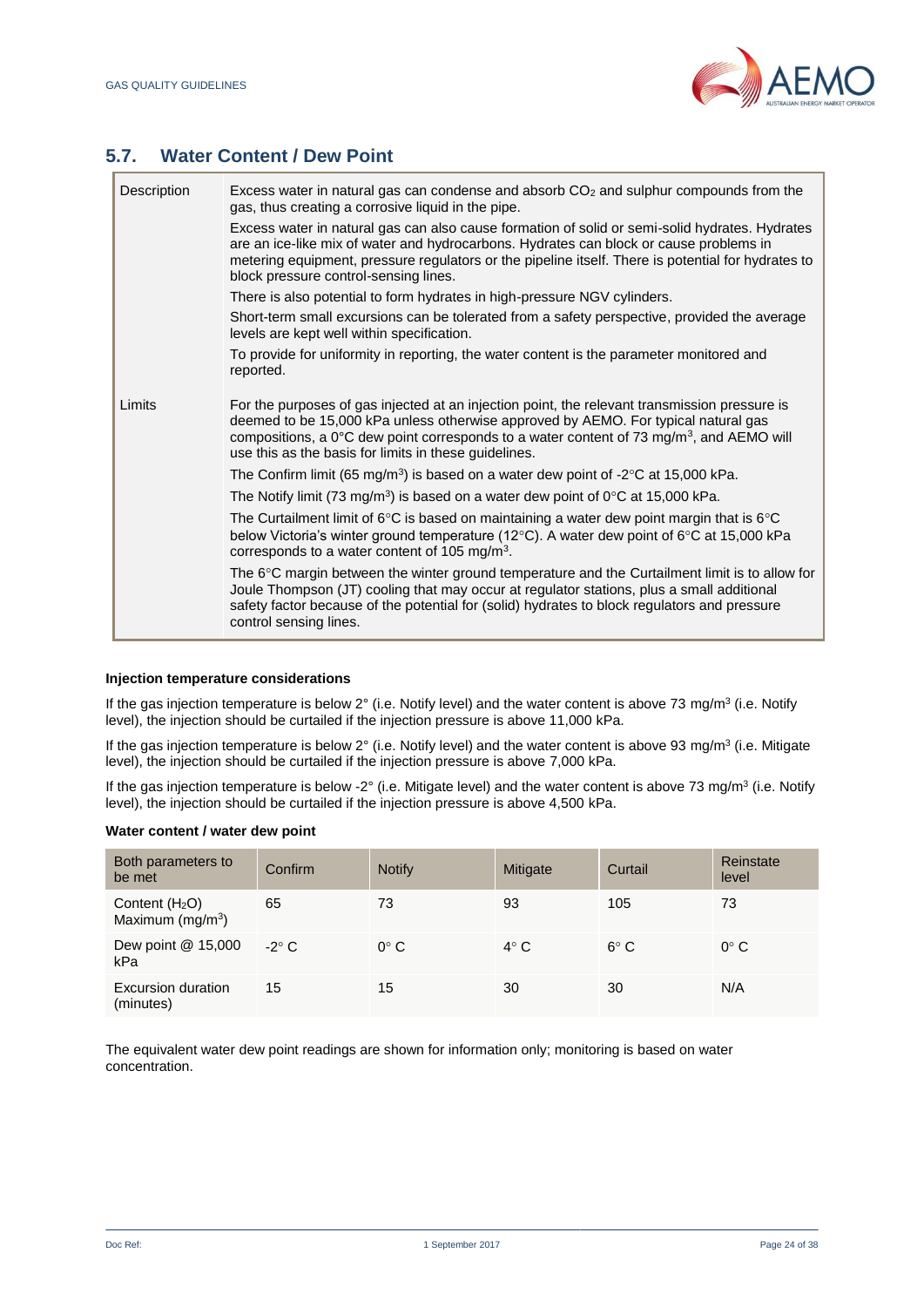

# **5.7. Water Content / Dew Point**

| Excess water in natural gas can condense and absorb $CO2$ and sulphur compounds from the<br>gas, thus creating a corrosive liquid in the pipe.                                                                                                                                                                                                       |
|------------------------------------------------------------------------------------------------------------------------------------------------------------------------------------------------------------------------------------------------------------------------------------------------------------------------------------------------------|
| Excess water in natural gas can also cause formation of solid or semi-solid hydrates. Hydrates<br>are an ice-like mix of water and hydrocarbons. Hydrates can block or cause problems in<br>metering equipment, pressure regulators or the pipeline itself. There is potential for hydrates to<br>block pressure control-sensing lines.              |
| There is also potential to form hydrates in high-pressure NGV cylinders.                                                                                                                                                                                                                                                                             |
| Short-term small excursions can be tolerated from a safety perspective, provided the average<br>levels are kept well within specification.                                                                                                                                                                                                           |
| To provide for uniformity in reporting, the water content is the parameter monitored and<br>reported.                                                                                                                                                                                                                                                |
| For the purposes of gas injected at an injection point, the relevant transmission pressure is<br>deemed to be 15,000 kPa unless otherwise approved by AEMO. For typical natural gas<br>compositions, a 0°C dew point corresponds to a water content of 73 mg/m <sup>3</sup> , and AEMO will<br>use this as the basis for limits in these guidelines. |
| The Confirm limit (65 mg/m <sup>3</sup> ) is based on a water dew point of -2 <sup>o</sup> C at 15,000 kPa.                                                                                                                                                                                                                                          |
| The Notify limit (73 mg/m <sup>3</sup> ) is based on a water dew point of $0^{\circ}$ C at 15,000 kPa.                                                                                                                                                                                                                                               |
| The Curtailment limit of $6^{\circ}$ C is based on maintaining a water dew point margin that is $6^{\circ}$ C<br>below Victoria's winter ground temperature (12°C). A water dew point of 6°C at 15,000 kPa<br>corresponds to a water content of 105 mg/m <sup>3</sup> .                                                                              |
| The $6^{\circ}$ C margin between the winter ground temperature and the Curtailment limit is to allow for<br>Joule Thompson (JT) cooling that may occur at regulator stations, plus a small additional<br>safety factor because of the potential for (solid) hydrates to block regulators and pressure<br>control sensing lines.                      |
|                                                                                                                                                                                                                                                                                                                                                      |

#### **Injection temperature considerations**

If the gas injection temperature is below 2 $\degree$  (i.e. Notify level) and the water content is above 73 mg/m $\degree$  (i.e. Notify level), the injection should be curtailed if the injection pressure is above 11,000 kPa.

If the gas injection temperature is below 2 $\degree$  (i.e. Notify level) and the water content is above 93 mg/m $\degree$  (i.e. Mitigate level), the injection should be curtailed if the injection pressure is above 7,000 kPa.

If the gas injection temperature is below -2 $\degree$  (i.e. Mitigate level) and the water content is above 73 mg/m<sup>3</sup> (i.e. Notify level), the injection should be curtailed if the injection pressure is above 4,500 kPa.

#### **Water content / water dew point**

| Both parameters to<br>be met                    | Confirm      | <b>Notify</b> | Mitigate    | Curtail       | Reinstate<br>level |
|-------------------------------------------------|--------------|---------------|-------------|---------------|--------------------|
| Content $(H2O)$<br>Maximum (mg/m <sup>3</sup> ) | 65           | 73            | 93          | 105           | 73                 |
| Dew point @ 15,000<br>kPa                       | $-2^\circ$ C | $0^{\circ}$ C | $4^\circ$ C | $6^{\circ}$ C | $0^{\circ}$ C      |
| Excursion duration<br>(minutes)                 | 15           | 15            | 30          | 30            | N/A                |

The equivalent water dew point readings are shown for information only; monitoring is based on water concentration.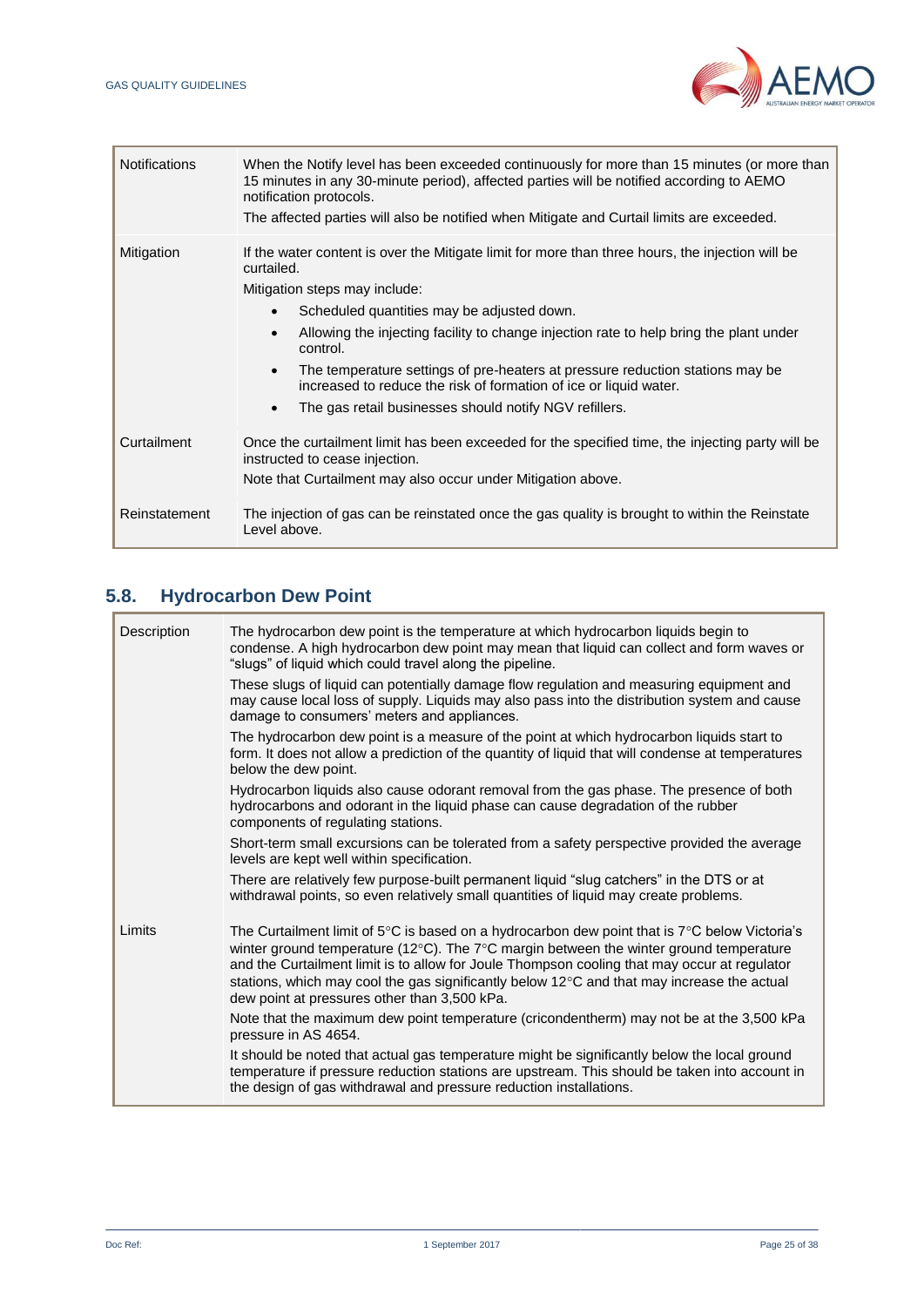

| <b>Notifications</b> | When the Notify level has been exceeded continuously for more than 15 minutes (or more than<br>15 minutes in any 30-minute period), affected parties will be notified according to AEMO<br>notification protocols.<br>The affected parties will also be notified when Mitigate and Curtail limits are exceeded.                                                                                                                                                                                                     |
|----------------------|---------------------------------------------------------------------------------------------------------------------------------------------------------------------------------------------------------------------------------------------------------------------------------------------------------------------------------------------------------------------------------------------------------------------------------------------------------------------------------------------------------------------|
| Mitigation           | If the water content is over the Mitigate limit for more than three hours, the injection will be<br>curtailed.<br>Mitigation steps may include:<br>Scheduled quantities may be adjusted down.<br>Allowing the injecting facility to change injection rate to help bring the plant under<br>control.<br>The temperature settings of pre-heaters at pressure reduction stations may be<br>increased to reduce the risk of formation of ice or liquid water.<br>The gas retail businesses should notify NGV refillers. |
| Curtailment          | Once the curtailment limit has been exceeded for the specified time, the injecting party will be<br>instructed to cease injection.<br>Note that Curtailment may also occur under Mitigation above.                                                                                                                                                                                                                                                                                                                  |
| Reinstatement        | The injection of gas can be reinstated once the gas quality is brought to within the Reinstate<br>Level above.                                                                                                                                                                                                                                                                                                                                                                                                      |

# **5.8. Hydrocarbon Dew Point**

| Description | The hydrocarbon dew point is the temperature at which hydrocarbon liquids begin to<br>condense. A high hydrocarbon dew point may mean that liquid can collect and form waves or<br>"slugs" of liquid which could travel along the pipeline.                                                                                                                                                                                                                       |
|-------------|-------------------------------------------------------------------------------------------------------------------------------------------------------------------------------------------------------------------------------------------------------------------------------------------------------------------------------------------------------------------------------------------------------------------------------------------------------------------|
|             | These slugs of liquid can potentially damage flow regulation and measuring equipment and<br>may cause local loss of supply. Liquids may also pass into the distribution system and cause<br>damage to consumers' meters and appliances.                                                                                                                                                                                                                           |
|             | The hydrocarbon dew point is a measure of the point at which hydrocarbon liquids start to<br>form. It does not allow a prediction of the quantity of liquid that will condense at temperatures<br>below the dew point.                                                                                                                                                                                                                                            |
|             | Hydrocarbon liquids also cause odorant removal from the gas phase. The presence of both<br>hydrocarbons and odorant in the liquid phase can cause degradation of the rubber<br>components of regulating stations.                                                                                                                                                                                                                                                 |
|             | Short-term small excursions can be tolerated from a safety perspective provided the average<br>levels are kept well within specification.                                                                                                                                                                                                                                                                                                                         |
|             | There are relatively few purpose-built permanent liquid "slug catchers" in the DTS or at<br>withdrawal points, so even relatively small quantities of liquid may create problems.                                                                                                                                                                                                                                                                                 |
| Limits      | The Curtailment limit of 5°C is based on a hydrocarbon dew point that is 7°C below Victoria's<br>winter ground temperature (12 $\textdegree$ C). The 7 $\textdegree$ C margin between the winter ground temperature<br>and the Curtailment limit is to allow for Joule Thompson cooling that may occur at regulator<br>stations, which may cool the gas significantly below 12°C and that may increase the actual<br>dew point at pressures other than 3,500 kPa. |
|             | Note that the maximum dew point temperature (cricondentherm) may not be at the 3,500 kPa<br>pressure in AS 4654.                                                                                                                                                                                                                                                                                                                                                  |
|             | It should be noted that actual gas temperature might be significantly below the local ground<br>temperature if pressure reduction stations are upstream. This should be taken into account in<br>the design of gas withdrawal and pressure reduction installations.                                                                                                                                                                                               |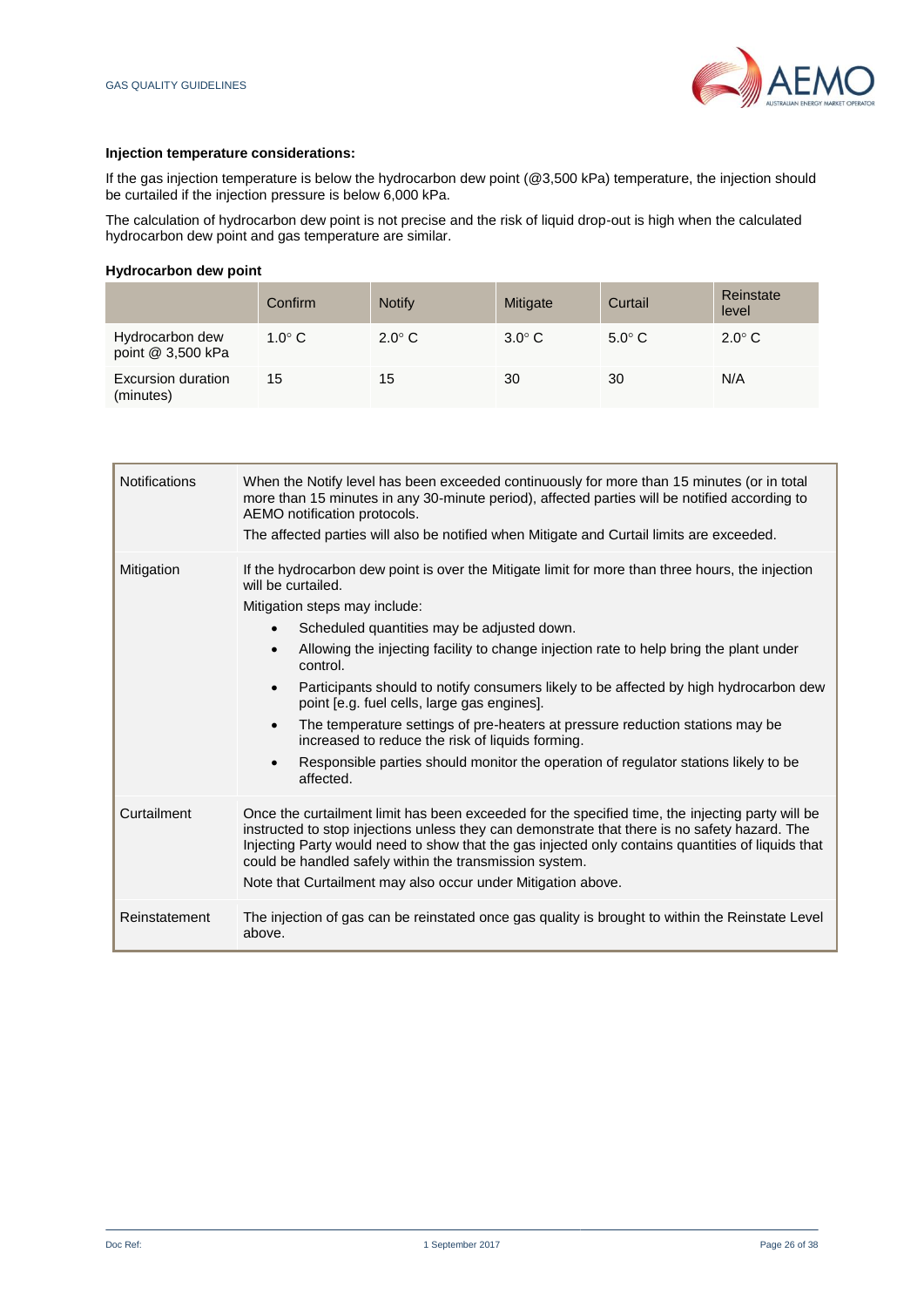

#### **Injection temperature considerations:**

If the gas injection temperature is below the hydrocarbon dew point (@3,500 kPa) temperature, the injection should be curtailed if the injection pressure is below 6,000 kPa.

The calculation of hydrocarbon dew point is not precise and the risk of liquid drop-out is high when the calculated hydrocarbon dew point and gas temperature are similar.

#### **Hydrocarbon dew point**

|                                      | Confirm       | <b>Notify</b> | Mitigate      | Curtail       | Reinstate<br>level |
|--------------------------------------|---------------|---------------|---------------|---------------|--------------------|
| Hydrocarbon dew<br>point @ 3,500 kPa | $1.0^\circ$ C | $2.0^\circ$ C | $3.0^\circ$ C | $5.0^\circ$ C | $2.0^\circ$ C      |
| Excursion duration<br>(minutes)      | 15            | 15            | 30            | 30            | N/A                |

| <b>Notifications</b> | When the Notify level has been exceeded continuously for more than 15 minutes (or in total<br>more than 15 minutes in any 30-minute period), affected parties will be notified according to<br>AEMO notification protocols.<br>The affected parties will also be notified when Mitigate and Curtail limits are exceeded.                                                                                                                                                                                                                                                                                                                                                                                                                                      |
|----------------------|---------------------------------------------------------------------------------------------------------------------------------------------------------------------------------------------------------------------------------------------------------------------------------------------------------------------------------------------------------------------------------------------------------------------------------------------------------------------------------------------------------------------------------------------------------------------------------------------------------------------------------------------------------------------------------------------------------------------------------------------------------------|
| Mitigation           | If the hydrocarbon dew point is over the Mitigate limit for more than three hours, the injection<br>will be curtailed.<br>Mitigation steps may include:<br>Scheduled quantities may be adjusted down.<br>$\bullet$<br>Allowing the injecting facility to change injection rate to help bring the plant under<br>$\bullet$<br>control.<br>Participants should to notify consumers likely to be affected by high hydrocarbon dew<br>$\bullet$<br>point [e.g. fuel cells, large gas engines].<br>The temperature settings of pre-heaters at pressure reduction stations may be<br>$\bullet$<br>increased to reduce the risk of liquids forming.<br>Responsible parties should monitor the operation of regulator stations likely to be<br>$\bullet$<br>affected. |
| Curtailment          | Once the curtailment limit has been exceeded for the specified time, the injecting party will be<br>instructed to stop injections unless they can demonstrate that there is no safety hazard. The<br>Injecting Party would need to show that the gas injected only contains quantities of liquids that<br>could be handled safely within the transmission system.<br>Note that Curtailment may also occur under Mitigation above.                                                                                                                                                                                                                                                                                                                             |
| Reinstatement        | The injection of gas can be reinstated once gas quality is brought to within the Reinstate Level<br>above.                                                                                                                                                                                                                                                                                                                                                                                                                                                                                                                                                                                                                                                    |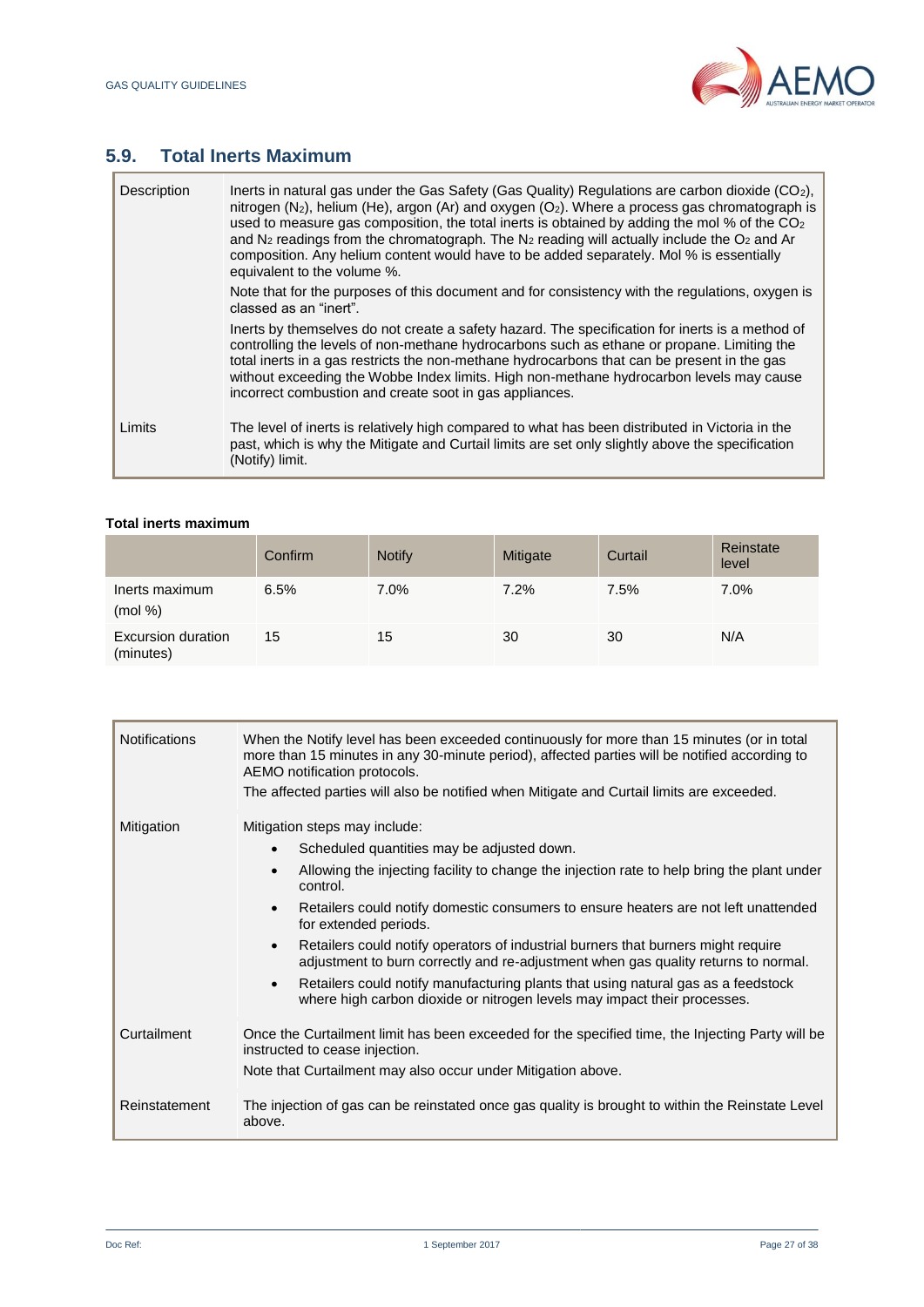I



# **5.9. Total Inerts Maximum**

| Description | Inerts in natural gas under the Gas Safety (Gas Quality) Regulations are carbon dioxide (CO <sub>2</sub> ),<br>nitrogen $(N_2)$ , helium (He), argon (Ar) and oxygen $(O_2)$ . Where a process gas chromatograph is<br>used to measure gas composition, the total inerts is obtained by adding the mol % of the $CO2$<br>and $N_2$ readings from the chromatograph. The $N_2$ reading will actually include the $O_2$ and Ar<br>composition. Any helium content would have to be added separately. Mol % is essentially<br>equivalent to the volume %. |
|-------------|--------------------------------------------------------------------------------------------------------------------------------------------------------------------------------------------------------------------------------------------------------------------------------------------------------------------------------------------------------------------------------------------------------------------------------------------------------------------------------------------------------------------------------------------------------|
|             | Note that for the purposes of this document and for consistency with the regulations, oxygen is<br>classed as an "inert".                                                                                                                                                                                                                                                                                                                                                                                                                              |
|             | lnerts by themselves do not create a safety hazard. The specification for inerts is a method of<br>controlling the levels of non-methane hydrocarbons such as ethane or propane. Limiting the<br>total inerts in a gas restricts the non-methane hydrocarbons that can be present in the gas<br>without exceeding the Wobbe Index limits. High non-methane hydrocarbon levels may cause<br>incorrect combustion and create soot in gas appliances.                                                                                                     |
| Limits      | The level of inerts is relatively high compared to what has been distributed in Victoria in the<br>past, which is why the Mitigate and Curtail limits are set only slightly above the specification<br>(Notify) limit.                                                                                                                                                                                                                                                                                                                                 |

#### **Total inerts maximum**

|                                 | Confirm | <b>Notify</b> | Mitigate | Curtail | Reinstate<br>level |
|---------------------------------|---------|---------------|----------|---------|--------------------|
| Inerts maximum<br>(mod %)       | 6.5%    | 7.0%          | $7.2\%$  | 7.5%    | 7.0%               |
| Excursion duration<br>(minutes) | 15      | 15            | 30       | 30      | N/A                |

| <b>Notifications</b> | When the Notify level has been exceeded continuously for more than 15 minutes (or in total<br>more than 15 minutes in any 30-minute period), affected parties will be notified according to<br>AEMO notification protocols.<br>The affected parties will also be notified when Mitigate and Curtail limits are exceeded.                                                                                                                                                                                                                                                                                                                          |
|----------------------|---------------------------------------------------------------------------------------------------------------------------------------------------------------------------------------------------------------------------------------------------------------------------------------------------------------------------------------------------------------------------------------------------------------------------------------------------------------------------------------------------------------------------------------------------------------------------------------------------------------------------------------------------|
| Mitigation           | Mitigation steps may include:<br>Scheduled quantities may be adjusted down.<br>Allowing the injecting facility to change the injection rate to help bring the plant under<br>control.<br>Retailers could notify domestic consumers to ensure heaters are not left unattended<br>for extended periods.<br>Retailers could notify operators of industrial burners that burners might require<br>adjustment to burn correctly and re-adjustment when gas quality returns to normal.<br>Retailers could notify manufacturing plants that using natural gas as a feedstock<br>where high carbon dioxide or nitrogen levels may impact their processes. |
| Curtailment          | Once the Curtailment limit has been exceeded for the specified time, the Injecting Party will be<br>instructed to cease injection.<br>Note that Curtailment may also occur under Mitigation above.                                                                                                                                                                                                                                                                                                                                                                                                                                                |
| Reinstatement        | The injection of gas can be reinstated once gas quality is brought to within the Reinstate Level<br>above.                                                                                                                                                                                                                                                                                                                                                                                                                                                                                                                                        |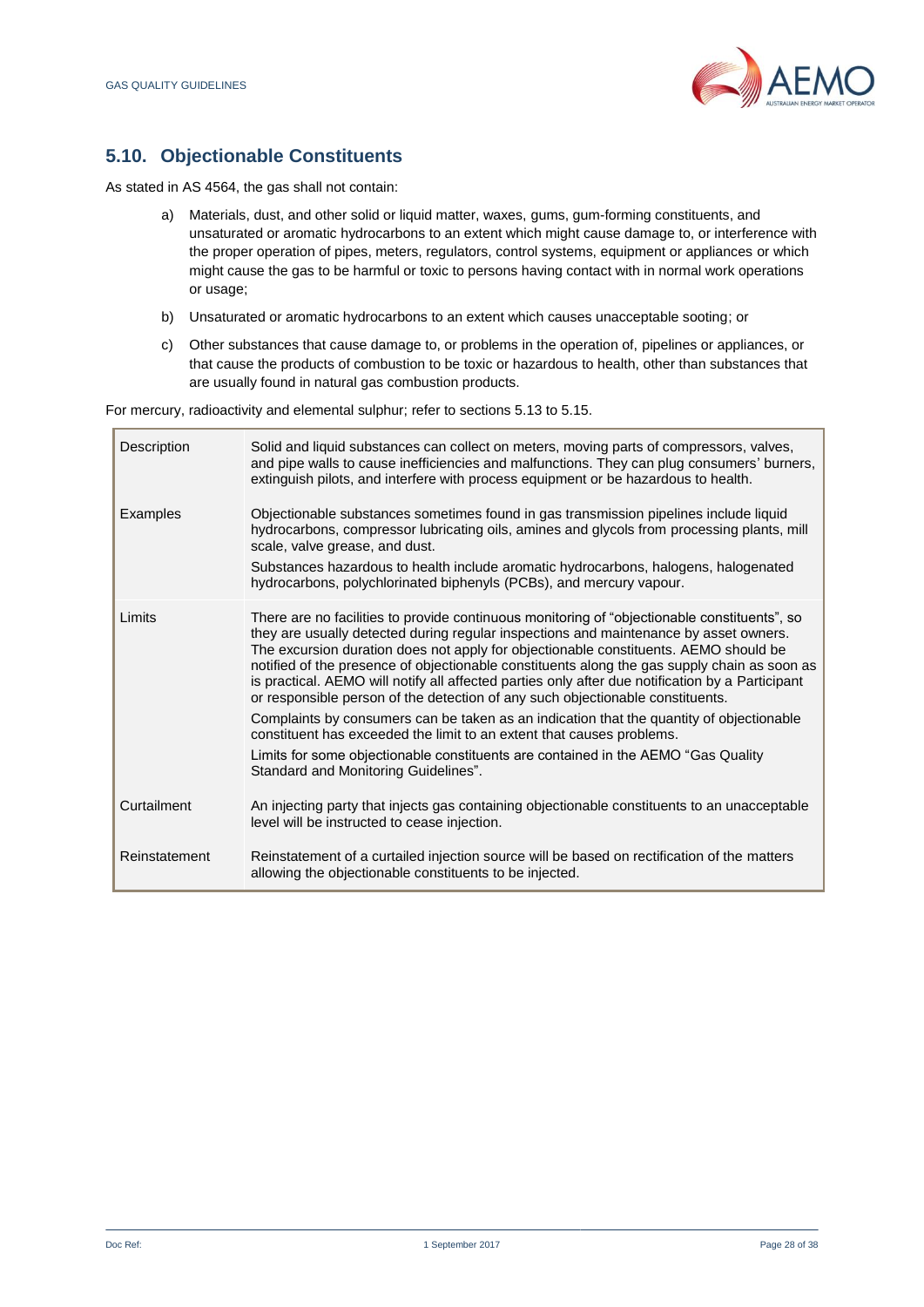

# **5.10. Objectionable Constituents**

As stated in AS 4564, the gas shall not contain:

- a) Materials, dust, and other solid or liquid matter, waxes, gums, gum-forming constituents, and unsaturated or aromatic hydrocarbons to an extent which might cause damage to, or interference with the proper operation of pipes, meters, regulators, control systems, equipment or appliances or which might cause the gas to be harmful or toxic to persons having contact with in normal work operations or usage;
- b) Unsaturated or aromatic hydrocarbons to an extent which causes unacceptable sooting; or
- c) Other substances that cause damage to, or problems in the operation of, pipelines or appliances, or that cause the products of combustion to be toxic or hazardous to health, other than substances that are usually found in natural gas combustion products.

For mercury, radioactivity and elemental sulphur; refer to sections 5.13 to 5.15.

| Description   | Solid and liquid substances can collect on meters, moving parts of compressors, valves,<br>and pipe walls to cause inefficiencies and malfunctions. They can plug consumers' burners,<br>extinguish pilots, and interfere with process equipment or be hazardous to health.                                                                                                                                                                                                                                                                                                                                                                                                                                                                                                                                                                                           |
|---------------|-----------------------------------------------------------------------------------------------------------------------------------------------------------------------------------------------------------------------------------------------------------------------------------------------------------------------------------------------------------------------------------------------------------------------------------------------------------------------------------------------------------------------------------------------------------------------------------------------------------------------------------------------------------------------------------------------------------------------------------------------------------------------------------------------------------------------------------------------------------------------|
| Examples      | Objectionable substances sometimes found in gas transmission pipelines include liquid<br>hydrocarbons, compressor lubricating oils, amines and glycols from processing plants, mill<br>scale, valve grease, and dust.<br>Substances hazardous to health include aromatic hydrocarbons, halogens, halogenated<br>hydrocarbons, polychlorinated biphenyls (PCBs), and mercury vapour.                                                                                                                                                                                                                                                                                                                                                                                                                                                                                   |
| Limits        | There are no facilities to provide continuous monitoring of "objectionable constituents", so<br>they are usually detected during regular inspections and maintenance by asset owners.<br>The excursion duration does not apply for objectionable constituents. AEMO should be<br>notified of the presence of objectionable constituents along the gas supply chain as soon as<br>is practical. AEMO will notify all affected parties only after due notification by a Participant<br>or responsible person of the detection of any such objectionable constituents.<br>Complaints by consumers can be taken as an indication that the quantity of objectionable<br>constituent has exceeded the limit to an extent that causes problems.<br>Limits for some objectionable constituents are contained in the AEMO "Gas Quality<br>Standard and Monitoring Guidelines". |
| Curtailment   | An injecting party that injects gas containing objectionable constituents to an unacceptable<br>level will be instructed to cease injection.                                                                                                                                                                                                                                                                                                                                                                                                                                                                                                                                                                                                                                                                                                                          |
| Reinstatement | Reinstatement of a curtailed injection source will be based on rectification of the matters<br>allowing the objectionable constituents to be injected.                                                                                                                                                                                                                                                                                                                                                                                                                                                                                                                                                                                                                                                                                                                |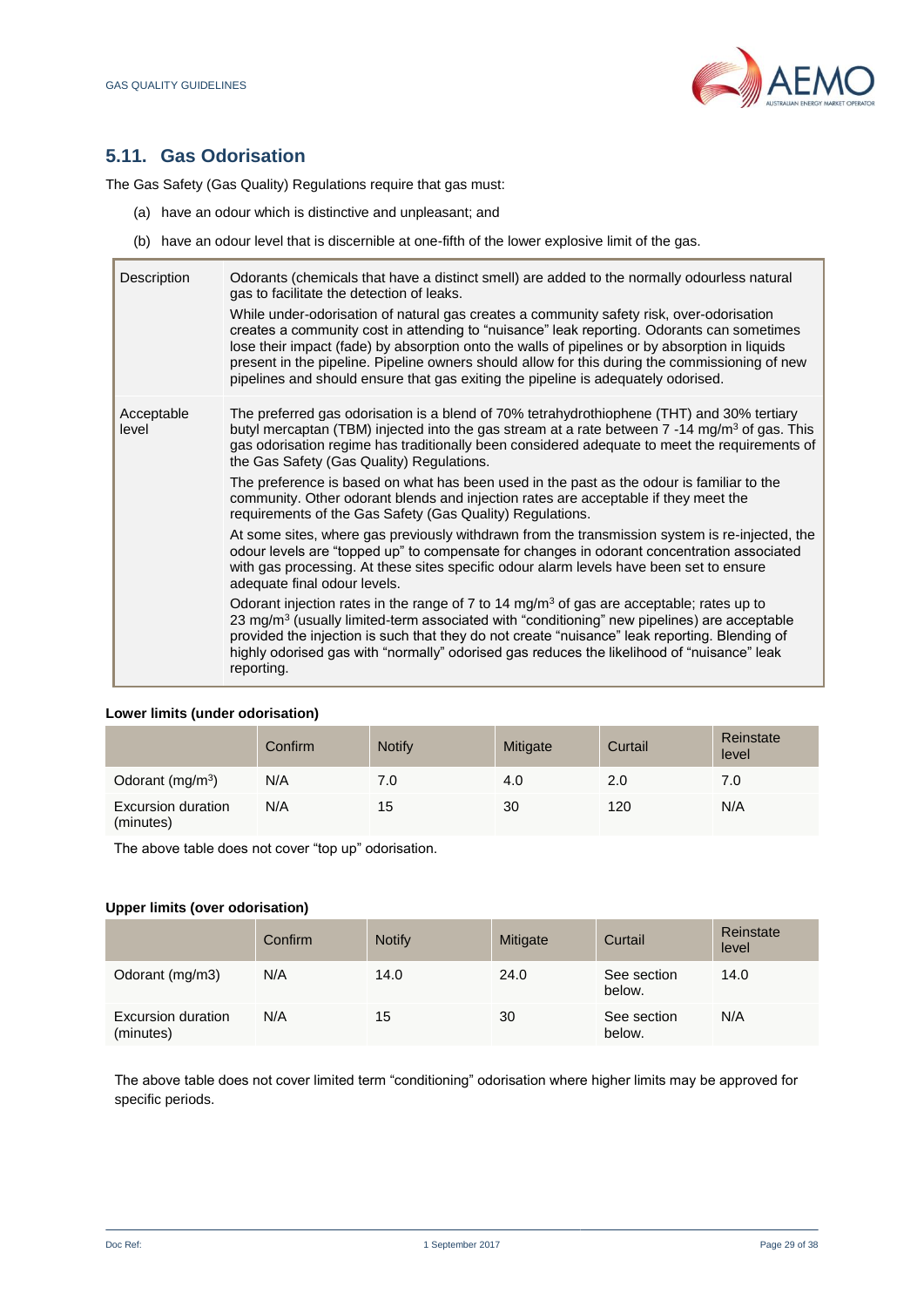

# **5.11. Gas Odorisation**

The Gas Safety (Gas Quality) Regulations require that gas must:

- (a) have an odour which is distinctive and unpleasant; and
- (b) have an odour level that is discernible at one-fifth of the lower explosive limit of the gas.

| Description         | Odorants (chemicals that have a distinct smell) are added to the normally odourless natural<br>gas to facilitate the detection of leaks.<br>While under-odorisation of natural gas creates a community safety risk, over-odorisation<br>creates a community cost in attending to "nuisance" leak reporting. Odorants can sometimes<br>lose their impact (fade) by absorption onto the walls of pipelines or by absorption in liquids<br>present in the pipeline. Pipeline owners should allow for this during the commissioning of new<br>pipelines and should ensure that gas exiting the pipeline is adequately odorised. |
|---------------------|-----------------------------------------------------------------------------------------------------------------------------------------------------------------------------------------------------------------------------------------------------------------------------------------------------------------------------------------------------------------------------------------------------------------------------------------------------------------------------------------------------------------------------------------------------------------------------------------------------------------------------|
| Acceptable<br>level | The preferred gas odorisation is a blend of 70% tetrahydrothiophene (THT) and 30% tertiary<br>butyl mercaptan (TBM) injected into the gas stream at a rate between 7 -14 mg/m <sup>3</sup> of gas. This<br>gas odorisation regime has traditionally been considered adequate to meet the requirements of<br>the Gas Safety (Gas Quality) Regulations.<br>The preference is based on what has been used in the past as the odour is familiar to the<br>community. Other odorant blends and injection rates are acceptable if they meet the<br>requirements of the Gas Safety (Gas Quality) Regulations.                      |
|                     | At some sites, where gas previously withdrawn from the transmission system is re-injected, the<br>odour levels are "topped up" to compensate for changes in odorant concentration associated<br>with gas processing. At these sites specific odour alarm levels have been set to ensure<br>adequate final odour levels.                                                                                                                                                                                                                                                                                                     |
|                     | Odorant injection rates in the range of 7 to 14 mg/m <sup>3</sup> of gas are acceptable; rates up to<br>23 mg/m <sup>3</sup> (usually limited-term associated with "conditioning" new pipelines) are acceptable<br>provided the injection is such that they do not create "nuisance" leak reporting. Blending of<br>highly odorised gas with "normally" odorised gas reduces the likelihood of "nuisance" leak<br>reporting.                                                                                                                                                                                                |

#### **Lower limits (under odorisation)**

|                                 | Confirm | <b>Notify</b> | Mitigate | Curtail | Reinstate<br>level |
|---------------------------------|---------|---------------|----------|---------|--------------------|
| Odorant $(mg/m3)$               | N/A     | 7.0           | 4.0      | 2.0     | 7.0                |
| Excursion duration<br>(minutes) | N/A     | 15            | 30       | 120     | N/A                |

The above table does not cover "top up" odorisation.

## **Upper limits (over odorisation)**

|                                 | Confirm | <b>Notify</b> | Mitigate | Curtail               | Reinstate<br>level |
|---------------------------------|---------|---------------|----------|-----------------------|--------------------|
| Odorant (mg/m3)                 | N/A     | 14.0          | 24.0     | See section<br>below. | 14.0               |
| Excursion duration<br>(minutes) | N/A     | 15            | 30       | See section<br>below. | N/A                |

The above table does not cover limited term "conditioning" odorisation where higher limits may be approved for specific periods.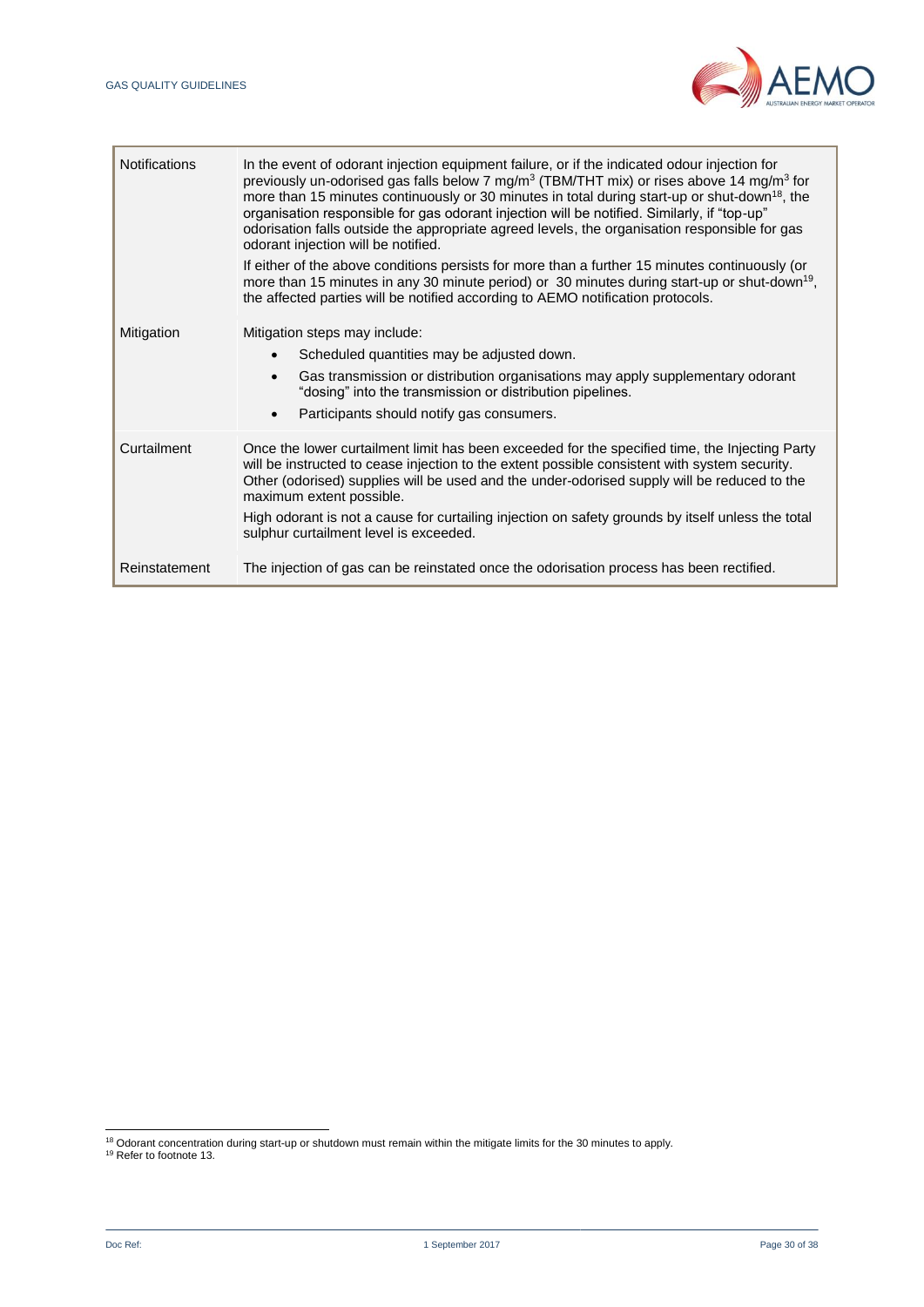

| <b>Notifications</b> | In the event of odorant injection equipment failure, or if the indicated odour injection for<br>previously un-odorised gas falls below 7 mg/m <sup>3</sup> (TBM/THT mix) or rises above 14 mg/m <sup>3</sup> for<br>more than 15 minutes continuously or 30 minutes in total during start-up or shut-down <sup>18</sup> , the<br>organisation responsible for gas odorant injection will be notified. Similarly, if "top-up"<br>odorisation falls outside the appropriate agreed levels, the organisation responsible for gas<br>odorant injection will be notified.<br>If either of the above conditions persists for more than a further 15 minutes continuously (or<br>more than 15 minutes in any 30 minute period) or 30 minutes during start-up or shut-down <sup>19</sup> ,<br>the affected parties will be notified according to AEMO notification protocols. |
|----------------------|-----------------------------------------------------------------------------------------------------------------------------------------------------------------------------------------------------------------------------------------------------------------------------------------------------------------------------------------------------------------------------------------------------------------------------------------------------------------------------------------------------------------------------------------------------------------------------------------------------------------------------------------------------------------------------------------------------------------------------------------------------------------------------------------------------------------------------------------------------------------------|
| Mitigation           | Mitigation steps may include:<br>Scheduled quantities may be adjusted down.<br>Gas transmission or distribution organisations may apply supplementary odorant<br>"dosing" into the transmission or distribution pipelines.<br>Participants should notify gas consumers.                                                                                                                                                                                                                                                                                                                                                                                                                                                                                                                                                                                               |
| Curtailment          | Once the lower curtailment limit has been exceeded for the specified time, the Injecting Party<br>will be instructed to cease injection to the extent possible consistent with system security.<br>Other (odorised) supplies will be used and the under-odorised supply will be reduced to the<br>maximum extent possible.<br>High odorant is not a cause for curtailing injection on safety grounds by itself unless the total<br>sulphur curtailment level is exceeded.                                                                                                                                                                                                                                                                                                                                                                                             |
| Reinstatement        | The injection of gas can be reinstated once the odorisation process has been rectified.                                                                                                                                                                                                                                                                                                                                                                                                                                                                                                                                                                                                                                                                                                                                                                               |

l

<sup>&</sup>lt;sup>18</sup> Odorant concentration during start-up or shutdown must remain within the mitigate limits for the 30 minutes to apply.

<sup>19</sup> Refer to footnote 13.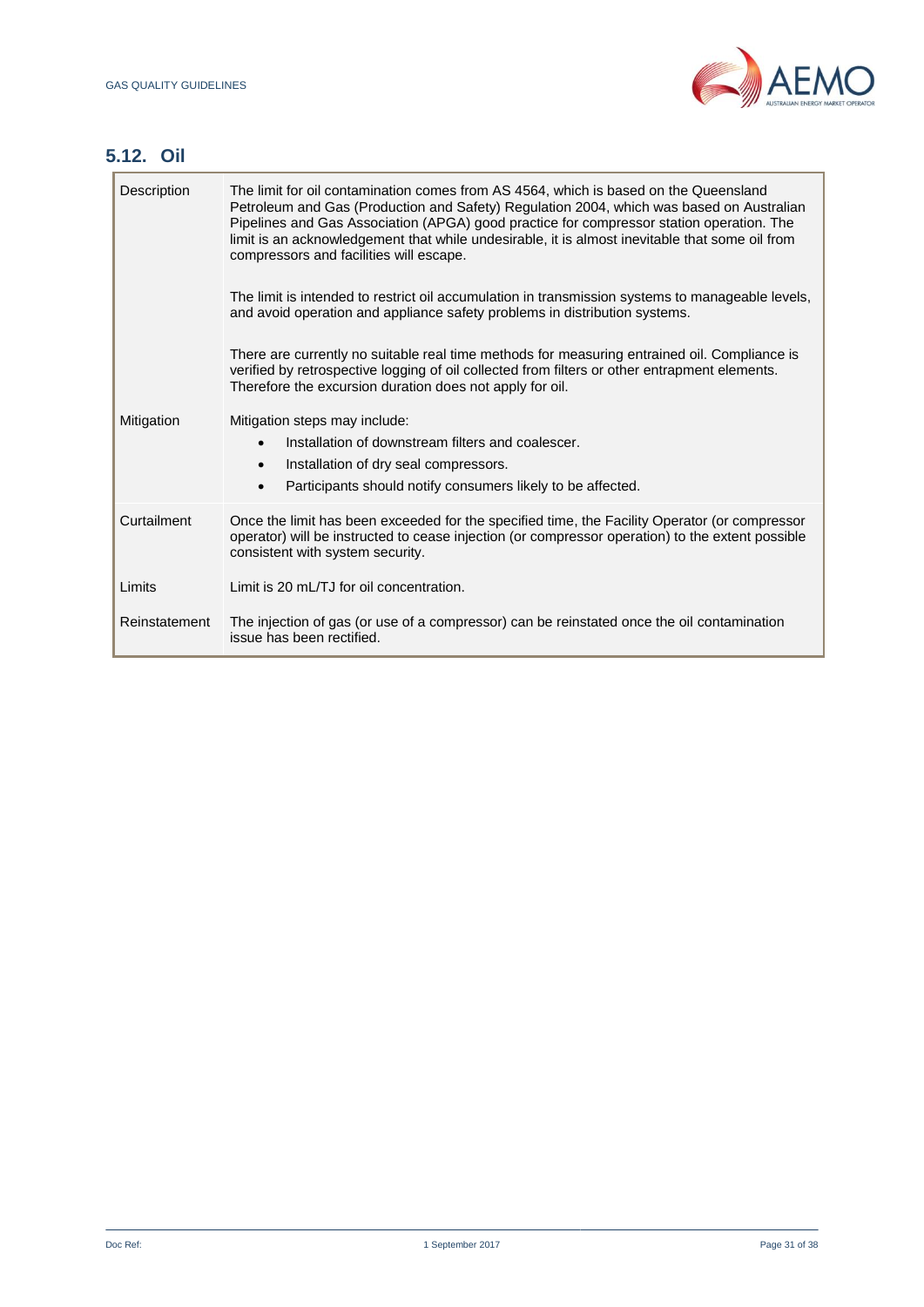

# **5.12. Oil**

П

| Description   | The limit for oil contamination comes from AS 4564, which is based on the Queensland<br>Petroleum and Gas (Production and Safety) Regulation 2004, which was based on Australian<br>Pipelines and Gas Association (APGA) good practice for compressor station operation. The<br>limit is an acknowledgement that while undesirable, it is almost inevitable that some oil from<br>compressors and facilities will escape.<br>The limit is intended to restrict oil accumulation in transmission systems to manageable levels,<br>and avoid operation and appliance safety problems in distribution systems.<br>There are currently no suitable real time methods for measuring entrained oil. Compliance is<br>verified by retrospective logging of oil collected from filters or other entrapment elements.<br>Therefore the excursion duration does not apply for oil. |
|---------------|--------------------------------------------------------------------------------------------------------------------------------------------------------------------------------------------------------------------------------------------------------------------------------------------------------------------------------------------------------------------------------------------------------------------------------------------------------------------------------------------------------------------------------------------------------------------------------------------------------------------------------------------------------------------------------------------------------------------------------------------------------------------------------------------------------------------------------------------------------------------------|
| Mitigation    | Mitigation steps may include:<br>Installation of downstream filters and coalescer.<br>$\bullet$<br>Installation of dry seal compressors.<br>$\bullet$<br>Participants should notify consumers likely to be affected.<br>$\bullet$                                                                                                                                                                                                                                                                                                                                                                                                                                                                                                                                                                                                                                        |
| Curtailment   | Once the limit has been exceeded for the specified time, the Facility Operator (or compressor<br>operator) will be instructed to cease injection (or compressor operation) to the extent possible<br>consistent with system security.                                                                                                                                                                                                                                                                                                                                                                                                                                                                                                                                                                                                                                    |
| Limits        | Limit is 20 mL/TJ for oil concentration.                                                                                                                                                                                                                                                                                                                                                                                                                                                                                                                                                                                                                                                                                                                                                                                                                                 |
| Reinstatement | The injection of gas (or use of a compressor) can be reinstated once the oil contamination<br>issue has been rectified.                                                                                                                                                                                                                                                                                                                                                                                                                                                                                                                                                                                                                                                                                                                                                  |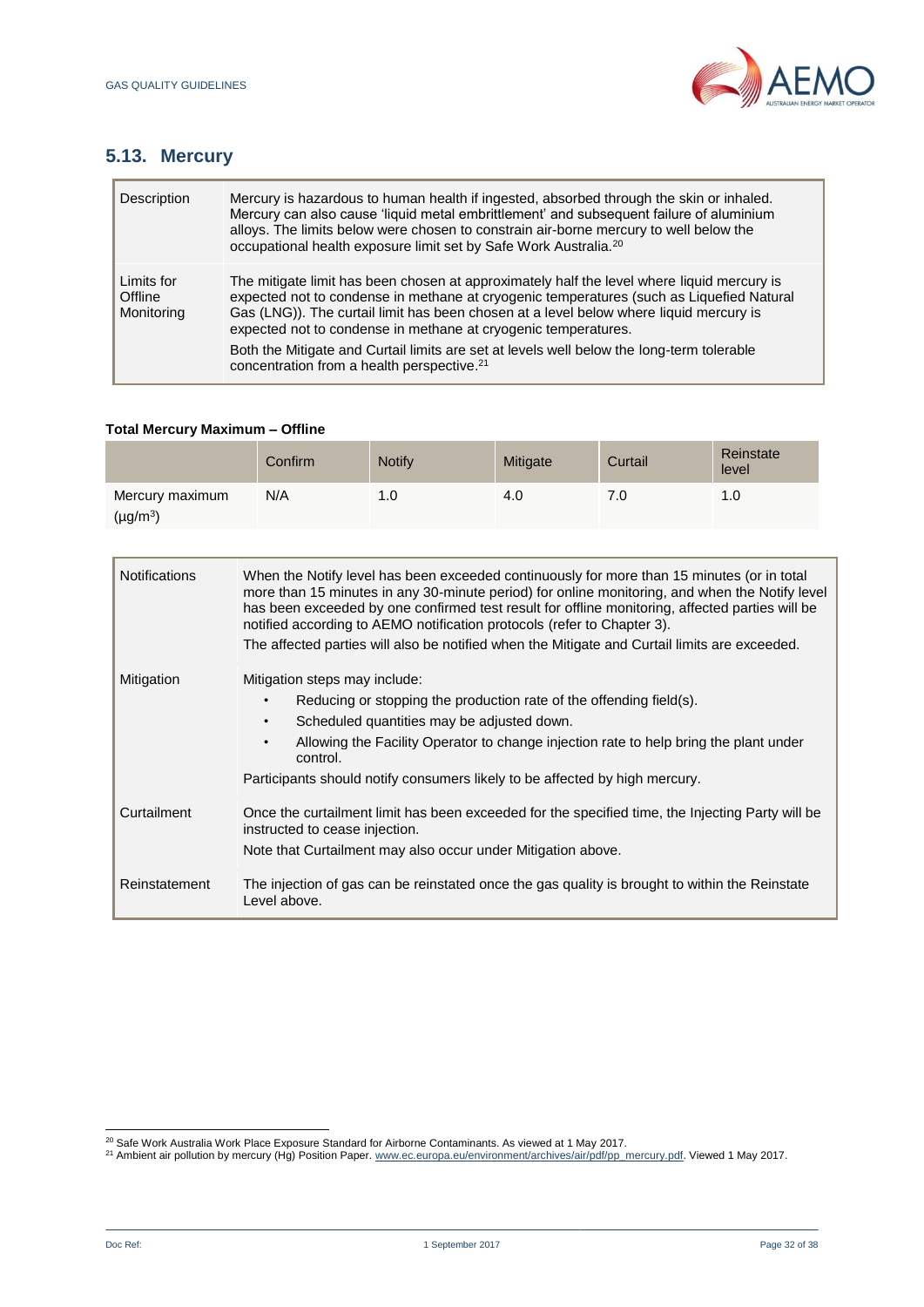

# **5.13. Mercury**

| Description                         | Mercury is hazardous to human health if ingested, absorbed through the skin or inhaled.<br>Mercury can also cause 'liquid metal embrittlement' and subsequent failure of aluminium<br>alloys. The limits below were chosen to constrain air-borne mercury to well below the<br>occupational health exposure limit set by Safe Work Australia. <sup>20</sup> |
|-------------------------------------|-------------------------------------------------------------------------------------------------------------------------------------------------------------------------------------------------------------------------------------------------------------------------------------------------------------------------------------------------------------|
| Limits for<br>Offline<br>Monitoring | The mitigate limit has been chosen at approximately half the level where liquid mercury is<br>expected not to condense in methane at cryogenic temperatures (such as Liquefied Natural<br>Gas (LNG)). The curtail limit has been chosen at a level below where liquid mercury is<br>expected not to condense in methane at cryogenic temperatures.          |
|                                     | Both the Mitigate and Curtail limits are set at levels well below the long-term tolerable<br>concentration from a health perspective. <sup>21</sup>                                                                                                                                                                                                         |

#### **Total Mercury Maximum – Offline**

|                                  | Confirm | <b>Notify</b> | Mitigate | Curtail | Reinstate<br>level |
|----------------------------------|---------|---------------|----------|---------|--------------------|
| Mercury maximum<br>$(\mu g/m^3)$ | N/A     | 1.0           | 4.0      | 7.0     | 1.0                |

| <b>Notifications</b> | When the Notify level has been exceeded continuously for more than 15 minutes (or in total<br>more than 15 minutes in any 30-minute period) for online monitoring, and when the Notify level<br>has been exceeded by one confirmed test result for offline monitoring, affected parties will be<br>notified according to AEMO notification protocols (refer to Chapter 3). |
|----------------------|----------------------------------------------------------------------------------------------------------------------------------------------------------------------------------------------------------------------------------------------------------------------------------------------------------------------------------------------------------------------------|
|                      | The affected parties will also be notified when the Mitigate and Curtail limits are exceeded.                                                                                                                                                                                                                                                                              |
| Mitigation           | Mitigation steps may include:<br>Reducing or stopping the production rate of the offending field(s).<br>Scheduled quantities may be adjusted down.<br>$\bullet$<br>Allowing the Facility Operator to change injection rate to help bring the plant under<br>$\bullet$<br>control.<br>Participants should notify consumers likely to be affected by high mercury.           |
| Curtailment          | Once the curtailment limit has been exceeded for the specified time, the Injecting Party will be<br>instructed to cease injection.<br>Note that Curtailment may also occur under Mitigation above.                                                                                                                                                                         |
| Reinstatement        | The injection of gas can be reinstated once the gas quality is brought to within the Reinstate<br>Level above.                                                                                                                                                                                                                                                             |

l  $^{20}$  Safe Work Australia Work Place Exposure Standard for Airborne Contaminants. As viewed at 1 May 2017.

<sup>&</sup>lt;sup>21</sup> Ambient air pollution by mercury (Hg) Position Paper. [www.ec.europa.eu/environment/archives/air/pdf/pp\\_mercury.pdf.](http://www.ec.europa.eu/environment/archives/air/pdf/pp_mercury.pdf) Viewed 1 May 2017.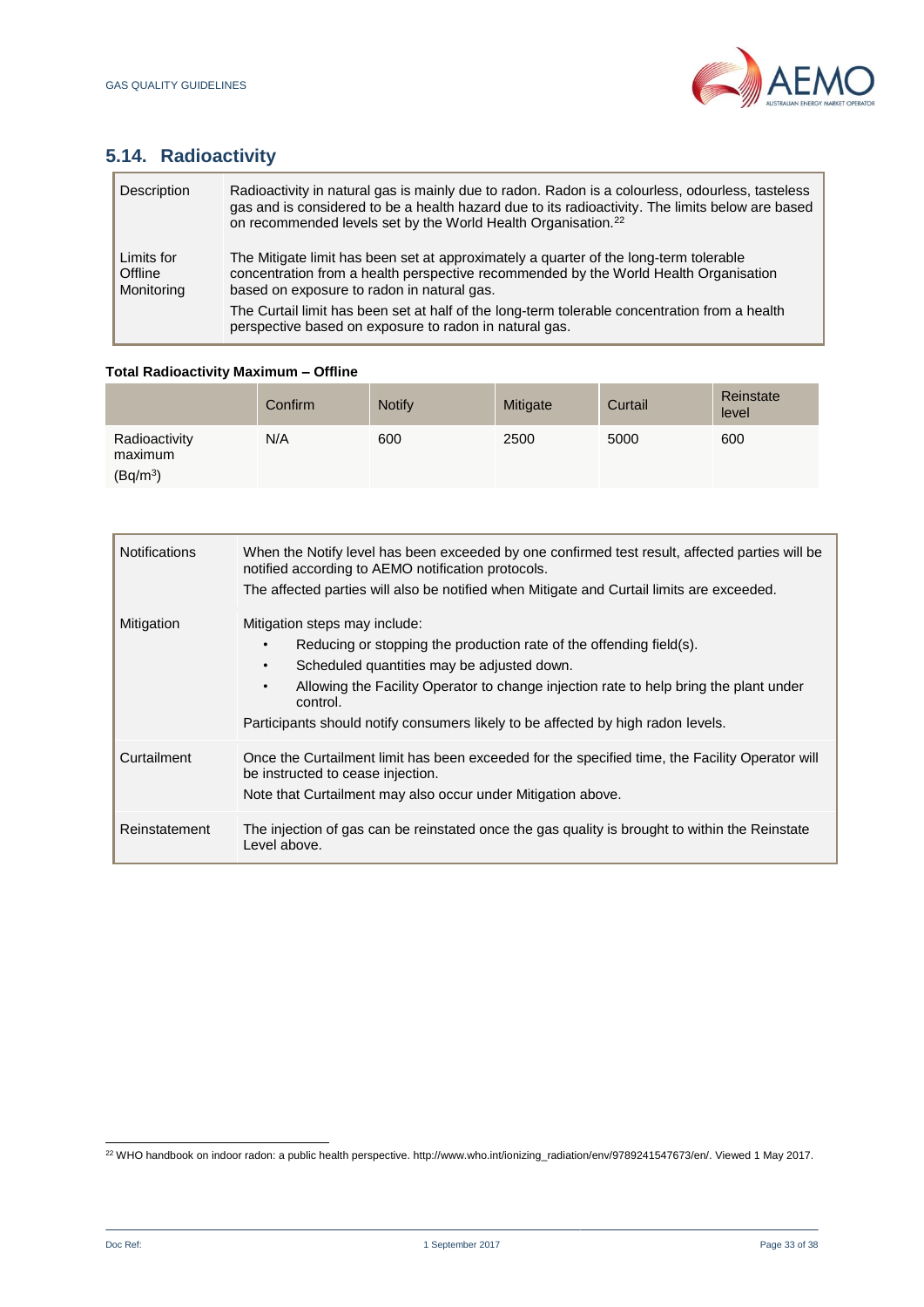

# **5.14. Radioactivity**

| Description                         | Radioactivity in natural gas is mainly due to radon. Radon is a colourless, odourless, tasteless<br>gas and is considered to be a health hazard due to its radioactivity. The limits below are based<br>on recommended levels set by the World Health Organisation. <sup>22</sup> |
|-------------------------------------|-----------------------------------------------------------------------------------------------------------------------------------------------------------------------------------------------------------------------------------------------------------------------------------|
| Limits for<br>Offline<br>Monitoring | The Mitigate limit has been set at approximately a quarter of the long-term tolerable<br>concentration from a health perspective recommended by the World Health Organisation<br>based on exposure to radon in natural gas.                                                       |
|                                     | The Curtail limit has been set at half of the long-term tolerable concentration from a health<br>perspective based on exposure to radon in natural gas.                                                                                                                           |

## **Total Radioactivity Maximum – Offline**

|                                                  | Confirm | <b>Notify</b> | Mitigate | Curtail | Reinstate<br>level |
|--------------------------------------------------|---------|---------------|----------|---------|--------------------|
| Radioactivity<br>maximum<br>(Bq/m <sup>3</sup> ) | N/A     | 600           | 2500     | 5000    | 600                |

| <b>Notifications</b> | When the Notify level has been exceeded by one confirmed test result, affected parties will be<br>notified according to AEMO notification protocols.<br>The affected parties will also be notified when Mitigate and Curtail limits are exceeded.                                                                                                                     |
|----------------------|-----------------------------------------------------------------------------------------------------------------------------------------------------------------------------------------------------------------------------------------------------------------------------------------------------------------------------------------------------------------------|
| Mitigation           | Mitigation steps may include:<br>Reducing or stopping the production rate of the offending field(s).<br>Scheduled quantities may be adjusted down.<br>$\bullet$<br>Allowing the Facility Operator to change injection rate to help bring the plant under<br>$\bullet$<br>control.<br>Participants should notify consumers likely to be affected by high radon levels. |
| Curtailment          | Once the Curtailment limit has been exceeded for the specified time, the Facility Operator will<br>be instructed to cease injection.<br>Note that Curtailment may also occur under Mitigation above.                                                                                                                                                                  |
| Reinstatement        | The injection of gas can be reinstated once the gas quality is brought to within the Reinstate<br>Level above.                                                                                                                                                                                                                                                        |

l <sup>22</sup> WHO handbook on indoor radon: a public health perspective. http://www.who.int/ionizing\_radiation/env/9789241547673/en/. Viewed 1 May 2017.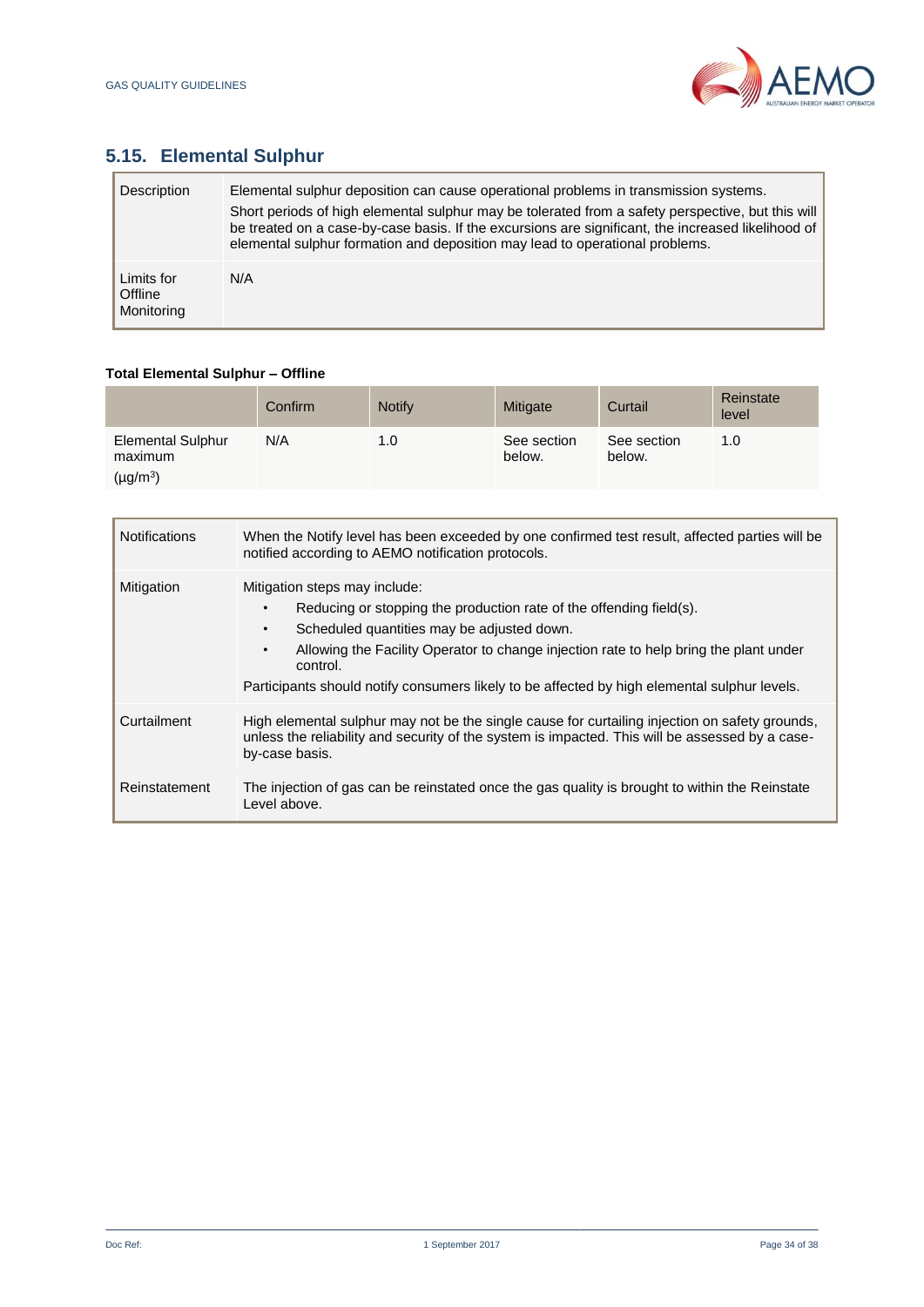

# **5.15. Elemental Sulphur**

| Description                         | Elemental sulphur deposition can cause operational problems in transmission systems.<br>Short periods of high elemental sulphur may be tolerated from a safety perspective, but this will<br>be treated on a case-by-case basis. If the excursions are significant, the increased likelihood of<br>elemental sulphur formation and deposition may lead to operational problems. |
|-------------------------------------|---------------------------------------------------------------------------------------------------------------------------------------------------------------------------------------------------------------------------------------------------------------------------------------------------------------------------------------------------------------------------------|
| Limits for<br>Offline<br>Monitoring | N/A                                                                                                                                                                                                                                                                                                                                                                             |

## **Total Elemental Sulphur – Offline**

|                                     | Confirm | <b>Notify</b> | Mitigate              | Curtail               | Reinstate<br>level |
|-------------------------------------|---------|---------------|-----------------------|-----------------------|--------------------|
| <b>Elemental Sulphur</b><br>maximum | N/A     | 1.0           | See section<br>below. | See section<br>below. | 1.0                |
| $(\mu g/m^3)$                       |         |               |                       |                       |                    |

| <b>Notifications</b> | When the Notify level has been exceeded by one confirmed test result, affected parties will be<br>notified according to AEMO notification protocols.                                                                                                                                                                |
|----------------------|---------------------------------------------------------------------------------------------------------------------------------------------------------------------------------------------------------------------------------------------------------------------------------------------------------------------|
| Mitigation           | Mitigation steps may include:<br>Reducing or stopping the production rate of the offending field(s).<br>Scheduled quantities may be adjusted down.<br>$\bullet$<br>Allowing the Facility Operator to change injection rate to help bring the plant under<br>$\bullet$<br>control.                                   |
| Curtailment          | Participants should notify consumers likely to be affected by high elemental sulphur levels.<br>High elemental sulphur may not be the single cause for curtailing injection on safety grounds,<br>unless the reliability and security of the system is impacted. This will be assessed by a case-<br>by-case basis. |
| Reinstatement        | The injection of gas can be reinstated once the gas quality is brought to within the Reinstate<br>Level above.                                                                                                                                                                                                      |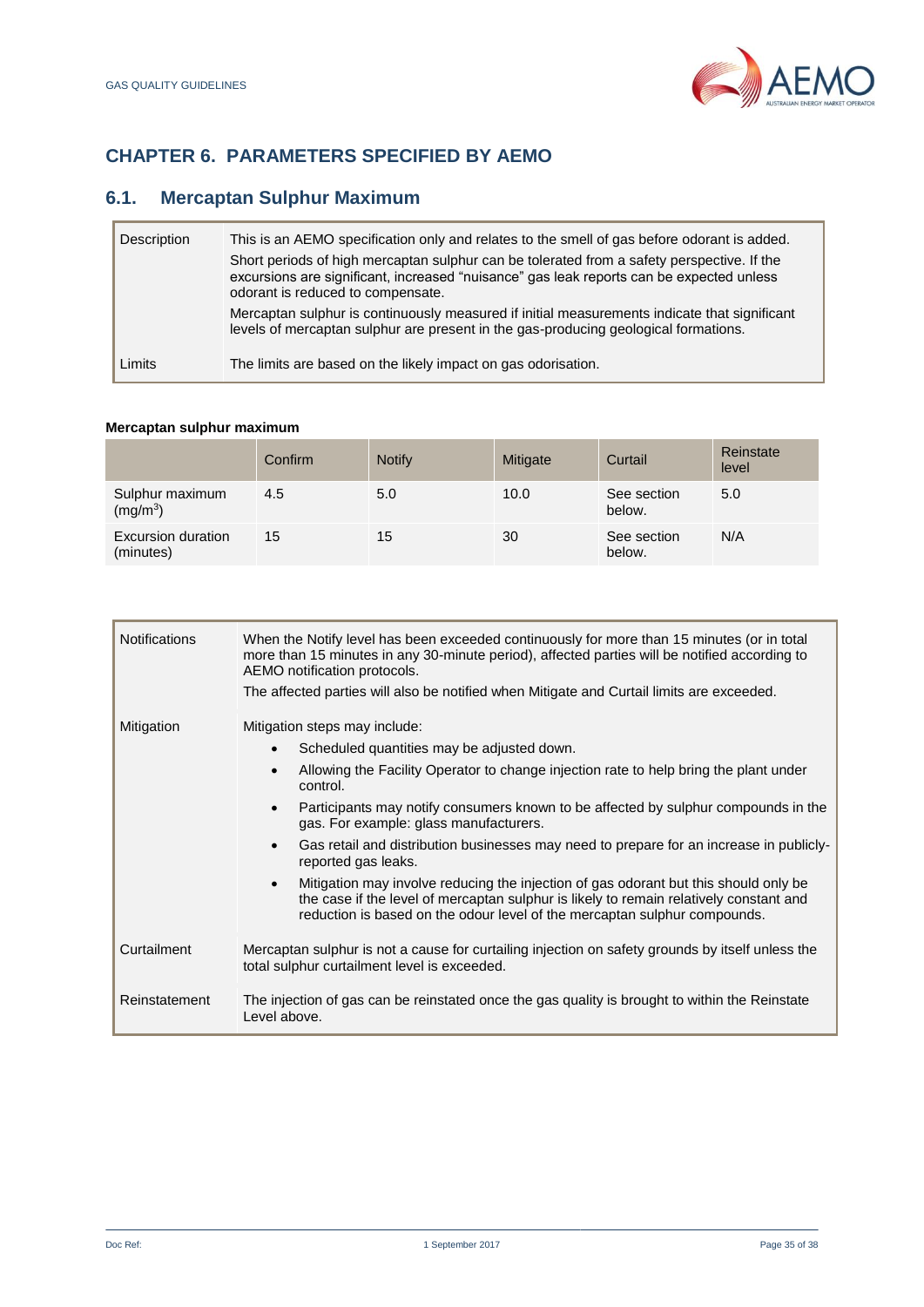

# <span id="page-34-0"></span>**CHAPTER 6. PARAMETERS SPECIFIED BY AEMO**

## **6.1. Mercaptan Sulphur Maximum**

| Description | This is an AEMO specification only and relates to the smell of gas before odorant is added.<br>Short periods of high mercaptan sulphur can be tolerated from a safety perspective. If the<br>excursions are significant, increased "nuisance" gas leak reports can be expected unless<br>odorant is reduced to compensate. |
|-------------|----------------------------------------------------------------------------------------------------------------------------------------------------------------------------------------------------------------------------------------------------------------------------------------------------------------------------|
|             | Mercaptan sulphur is continuously measured if initial measurements indicate that significant<br>levels of mercaptan sulphur are present in the gas-producing geological formations.                                                                                                                                        |
| Limits      | The limits are based on the likely impact on gas odorisation.                                                                                                                                                                                                                                                              |

## **Mercaptan sulphur maximum**

|                                         | Confirm | <b>Notify</b> | Mitigate | Curtail               | Reinstate<br>level |
|-----------------------------------------|---------|---------------|----------|-----------------------|--------------------|
| Sulphur maximum<br>(mg/m <sup>3</sup> ) | 4.5     | 5.0           | 10.0     | See section<br>below. | 5.0                |
| Excursion duration<br>(minutes)         | 15      | 15            | 30       | See section<br>below. | N/A                |

| <b>Notifications</b> | When the Notify level has been exceeded continuously for more than 15 minutes (or in total<br>more than 15 minutes in any 30-minute period), affected parties will be notified according to<br>AEMO notification protocols.<br>The affected parties will also be notified when Mitigate and Curtail limits are exceeded. |  |  |  |
|----------------------|--------------------------------------------------------------------------------------------------------------------------------------------------------------------------------------------------------------------------------------------------------------------------------------------------------------------------|--|--|--|
| Mitigation           | Mitigation steps may include:                                                                                                                                                                                                                                                                                            |  |  |  |
|                      | Scheduled quantities may be adjusted down.<br>$\bullet$                                                                                                                                                                                                                                                                  |  |  |  |
|                      | Allowing the Facility Operator to change injection rate to help bring the plant under<br>control.                                                                                                                                                                                                                        |  |  |  |
|                      | Participants may notify consumers known to be affected by sulphur compounds in the<br>$\bullet$<br>gas. For example: glass manufacturers.                                                                                                                                                                                |  |  |  |
|                      | Gas retail and distribution businesses may need to prepare for an increase in publicly-<br>reported gas leaks.                                                                                                                                                                                                           |  |  |  |
|                      | Mitigation may involve reducing the injection of gas odorant but this should only be<br>$\bullet$<br>the case if the level of mercaptan sulphur is likely to remain relatively constant and<br>reduction is based on the odour level of the mercaptan sulphur compounds.                                                 |  |  |  |
| Curtailment          | Mercaptan sulphur is not a cause for curtailing injection on safety grounds by itself unless the<br>total sulphur curtailment level is exceeded.                                                                                                                                                                         |  |  |  |
| Reinstatement        | The injection of gas can be reinstated once the gas quality is brought to within the Reinstate<br>Level above.                                                                                                                                                                                                           |  |  |  |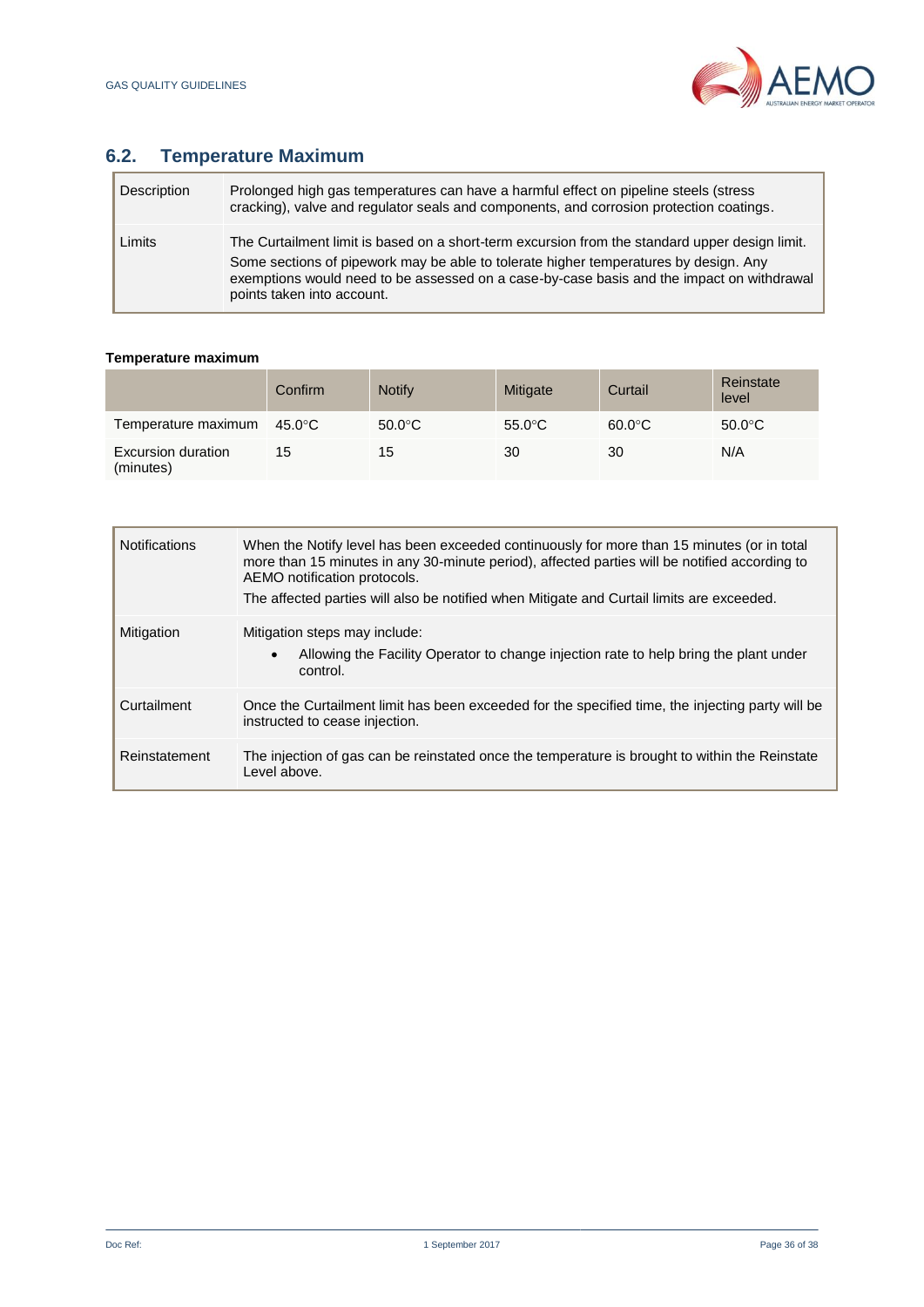

# **6.2. Temperature Maximum**

| Description | Prolonged high gas temperatures can have a harmful effect on pipeline steels (stress)<br>cracking), valve and regulator seals and components, and corrosion protection coatings.                                                                                                                                  |
|-------------|-------------------------------------------------------------------------------------------------------------------------------------------------------------------------------------------------------------------------------------------------------------------------------------------------------------------|
| Limits      | The Curtailment limit is based on a short-term excursion from the standard upper design limit.<br>Some sections of pipework may be able to tolerate higher temperatures by design. Any<br>exemptions would need to be assessed on a case-by-case basis and the impact on withdrawal<br>points taken into account. |

## **Temperature maximum**

|                                        | Confirm | <b>Notify</b>    | Mitigate         | Curtail          | Reinstate<br>level |
|----------------------------------------|---------|------------------|------------------|------------------|--------------------|
| Temperature maximum                    | 45.0°C  | $50.0^{\circ}$ C | $55.0^{\circ}$ C | $60.0^{\circ}$ C | $50.0^{\circ}$ C   |
| <b>Excursion duration</b><br>(minutes) | 15      | 15               | 30               | 30               | N/A                |

| <b>Notifications</b> | When the Notify level has been exceeded continuously for more than 15 minutes (or in total<br>more than 15 minutes in any 30-minute period), affected parties will be notified according to<br>AEMO notification protocols.<br>The affected parties will also be notified when Mitigate and Curtail limits are exceeded. |
|----------------------|--------------------------------------------------------------------------------------------------------------------------------------------------------------------------------------------------------------------------------------------------------------------------------------------------------------------------|
| Mitigation           | Mitigation steps may include:<br>Allowing the Facility Operator to change injection rate to help bring the plant under<br>$\bullet$<br>control.                                                                                                                                                                          |
| Curtailment          | Once the Curtailment limit has been exceeded for the specified time, the injecting party will be<br>instructed to cease injection.                                                                                                                                                                                       |
| Reinstatement        | The injection of gas can be reinstated once the temperature is brought to within the Reinstate<br>Level above.                                                                                                                                                                                                           |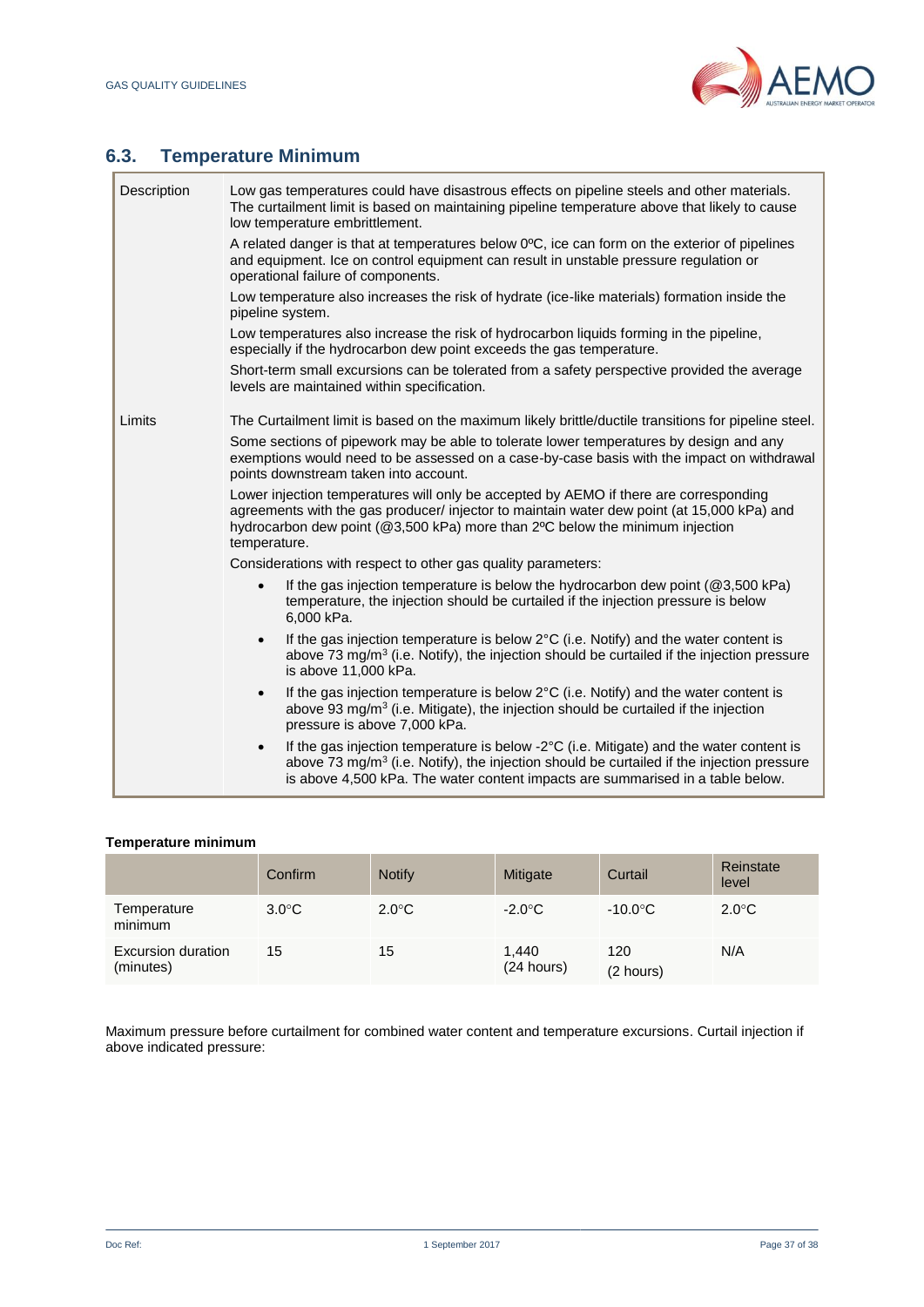Т



ī

# **6.3. Temperature Minimum**

| Description | Low gas temperatures could have disastrous effects on pipeline steels and other materials.<br>The curtailment limit is based on maintaining pipeline temperature above that likely to cause<br>low temperature embrittlement.                                                                                                                                                                                                                                                                                                                                                                                                                                                                |
|-------------|----------------------------------------------------------------------------------------------------------------------------------------------------------------------------------------------------------------------------------------------------------------------------------------------------------------------------------------------------------------------------------------------------------------------------------------------------------------------------------------------------------------------------------------------------------------------------------------------------------------------------------------------------------------------------------------------|
|             | A related danger is that at temperatures below 0°C, ice can form on the exterior of pipelines<br>and equipment. Ice on control equipment can result in unstable pressure regulation or<br>operational failure of components.                                                                                                                                                                                                                                                                                                                                                                                                                                                                 |
|             | Low temperature also increases the risk of hydrate (ice-like materials) formation inside the<br>pipeline system.                                                                                                                                                                                                                                                                                                                                                                                                                                                                                                                                                                             |
|             | Low temperatures also increase the risk of hydrocarbon liquids forming in the pipeline,<br>especially if the hydrocarbon dew point exceeds the gas temperature.                                                                                                                                                                                                                                                                                                                                                                                                                                                                                                                              |
|             | Short-term small excursions can be tolerated from a safety perspective provided the average<br>levels are maintained within specification.                                                                                                                                                                                                                                                                                                                                                                                                                                                                                                                                                   |
| Limits      | The Curtailment limit is based on the maximum likely brittle/ductile transitions for pipeline steel.<br>Some sections of pipework may be able to tolerate lower temperatures by design and any<br>exemptions would need to be assessed on a case-by-case basis with the impact on withdrawal<br>points downstream taken into account.<br>Lower injection temperatures will only be accepted by AEMO if there are corresponding<br>agreements with the gas producer/ injector to maintain water dew point (at 15,000 kPa) and<br>hydrocarbon dew point (@3,500 kPa) more than 2°C below the minimum injection<br>temperature.<br>Considerations with respect to other gas quality parameters: |
|             | If the gas injection temperature is below the hydrocarbon dew point ( $@3,500$ kPa)<br>temperature, the injection should be curtailed if the injection pressure is below<br>6,000 kPa.                                                                                                                                                                                                                                                                                                                                                                                                                                                                                                       |
|             | If the gas injection temperature is below 2°C (i.e. Notify) and the water content is<br>$\bullet$<br>above 73 mg/m <sup>3</sup> (i.e. Notify), the injection should be curtailed if the injection pressure<br>is above 11,000 kPa.                                                                                                                                                                                                                                                                                                                                                                                                                                                           |
|             | If the gas injection temperature is below 2°C (i.e. Notify) and the water content is<br>$\bullet$<br>above 93 mg/m <sup>3</sup> (i.e. Mitigate), the injection should be curtailed if the injection<br>pressure is above 7,000 kPa.                                                                                                                                                                                                                                                                                                                                                                                                                                                          |
|             | If the gas injection temperature is below -2°C (i.e. Mitigate) and the water content is<br>$\bullet$<br>above 73 mg/m <sup>3</sup> (i.e. Notify), the injection should be curtailed if the injection pressure<br>is above 4,500 kPa. The water content impacts are summarised in a table below.                                                                                                                                                                                                                                                                                                                                                                                              |

## **Temperature minimum**

|                                 | Confirm         | <b>Notify</b>   | Mitigate            | Curtail           | Reinstate<br>level |
|---------------------------------|-----------------|-----------------|---------------------|-------------------|--------------------|
| Temperature<br>minimum          | $3.0^{\circ}$ C | $2.0^{\circ}$ C | $-2.0^{\circ}$ C    | $-10.0^{\circ}$ C | $2.0^{\circ}$ C    |
| Excursion duration<br>(minutes) | 15              | 15              | 1,440<br>(24 hours) | 120<br>(2 hours)  | N/A                |

Maximum pressure before curtailment for combined water content and temperature excursions. Curtail injection if above indicated pressure: